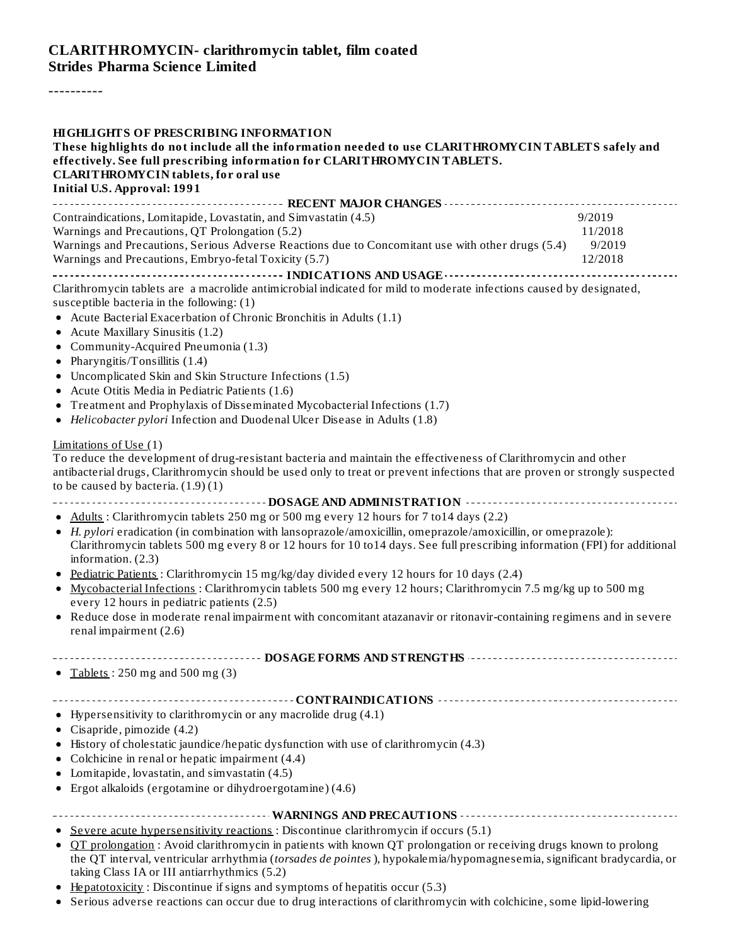#### **CLARITHROMYCIN- clarithromycin tablet, film coated Strides Pharma Science Limited**

----------

| <b>HIGHLIGHTS OF PRESCRIBING INFORMATION</b><br>These highlights do not include all the information needed to use CLARITHROMYCIN TABLETS safely and<br>effectively. See full prescribing information for CLARITHROMYCINTABLETS.<br><b>CLARITHROMYCIN</b> tablets, for oral use<br><b>Initial U.S. Approval: 1991</b>                                                                                                                                                                                                                                       |                                        |
|------------------------------------------------------------------------------------------------------------------------------------------------------------------------------------------------------------------------------------------------------------------------------------------------------------------------------------------------------------------------------------------------------------------------------------------------------------------------------------------------------------------------------------------------------------|----------------------------------------|
|                                                                                                                                                                                                                                                                                                                                                                                                                                                                                                                                                            |                                        |
| Contraindications, Lomitapide, Lovastatin, and Simvastatin (4.5)<br>Warnings and Precautions, QT Prolongation (5.2)<br>Warnings and Precautions, Serious Adverse Reactions due to Concomitant use with other drugs (5.4)<br>Warnings and Precautions, Embryo-fetal Toxicity (5.7)                                                                                                                                                                                                                                                                          | 9/2019<br>11/2018<br>9/2019<br>12/2018 |
| Clarithromycin tablets are a macrolide antimicrobial indicated for mild to moderate infections caused by designated,<br>susceptible bacteria in the following: (1)<br>• Acute Bacterial Exacerbation of Chronic Bronchitis in Adults (1.1)<br>• Acute Maxillary Sinusitis (1.2)<br>• Community-Acquired Pneumonia (1.3)<br>• Pharyngitis/Tonsillitis $(1.4)$<br>• Uncomplicated Skin and Skin Structure Infections (1.5)<br>• Acute Otitis Media in Pediatric Patients (1.6)<br>• Treatment and Prophylaxis of Disseminated Mycobacterial Infections (1.7) |                                        |
| • Helicobacter pylori Infection and Duodenal Ulcer Disease in Adults (1.8)                                                                                                                                                                                                                                                                                                                                                                                                                                                                                 |                                        |
| Limitations of Use (1)<br>To reduce the development of drug-resistant bacteria and maintain the effectiveness of Clarithromycin and other<br>antibacterial drugs, Clarithromycin should be used only to treat or prevent infections that are proven or strongly suspected<br>to be caused by bacteria. $(1.9)(1)$<br>• Adults: Clarithromycin tablets 250 mg or 500 mg every 12 hours for 7 to 14 days (2.2)                                                                                                                                               |                                        |
| • H. pylori eradication (in combination with lansoprazole/amoxicillin, omeprazole/amoxicillin, or omeprazole):<br>Clarithromycin tablets 500 mg every 8 or 12 hours for 10 to14 days. See full prescribing information (FPI) for additional<br>information. $(2.3)$                                                                                                                                                                                                                                                                                        |                                        |
| • Pediatric Patients: Clarithromycin 15 mg/kg/day divided every 12 hours for 10 days (2.4)<br>• Mycobacterial Infections : Clarithromycin tablets 500 mg every 12 hours; Clarithromycin 7.5 mg/kg up to 500 mg<br>every 12 hours in pediatric patients (2.5)<br>• Reduce dose in moderate renal impairment with concomitant atazanavir or ritonavir-containing regimens and in severe                                                                                                                                                                      |                                        |
| renal impairment (2.6)                                                                                                                                                                                                                                                                                                                                                                                                                                                                                                                                     |                                        |
| ------------------            DOSAGE FORMS AND STRENGTHS                 -------------<br>• Tablets: $250 \text{ mg}$ and $500 \text{ mg}$ (3)                                                                                                                                                                                                                                                                                                                                                                                                             |                                        |
|                                                                                                                                                                                                                                                                                                                                                                                                                                                                                                                                                            |                                        |
| • Hypersensitivity to clarithromycin or any macrolide drug (4.1)<br>• Cisapride, pimozide $(4.2)$<br>History of cholestatic jaundice/hepatic dysfunction with use of clarithromycin (4.3)<br>Colchicine in renal or hepatic impairment (4.4)<br>Lomitapide, lovastatin, and simvastatin (4.5)<br>• Ergot alkaloids (ergotamine or dihydroergotamine) (4.6)                                                                                                                                                                                                 |                                        |
|                                                                                                                                                                                                                                                                                                                                                                                                                                                                                                                                                            |                                        |
| Severe acute hypersensitivity reactions : Discontinue clarithromycin if occurs (5.1)<br>OT prolongation: Avoid clarithromycin in patients with known QT prolongation or receiving drugs known to prolong<br>the QT interval, ventricular arrhythmia (torsades de pointes), hypokalemia/hypomagnesemia, significant bradycardia, or<br>taking Class IA or III antiarrhythmics (5.2)                                                                                                                                                                         |                                        |

- Hepatotoxicity: Discontinue if signs and symptoms of hepatitis occur (5.3)
- Serious adverse reactions can occur due to drug interactions of clarithromycin with colchicine, some lipid-lowering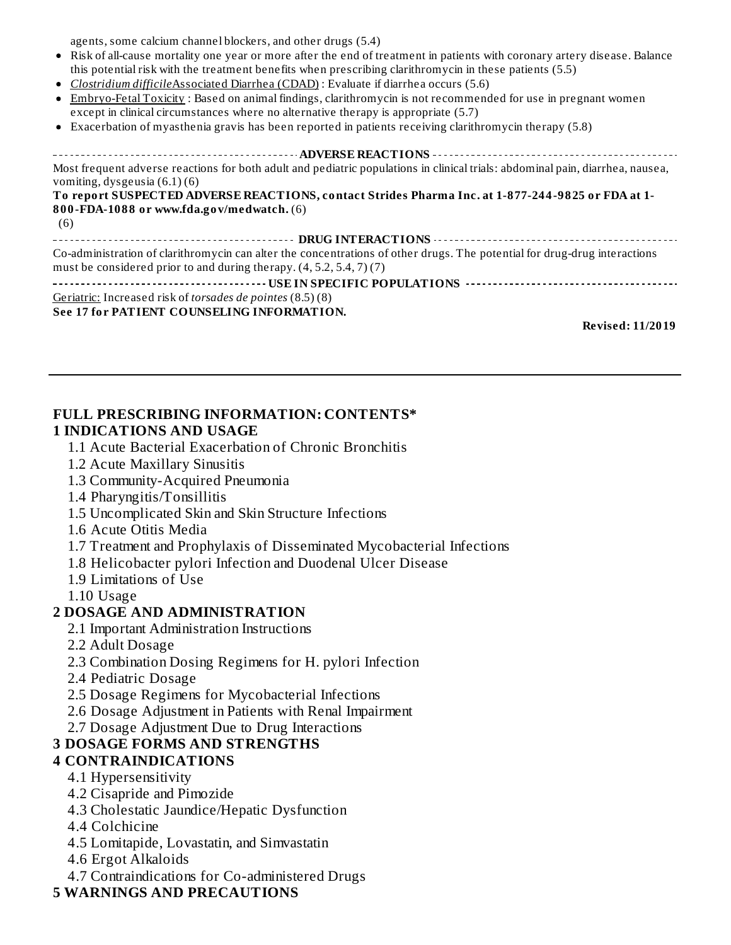agents, some calcium channel blockers, and other drugs (5.4)

- Risk of all-cause mortality one year or more after the end of treatment in patients with coronary artery disease. Balance this potential risk with the treatment benefits when prescribing clarithromycin in these patients (5.5)
- *Clostridium difficile*Associated Diarrhea (CDAD) : Evaluate if diarrhea occurs (5.6)
- Embryo-Fetal Toxicity : Based on animal findings, clarithromycin is not recommended for use in pregnant women except in clinical circumstances where no alternative therapy is appropriate (5.7)
- Exacerbation of myasthenia gravis has been reported in patients receiving clarithromycin therapy (5.8)  $\bullet$

#### **ADVERSE REACTIONS** Most frequent adverse reactions for both adult and pediatric populations in clinical trials: abdominal pain, diarrhea, nausea, vomiting, dysgeusia (6.1) (6) **To report SUSPECTED ADVERSE REACTIONS, contact Strides Pharma Inc. at 1-877-244-9825 or FDA at 1- 800-FDA-1088 or www.fda.gov/medwatch.** (6) (6) **DRUG INTERACTIONS** Co-administration of clarithromycin can alter the concentrations of other drugs. The potential for drug-drug interactions must be considered prior to and during therapy. (4, 5.2, 5.4, 7) (7) **USE IN SPECIFIC POPULATIONS** Geriatric: Increased risk of *torsades de pointes* (8.5) (8) **See 17 for PATIENT COUNSELING INFORMATION.**

**Revised: 11/2019**

#### **FULL PRESCRIBING INFORMATION: CONTENTS\* 1 INDICATIONS AND USAGE**

- 1.1 Acute Bacterial Exacerbation of Chronic Bronchitis
- 1.2 Acute Maxillary Sinusitis
- 1.3 Community-Acquired Pneumonia
- 1.4 Pharyngitis/Tonsillitis
- 1.5 Uncomplicated Skin and Skin Structure Infections
- 1.6 Acute Otitis Media
- 1.7 Treatment and Prophylaxis of Disseminated Mycobacterial Infections
- 1.8 Helicobacter pylori Infection and Duodenal Ulcer Disease
- 1.9 Limitations of Use
- 1.10 Usage

#### **2 DOSAGE AND ADMINISTRATION**

- 2.1 Important Administration Instructions
- 2.2 Adult Dosage
- 2.3 Combination Dosing Regimens for H. pylori Infection
- 2.4 Pediatric Dosage
- 2.5 Dosage Regimens for Mycobacterial Infections
- 2.6 Dosage Adjustment in Patients with Renal Impairment
- 2.7 Dosage Adjustment Due to Drug Interactions

## **3 DOSAGE FORMS AND STRENGTHS**

- **4 CONTRAINDICATIONS**
	- 4.1 Hypersensitivity
	- 4.2 Cisapride and Pimozide
	- 4.3 Cholestatic Jaundice/Hepatic Dysfunction
	- 4.4 Colchicine
	- 4.5 Lomitapide, Lovastatin, and Simvastatin
	- 4.6 Ergot Alkaloids
	- 4.7 Contraindications for Co-administered Drugs

#### **5 WARNINGS AND PRECAUTIONS**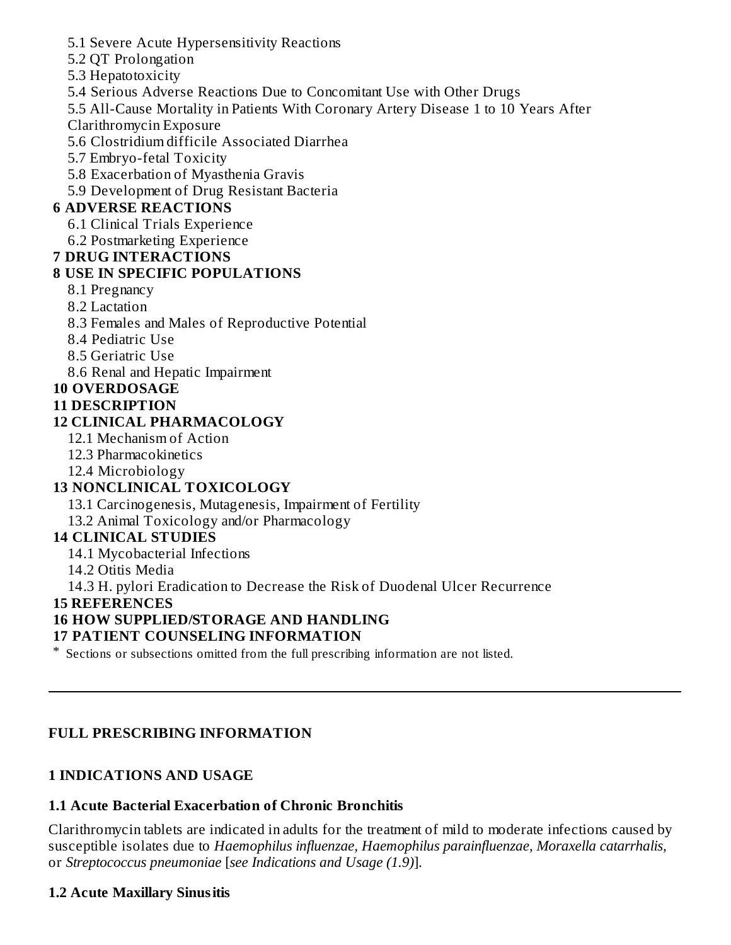- 5.1 Severe Acute Hypersensitivity Reactions
- 5.2 QT Prolongation
- 5.3 Hepatotoxicity
- 5.4 Serious Adverse Reactions Due to Concomitant Use with Other Drugs
- 5.5 All-Cause Mortality in Patients With Coronary Artery Disease 1 to 10 Years After Clarithromycin Exposure
- 5.6 Clostridium difficile Associated Diarrhea
- 5.7 Embryo-fetal Toxicity
- 5.8 Exacerbation of Myasthenia Gravis
- 5.9 Development of Drug Resistant Bacteria

### **6 ADVERSE REACTIONS**

- 6.1 Clinical Trials Experience
- 6.2 Postmarketing Experience

#### **7 DRUG INTERACTIONS**

### **8 USE IN SPECIFIC POPULATIONS**

- 8.1 Pregnancy
- 8.2 Lactation
- 8.3 Females and Males of Reproductive Potential
- 8.4 Pediatric Use
- 8.5 Geriatric Use
- 8.6 Renal and Hepatic Impairment
- **10 OVERDOSAGE**

### **11 DESCRIPTION**

## **12 CLINICAL PHARMACOLOGY**

- 12.1 Mechanism of Action
- 12.3 Pharmacokinetics
- 12.4 Microbiology

## **13 NONCLINICAL TOXICOLOGY**

- 13.1 Carcinogenesis, Mutagenesis, Impairment of Fertility
- 13.2 Animal Toxicology and/or Pharmacology

## **14 CLINICAL STUDIES**

- 14.1 Mycobacterial Infections
- 14.2 Otitis Media
- 14.3 H. pylori Eradication to Decrease the Risk of Duodenal Ulcer Recurrence

## **15 REFERENCES**

## **16 HOW SUPPLIED/STORAGE AND HANDLING**

#### **17 PATIENT COUNSELING INFORMATION**

\* Sections or subsections omitted from the full prescribing information are not listed.

## **FULL PRESCRIBING INFORMATION**

## **1 INDICATIONS AND USAGE**

#### **1.1 Acute Bacterial Exacerbation of Chronic Bronchitis**

Clarithromycin tablets are indicated in adults for the treatment of mild to moderate infections caused by susceptible isolates due to *Haemophilus influenzae, Haemophilus parainfluenzae, Moraxella catarrhalis,* or *Streptococcus pneumoniae* [*see Indications and Usage (1.9)*].

## **1.2 Acute Maxillary Sinusitis**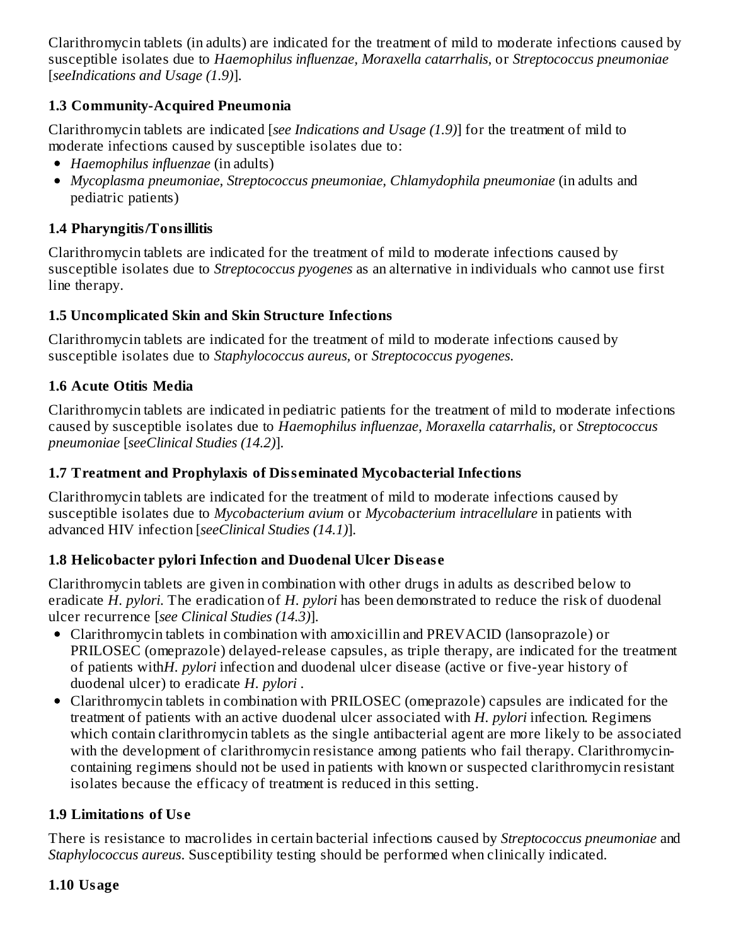Clarithromycin tablets (in adults) are indicated for the treatment of mild to moderate infections caused by susceptible isolates due to *Haemophilus influenzae, Moraxella catarrhalis,* or *Streptococcus pneumoniae* [*seeIndications and Usage (1.9)*].

## **1.3 Community-Acquired Pneumonia**

Clarithromycin tablets are indicated [*see Indications and Usage (1.9)*] for the treatment of mild to moderate infections caused by susceptible isolates due to:

- *Haemophilus influenzae* (in adults)
- *Mycoplasma pneumoniae, Streptococcus pneumoniae, Chlamydophila pneumoniae* (in adults and pediatric patients)

## **1.4 Pharyngitis/Tonsillitis**

Clarithromycin tablets are indicated for the treatment of mild to moderate infections caused by susceptible isolates due to *Streptococcus pyogenes* as an alternative in individuals who cannot use first line therapy.

### **1.5 Uncomplicated Skin and Skin Structure Infections**

Clarithromycin tablets are indicated for the treatment of mild to moderate infections caused by susceptible isolates due to *Staphylococcus aureus,* or *Streptococcus pyogenes*.

## **1.6 Acute Otitis Media**

Clarithromycin tablets are indicated in pediatric patients for the treatment of mild to moderate infections caused by susceptible isolates due to *Haemophilus influenzae, Moraxella catarrhalis,* or *Streptococcus pneumoniae* [*seeClinical Studies (14.2)*].

### **1.7 Treatment and Prophylaxis of Diss eminated Mycobacterial Infections**

Clarithromycin tablets are indicated for the treatment of mild to moderate infections caused by susceptible isolates due to *Mycobacterium avium* or *Mycobacterium intracellulare* in patients with advanced HIV infection [*seeClinical Studies (14.1)*].

## **1.8 Helicobacter pylori Infection and Duodenal Ulcer Dis eas e**

Clarithromycin tablets are given in combination with other drugs in adults as described below to eradicate *H. pylori*. The eradication of *H. pylori* has been demonstrated to reduce the risk of duodenal ulcer recurrence [*see Clinical Studies (14.3)*].

- Clarithromycin tablets in combination with amoxicillin and PREVACID (lansoprazole) or PRILOSEC (omeprazole) delayed-release capsules, as triple therapy, are indicated for the treatment of patients with*H. pylori* infection and duodenal ulcer disease (active or five-year history of duodenal ulcer) to eradicate *H. pylori* .
- Clarithromycin tablets in combination with PRILOSEC (omeprazole) capsules are indicated for the treatment of patients with an active duodenal ulcer associated with *H. pylori* infection. Regimens which contain clarithromycin tablets as the single antibacterial agent are more likely to be associated with the development of clarithromycin resistance among patients who fail therapy. Clarithromycincontaining regimens should not be used in patients with known or suspected clarithromycin resistant isolates because the efficacy of treatment is reduced in this setting.

## **1.9 Limitations of Us e**

There is resistance to macrolides in certain bacterial infections caused by *Streptococcus pneumoniae* and *Staphylococcus aureus*. Susceptibility testing should be performed when clinically indicated.

#### **1.10 Usage**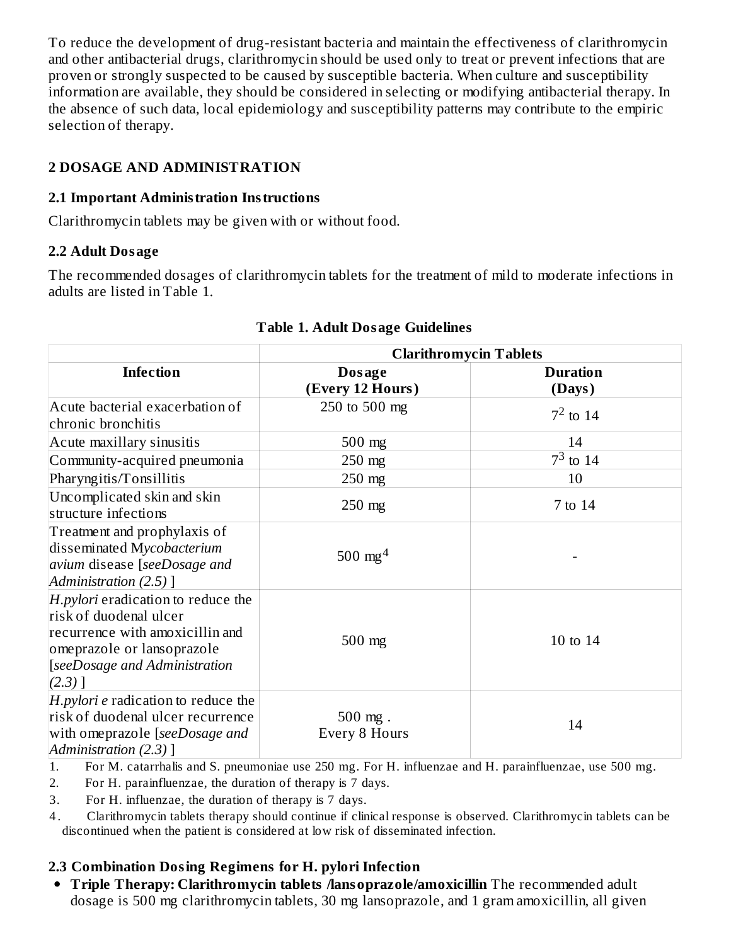To reduce the development of drug-resistant bacteria and maintain the effectiveness of clarithromycin and other antibacterial drugs, clarithromycin should be used only to treat or prevent infections that are proven or strongly suspected to be caused by susceptible bacteria. When culture and susceptibility information are available, they should be considered in selecting or modifying antibacterial therapy. In the absence of such data, local epidemiology and susceptibility patterns may contribute to the empiric selection of therapy.

# **2 DOSAGE AND ADMINISTRATION**

## **2.1 Important Administration Instructions**

Clarithromycin tablets may be given with or without food.

# **2.2 Adult Dosage**

The recommended dosages of clarithromycin tablets for the treatment of mild to moderate infections in adults are listed in Table 1.

|                                                                                                                                                                             | <b>Clarithromycin Tablets</b> |                           |  |
|-----------------------------------------------------------------------------------------------------------------------------------------------------------------------------|-------------------------------|---------------------------|--|
| <b>Infection</b>                                                                                                                                                            | Dosage<br>(Every 12 Hours)    | <b>Duration</b><br>(Days) |  |
| Acute bacterial exacerbation of<br>chronic bronchitis                                                                                                                       | 250 to 500 mg                 | $7^2$ to 14               |  |
| Acute maxillary sinusitis                                                                                                                                                   | $500$ mg                      | 14                        |  |
| Community-acquired pneumonia                                                                                                                                                | $250$ mg                      | $7^3$ to 14               |  |
| Pharyngitis/Tonsillitis                                                                                                                                                     | $250$ mg                      | 10                        |  |
| Uncomplicated skin and skin<br>structure infections                                                                                                                         | 250 mg                        | 7 to 14                   |  |
| Treatment and prophylaxis of<br>disseminated Mycobacterium<br>avium disease [seeDosage and<br>Administration $(2.5)$ ]                                                      | 500 mg <sup>4</sup>           |                           |  |
| H.pylori eradication to reduce the<br>risk of duodenal ulcer<br>recurrence with amoxicillin and<br>omeprazole or lansoprazole<br>[seeDosage and Administration<br>$(2.3)$ ] | $500$ mg                      | 10 to 14                  |  |
| H.pylori e radication to reduce the<br>risk of duodenal ulcer recurrence<br>with omeprazole [seeDosage and<br>Administration (2.3) ]                                        | $500$ mg.<br>Every 8 Hours    | 14                        |  |

# **Table 1. Adult Dosage Guidelines**

1. For M. catarrhalis and S. pneumoniae use 250 mg. For H. influenzae and H. parainfluenzae, use 500 mg.

2. For H. parainfluenzae, the duration of therapy is 7 days.

3. For H. influenzae, the duration of therapy is 7 days.

4 . Clarithromycin tablets therapy should continue if clinical response is observed. Clarithromycin tablets can be discontinued when the patient is considered at low risk of disseminated infection.

# **2.3 Combination Dosing Regimens for H. pylori Infection**

**Triple Therapy: Clarithromycin tablets /lansoprazole/amoxicillin** The recommended adult dosage is 500 mg clarithromycin tablets, 30 mg lansoprazole, and 1 gram amoxicillin, all given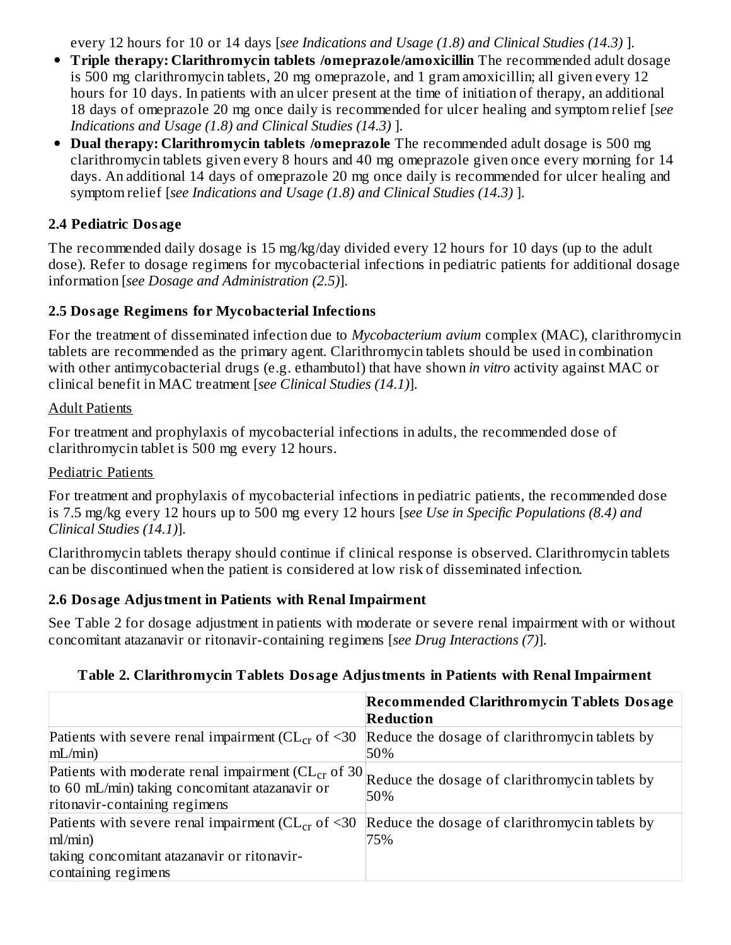every 12 hours for 10 or 14 days [*see Indications and Usage (1.8) and Clinical Studies (14.3)* ].

- **Triple therapy: Clarithromycin tablets /omeprazole/amoxicillin** The recommended adult dosage is 500 mg clarithromycin tablets, 20 mg omeprazole, and 1 gram amoxicillin; all given every 12 hours for 10 days. In patients with an ulcer present at the time of initiation of therapy, an additional 18 days of omeprazole 20 mg once daily is recommended for ulcer healing and symptom relief [*see Indications and Usage (1.8) and Clinical Studies (14.3)* ].
- **Dual therapy: Clarithromycin tablets /omeprazole** The recommended adult dosage is 500 mg clarithromycin tablets given every 8 hours and 40 mg omeprazole given once every morning for 14 days. An additional 14 days of omeprazole 20 mg once daily is recommended for ulcer healing and symptom relief [*see Indications and Usage (1.8) and Clinical Studies (14.3)* ].

### **2.4 Pediatric Dosage**

The recommended daily dosage is 15 mg/kg/day divided every 12 hours for 10 days (up to the adult dose). Refer to dosage regimens for mycobacterial infections in pediatric patients for additional dosage information [*see Dosage and Administration (2.5)*].

#### **2.5 Dosage Regimens for Mycobacterial Infections**

For the treatment of disseminated infection due to *Mycobacterium avium* complex (MAC), clarithromycin tablets are recommended as the primary agent. Clarithromycin tablets should be used in combination with other antimycobacterial drugs (e.g. ethambutol) that have shown *in vitro* activity against MAC or clinical benefit in MAC treatment [*see Clinical Studies (14.1)*].

#### Adult Patients

For treatment and prophylaxis of mycobacterial infections in adults, the recommended dose of clarithromycin tablet is 500 mg every 12 hours.

#### Pediatric Patients

For treatment and prophylaxis of mycobacterial infections in pediatric patients, the recommended dose is 7.5 mg/kg every 12 hours up to 500 mg every 12 hours [*see Use in Specific Populations (8.4) and Clinical Studies (14.1)*].

Clarithromycin tablets therapy should continue if clinical response is observed. Clarithromycin tablets can be discontinued when the patient is considered at low risk of disseminated infection.

#### **2.6 Dosage Adjustment in Patients with Renal Impairment**

See Table 2 for dosage adjustment in patients with moderate or severe renal impairment with or without concomitant atazanavir or ritonavir-containing regimens [*see Drug Interactions (7)*].

#### **Table 2. Clarithromycin Tablets Dosage Adjustments in Patients with Renal Impairment**

|                                                                                                                                                                                                   | <b>Recommended Clarithromycin Tablets Dosage</b><br>Reduction |
|---------------------------------------------------------------------------------------------------------------------------------------------------------------------------------------------------|---------------------------------------------------------------|
| Patients with severe renal impairment ( $CL_{cr}$ of $\leq 30$<br>mL/min                                                                                                                          | Reduce the dosage of clarithromycin tablets by<br>50%         |
| Patients with moderate renal impairment (CL <sub>cr</sub> of 30 Reduce the dosage of clarithromycin tablets by<br>to 60 mL/min) taking concomitant atazanavir or<br>ritonavir-containing regimens | 50%                                                           |
| Patients with severe renal impairment ( $CL_{cr}$ of <30<br>ml/min)                                                                                                                               | Reduce the dosage of clarithromycin tablets by<br>75%         |
| taking concomitant atazanavir or ritonavir-<br>containing regimens                                                                                                                                |                                                               |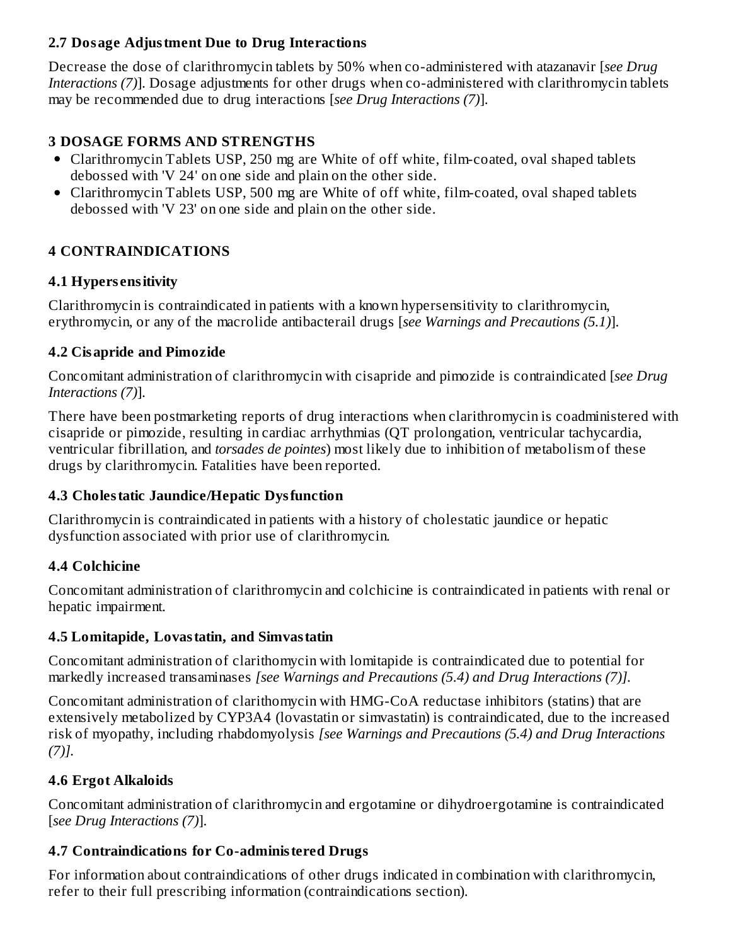### **2.7 Dosage Adjustment Due to Drug Interactions**

Decrease the dose of clarithromycin tablets by 50% when co-administered with atazanavir [*see Drug Interactions (7)*]. Dosage adjustments for other drugs when co-administered with clarithromycin tablets may be recommended due to drug interactions [*see Drug Interactions (7)*].

#### **3 DOSAGE FORMS AND STRENGTHS**

- Clarithromycin Tablets USP, 250 mg are White of off white, film-coated, oval shaped tablets debossed with 'V 24' on one side and plain on the other side.
- Clarithromycin Tablets USP, 500 mg are White of off white, film-coated, oval shaped tablets debossed with 'V 23' on one side and plain on the other side.

### **4 CONTRAINDICATIONS**

### **4.1 Hypers ensitivity**

Clarithromycin is contraindicated in patients with a known hypersensitivity to clarithromycin, erythromycin, or any of the macrolide antibacterail drugs [*see Warnings and Precautions (5.1)*].

### **4.2 Cisapride and Pimozide**

Concomitant administration of clarithromycin with cisapride and pimozide is contraindicated [*see Drug Interactions (7)*].

There have been postmarketing reports of drug interactions when clarithromycin is coadministered with cisapride or pimozide, resulting in cardiac arrhythmias (QT prolongation, ventricular tachycardia, ventricular fibrillation, and *torsades de pointes*) most likely due to inhibition of metabolism of these drugs by clarithromycin. Fatalities have been reported.

## **4.3 Cholestatic Jaundice/Hepatic Dysfunction**

Clarithromycin is contraindicated in patients with a history of cholestatic jaundice or hepatic dysfunction associated with prior use of clarithromycin.

## **4.4 Colchicine**

Concomitant administration of clarithromycin and colchicine is contraindicated in patients with renal or hepatic impairment.

#### **4.5 Lomitapide, Lovastatin, and Simvastatin**

Concomitant administration of clarithomycin with lomitapide is contraindicated due to potential for markedly increased transaminases *[see Warnings and Precautions (5.4) and Drug Interactions (7)].*

Concomitant administration of clarithomycin with HMG-CoA reductase inhibitors (statins) that are extensively metabolized by CYP3A4 (lovastatin or simvastatin) is contraindicated, due to the increased risk of myopathy, including rhabdomyolysis *[see Warnings and Precautions (5.4) and Drug Interactions (7)].*

## **4.6 Ergot Alkaloids**

Concomitant administration of clarithromycin and ergotamine or dihydroergotamine is contraindicated [*see Drug Interactions (7)*].

## **4.7 Contraindications for Co-administered Drugs**

For information about contraindications of other drugs indicated in combination with clarithromycin, refer to their full prescribing information (contraindications section).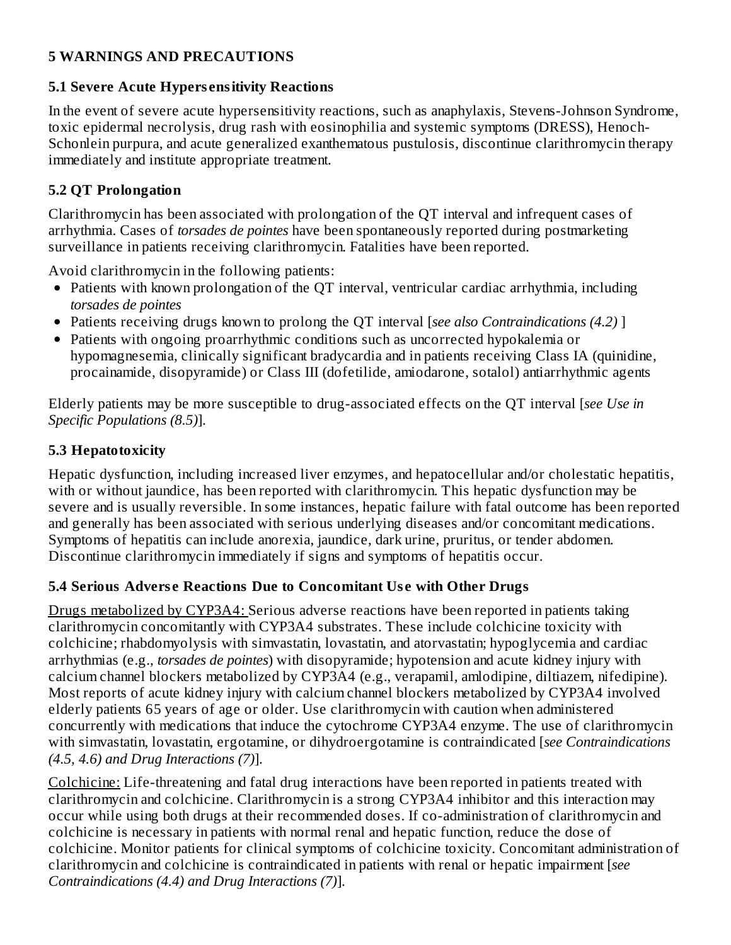### **5 WARNINGS AND PRECAUTIONS**

### **5.1 Severe Acute Hypers ensitivity Reactions**

In the event of severe acute hypersensitivity reactions, such as anaphylaxis, Stevens-Johnson Syndrome, toxic epidermal necrolysis, drug rash with eosinophilia and systemic symptoms (DRESS), Henoch-Schonlein purpura, and acute generalized exanthematous pustulosis, discontinue clarithromycin therapy immediately and institute appropriate treatment.

# **5.2 QT Prolongation**

Clarithromycin has been associated with prolongation of the QT interval and infrequent cases of arrhythmia. Cases of *torsades de pointes* have been spontaneously reported during postmarketing surveillance in patients receiving clarithromycin. Fatalities have been reported.

Avoid clarithromycin in the following patients:

- Patients with known prolongation of the QT interval, ventricular cardiac arrhythmia, including *torsades de pointes*
- Patients receiving drugs known to prolong the QT interval [*see also Contraindications (4.2)* ]
- Patients with ongoing proarrhythmic conditions such as uncorrected hypokalemia or hypomagnesemia, clinically significant bradycardia and in patients receiving Class IA (quinidine, procainamide, disopyramide) or Class III (dofetilide, amiodarone, sotalol) antiarrhythmic agents

Elderly patients may be more susceptible to drug-associated effects on the QT interval [*see Use in Specific Populations (8.5)*].

## **5.3 Hepatotoxicity**

Hepatic dysfunction, including increased liver enzymes, and hepatocellular and/or cholestatic hepatitis, with or without jaundice, has been reported with clarithromycin. This hepatic dysfunction may be severe and is usually reversible. In some instances, hepatic failure with fatal outcome has been reported and generally has been associated with serious underlying diseases and/or concomitant medications. Symptoms of hepatitis can include anorexia, jaundice, dark urine, pruritus, or tender abdomen. Discontinue clarithromycin immediately if signs and symptoms of hepatitis occur.

## **5.4 Serious Advers e Reactions Due to Concomitant Us e with Other Drugs**

Drugs metabolized by CYP3A4: Serious adverse reactions have been reported in patients taking clarithromycin concomitantly with CYP3A4 substrates. These include colchicine toxicity with colchicine; rhabdomyolysis with simvastatin, lovastatin, and atorvastatin; hypoglycemia and cardiac arrhythmias (e.g., *torsades de pointes*) with disopyramide; hypotension and acute kidney injury with calcium channel blockers metabolized by CYP3A4 (e.g., verapamil, amlodipine, diltiazem, nifedipine). Most reports of acute kidney injury with calcium channel blockers metabolized by CYP3A4 involved elderly patients 65 years of age or older. Use clarithromycin with caution when administered concurrently with medications that induce the cytochrome CYP3A4 enzyme. The use of clarithromycin with simvastatin, lovastatin, ergotamine, or dihydroergotamine is contraindicated [*see Contraindications (4.5, 4.6) and Drug Interactions (7)*].

Colchicine: Life-threatening and fatal drug interactions have been reported in patients treated with clarithromycin and colchicine. Clarithromycin is a strong CYP3A4 inhibitor and this interaction may occur while using both drugs at their recommended doses. If co-administration of clarithromycin and colchicine is necessary in patients with normal renal and hepatic function, reduce the dose of colchicine. Monitor patients for clinical symptoms of colchicine toxicity. Concomitant administration of clarithromycin and colchicine is contraindicated in patients with renal or hepatic impairment [*see Contraindications (4.4) and Drug Interactions (7)*].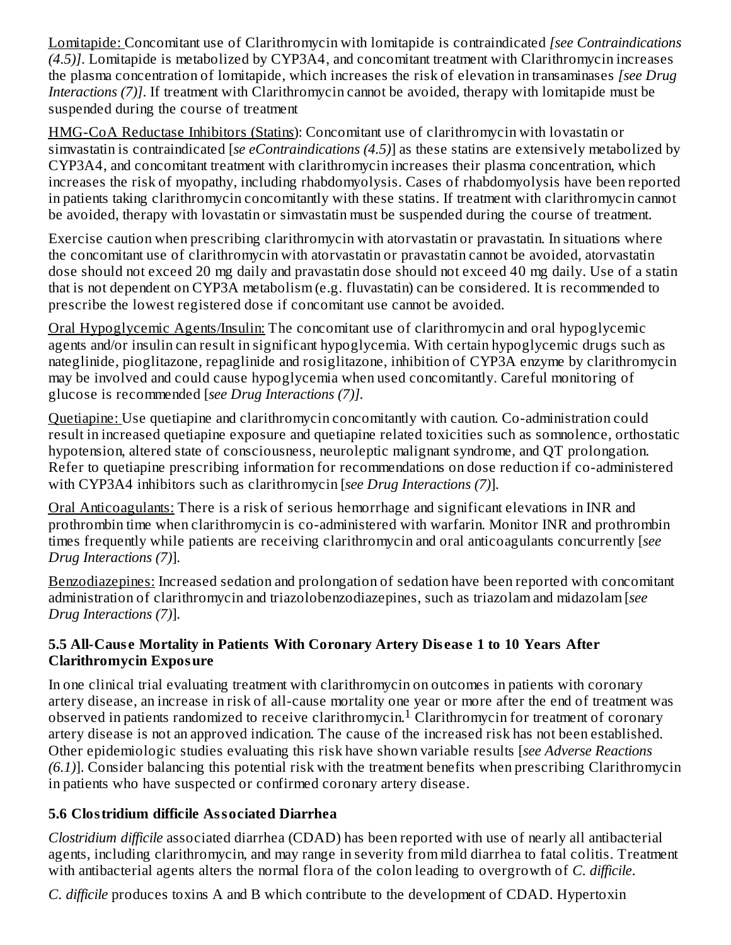Lomitapide: Concomitant use of Clarithromycin with lomitapide is contraindicated *[see Contraindications (4.5)]*. Lomitapide is metabolized by CYP3A4, and concomitant treatment with Clarithromycin increases the plasma concentration of lomitapide, which increases the risk of elevation in transaminases *[see Drug Interactions (7)]*. If treatment with Clarithromycin cannot be avoided, therapy with lomitapide must be suspended during the course of treatment

HMG-CoA Reductase Inhibitors (Statin*s*): Concomitant use of clarithromycin with lovastatin or simvastatin is contraindicated [*se eContraindications (4.5)*] as these statins are extensively metabolized by CYP3A4, and concomitant treatment with clarithromycin increases their plasma concentration, which increases the risk of myopathy, including rhabdomyolysis. Cases of rhabdomyolysis have been reported in patients taking clarithromycin concomitantly with these statins. If treatment with clarithromycin cannot be avoided, therapy with lovastatin or simvastatin must be suspended during the course of treatment.

Exercise caution when prescribing clarithromycin with atorvastatin or pravastatin. In situations where the concomitant use of clarithromycin with atorvastatin or pravastatin cannot be avoided, atorvastatin dose should not exceed 20 mg daily and pravastatin dose should not exceed 40 mg daily. Use of a statin that is not dependent on CYP3A metabolism (e.g. fluvastatin) can be considered. It is recommended to prescribe the lowest registered dose if concomitant use cannot be avoided.

Oral Hypoglycemic Agents/Insulin: The concomitant use of clarithromycin and oral hypoglycemic agents and/or insulin can result in significant hypoglycemia. With certain hypoglycemic drugs such as nateglinide, pioglitazone, repaglinide and rosiglitazone, inhibition of CYP3A enzyme by clarithromycin may be involved and could cause hypoglycemia when used concomitantly. Careful monitoring of glucose is recommended [*see Drug Interactions (7)].*

Quetiapine: Use quetiapine and clarithromycin concomitantly with caution. Co-administration could result in increased quetiapine exposure and quetiapine related toxicities such as somnolence, orthostatic hypotension, altered state of consciousness, neuroleptic malignant syndrome, and QT prolongation. Refer to quetiapine prescribing information for recommendations on dose reduction if co-administered with CYP3A4 inhibitors such as clarithromycin [*see Drug Interactions (7)*].

Oral Anticoagulants: There is a risk of serious hemorrhage and significant elevations in INR and prothrombin time when clarithromycin is co-administered with warfarin. Monitor INR and prothrombin times frequently while patients are receiving clarithromycin and oral anticoagulants concurrently [*see Drug Interactions (7)*].

Benzodiazepines: Increased sedation and prolongation of sedation have been reported with concomitant administration of clarithromycin and triazolobenzodiazepines, such as triazolam and midazolam [*see Drug Interactions (7)*].

## **5.5 All-Caus e Mortality in Patients With Coronary Artery Dis eas e 1 to 10 Years After Clarithromycin Exposure**

In one clinical trial evaluating treatment with clarithromycin on outcomes in patients with coronary artery disease, an increase in risk of all-cause mortality one year or more after the end of treatment was observed in patients randomized to receive clarithromycin.<sup>1</sup> Clarithromycin for treatment of coronary artery disease is not an approved indication. The cause of the increased risk has not been established. Other epidemiologic studies evaluating this risk have shown variable results [*see Adverse Reactions (6.1)*]. Consider balancing this potential risk with the treatment benefits when prescribing Clarithromycin in patients who have suspected or confirmed coronary artery disease.

# **5.6 Clostridium difficile Associated Diarrhea**

*Clostridium difficile* associated diarrhea (CDAD) has been reported with use of nearly all antibacterial agents, including clarithromycin, and may range in severity from mild diarrhea to fatal colitis. Treatment with antibacterial agents alters the normal flora of the colon leading to overgrowth of *C. difficile*.

*C. difficile* produces toxins A and B which contribute to the development of CDAD. Hypertoxin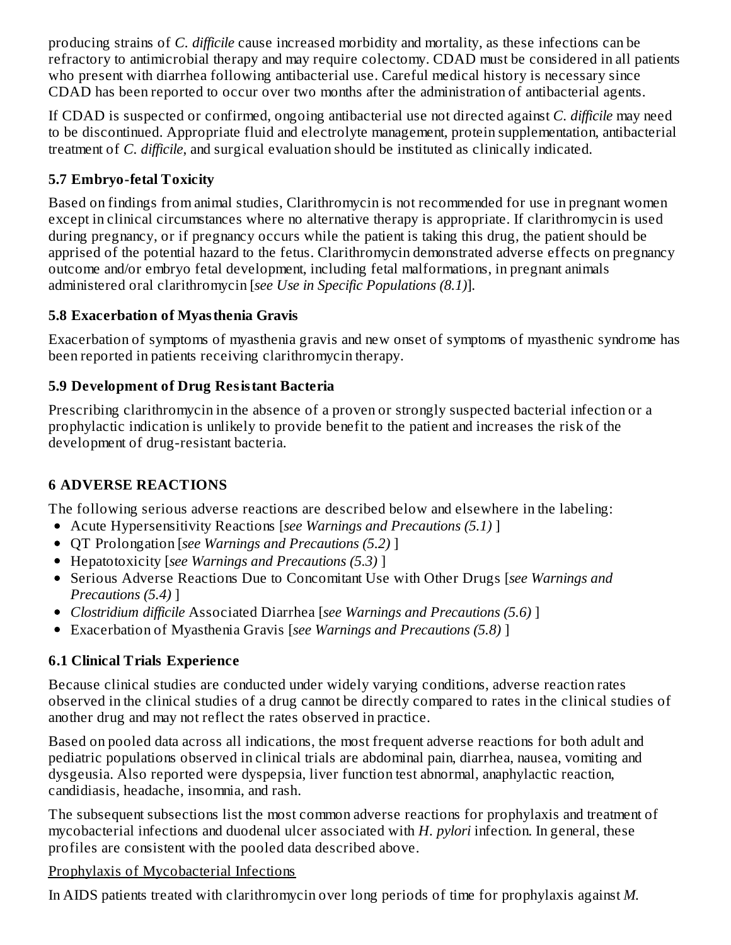producing strains of *C. difficile* cause increased morbidity and mortality, as these infections can be refractory to antimicrobial therapy and may require colectomy. CDAD must be considered in all patients who present with diarrhea following antibacterial use. Careful medical history is necessary since CDAD has been reported to occur over two months after the administration of antibacterial agents.

If CDAD is suspected or confirmed, ongoing antibacterial use not directed against *C. difficile* may need to be discontinued. Appropriate fluid and electrolyte management, protein supplementation, antibacterial treatment of *C. difficile*, and surgical evaluation should be instituted as clinically indicated.

# **5.7 Embryo-fetal Toxicity**

Based on findings from animal studies, Clarithromycin is not recommended for use in pregnant women except in clinical circumstances where no alternative therapy is appropriate. If clarithromycin is used during pregnancy, or if pregnancy occurs while the patient is taking this drug, the patient should be apprised of the potential hazard to the fetus. Clarithromycin demonstrated adverse effects on pregnancy outcome and/or embryo fetal development, including fetal malformations, in pregnant animals administered oral clarithromycin [*see Use in Specific Populations (8.1)*].

### **5.8 Exacerbation of Myasthenia Gravis**

Exacerbation of symptoms of myasthenia gravis and new onset of symptoms of myasthenic syndrome has been reported in patients receiving clarithromycin therapy.

## **5.9 Development of Drug Resistant Bacteria**

Prescribing clarithromycin in the absence of a proven or strongly suspected bacterial infection or a prophylactic indication is unlikely to provide benefit to the patient and increases the risk of the development of drug-resistant bacteria.

## **6 ADVERSE REACTIONS**

The following serious adverse reactions are described below and elsewhere in the labeling:

- Acute Hypersensitivity Reactions [*see Warnings and Precautions (5.1)* ]
- QT Prolongation [*see Warnings and Precautions (5.2)* ]
- Hepatotoxicity [*see Warnings and Precautions (5.3)* ]
- Serious Adverse Reactions Due to Concomitant Use with Other Drugs [*see Warnings and Precautions (5.4)* ]
- *Clostridium difficile* Associated Diarrhea [*see Warnings and Precautions (5.6)* ]
- Exacerbation of Myasthenia Gravis [*see Warnings and Precautions (5.8)* ]

## **6.1 Clinical Trials Experience**

Because clinical studies are conducted under widely varying conditions, adverse reaction rates observed in the clinical studies of a drug cannot be directly compared to rates in the clinical studies of another drug and may not reflect the rates observed in practice.

Based on pooled data across all indications, the most frequent adverse reactions for both adult and pediatric populations observed in clinical trials are abdominal pain, diarrhea, nausea, vomiting and dysgeusia. Also reported were dyspepsia, liver function test abnormal, anaphylactic reaction, candidiasis, headache, insomnia, and rash.

The subsequent subsections list the most common adverse reactions for prophylaxis and treatment of mycobacterial infections and duodenal ulcer associated with *H. pylori* infection. In general, these profiles are consistent with the pooled data described above.

#### Prophylaxis of Mycobacterial Infections

In AIDS patients treated with clarithromycin over long periods of time for prophylaxis against *M.*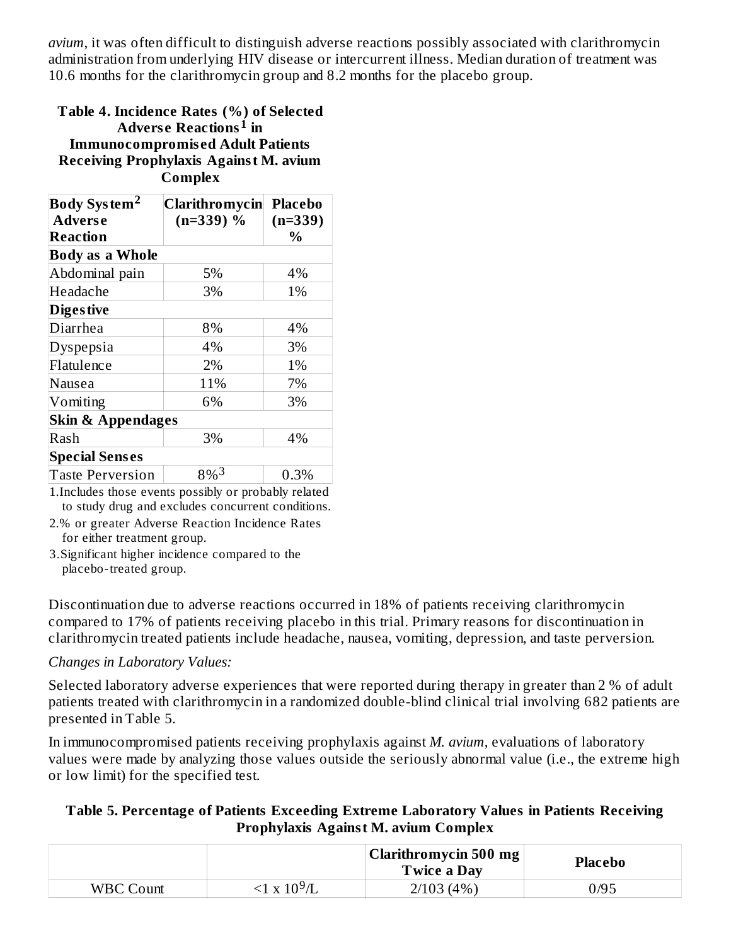*avium*, it was often difficult to distinguish adverse reactions possibly associated with clarithromycin administration from underlying HIV disease or intercurrent illness. Median duration of treatment was 10.6 months for the clarithromycin group and 8.2 months for the placebo group.

#### **Table 4. Incidence Rates (%) of Selected Advers e Reactions in 1 Immunocompromis ed Adult Patients Receiving Prophylaxis Against M. avium Complex**

| Body System <sup>2</sup>     | <b>Clarithromycin</b> | <b>Placebo</b> |  |
|------------------------------|-----------------------|----------------|--|
| <b>Adverse</b>               | $(n=339)$ %           | $(n=339)$      |  |
| Reaction                     |                       | $\%$           |  |
| <b>Body as a Whole</b>       |                       |                |  |
| Abdominal pain               | 5%                    | 4%             |  |
| Headache                     | 3%                    | 1%             |  |
| <b>Diges tive</b>            |                       |                |  |
| Diarrhea                     | 8%                    | 4%             |  |
| Dyspepsia                    | 4%                    | 3%             |  |
| Flatulence                   | 2%                    | 1%             |  |
| Nausea                       | 11%                   | 7%             |  |
| Vomiting                     | 6%                    | 3%             |  |
| <b>Skin &amp; Appendages</b> |                       |                |  |
| Rash                         | 3%                    | 4%             |  |
| <b>Special Senses</b>        |                       |                |  |
| <b>Taste Perversion</b>      | 8% <sup>3</sup>       | 0.3%           |  |

1.Includes those events possibly or probably related to study drug and excludes concurrent conditions.

2.% or greater Adverse Reaction Incidence Rates for either treatment group.

3.Significant higher incidence compared to the placebo-treated group.

Discontinuation due to adverse reactions occurred in 18% of patients receiving clarithromycin compared to 17% of patients receiving placebo in this trial. Primary reasons for discontinuation in clarithromycin treated patients include headache, nausea, vomiting, depression, and taste perversion.

#### *Changes in Laboratory Values:*

Selected laboratory adverse experiences that were reported during therapy in greater than 2 % of adult patients treated with clarithromycin in a randomized double-blind clinical trial involving 682 patients are presented in Table 5.

In immunocompromised patients receiving prophylaxis against *M. avium*, evaluations of laboratory values were made by analyzing those values outside the seriously abnormal value (i.e., the extreme high or low limit) for the specified test.

#### **Table 5. Percentage of Patients Exceeding Extreme Laboratory Values in Patients Receiving Prophylaxis Against M. avium Complex**

|                  |                     | Clarithromycin 500 mg  <br><b>Twice a Day</b> | <b>Placebo</b> |
|------------------|---------------------|-----------------------------------------------|----------------|
| <b>WBC Count</b> | $\leq1$ x $10^9$ /L | 2/103(4%)                                     | 0/95           |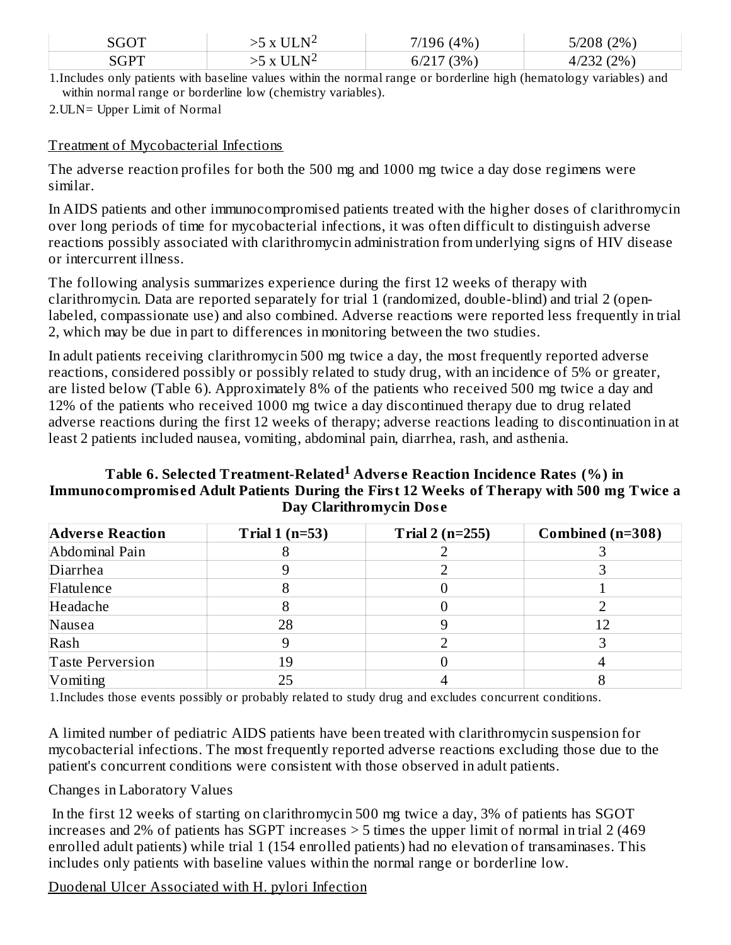| $\cap$ $\cap$ $\Box$ | $\sim$<br>-- | 4%                              | (2%)<br>F/200<br>ノロと<br>ט∠/כ            |
|----------------------|--------------|---------------------------------|-----------------------------------------|
| $\sqrt{CDT}$         | $-$<br>₩     | (30/2)<br>◡ ← + ៸<br><u>, v</u> | (20/2)<br>$  -$<br>$+1202$<br>$\sim$ 70 |

1.Includes only patients with baseline values within the normal range or borderline high (hematology variables) and within normal range or borderline low (chemistry variables).

2.ULN= Upper Limit of Normal

#### Treatment of Mycobacterial Infections

The adverse reaction profiles for both the 500 mg and 1000 mg twice a day dose regimens were similar.

In AIDS patients and other immunocompromised patients treated with the higher doses of clarithromycin over long periods of time for mycobacterial infections, it was often difficult to distinguish adverse reactions possibly associated with clarithromycin administration from underlying signs of HIV disease or intercurrent illness.

The following analysis summarizes experience during the first 12 weeks of therapy with clarithromycin. Data are reported separately for trial 1 (randomized, double-blind) and trial 2 (openlabeled, compassionate use) and also combined. Adverse reactions were reported less frequently in trial 2, which may be due in part to differences in monitoring between the two studies.

In adult patients receiving clarithromycin 500 mg twice a day, the most frequently reported adverse reactions, considered possibly or possibly related to study drug, with an incidence of 5% or greater, are listed below (Table 6). Approximately 8% of the patients who received 500 mg twice a day and 12% of the patients who received 1000 mg twice a day discontinued therapy due to drug related adverse reactions during the first 12 weeks of therapy; adverse reactions leading to discontinuation in at least 2 patients included nausea, vomiting, abdominal pain, diarrhea, rash, and asthenia.

#### **Table 6. Selected Treatment-Related Advers e Reaction Incidence Rates (%) in 1Immunocompromis ed Adult Patients During the First 12 Weeks of Therapy with 500 mg Twice a Day Clarithromycin Dos e**

| <b>Adverse Reaction</b> | Trial $1(n=53)$ | Trial $2(n=255)$ | Combined (n=308) |
|-------------------------|-----------------|------------------|------------------|
| Abdominal Pain          |                 |                  |                  |
| Diarrhea                |                 |                  |                  |
| Flatulence              |                 |                  |                  |
| Headache                |                 |                  |                  |
| Nausea                  | 28              |                  |                  |
| Rash                    |                 |                  |                  |
| Taste Perversion        | 19              |                  |                  |
| Vomiting                | 25              |                  |                  |

1.Includes those events possibly or probably related to study drug and excludes concurrent conditions.

A limited number of pediatric AIDS patients have been treated with clarithromycin suspension for mycobacterial infections. The most frequently reported adverse reactions excluding those due to the patient's concurrent conditions were consistent with those observed in adult patients.

#### Changes in Laboratory Values

In the first 12 weeks of starting on clarithromycin 500 mg twice a day, 3% of patients has SGOT increases and 2% of patients has SGPT increases > 5 times the upper limit of normal in trial 2 (469 enrolled adult patients) while trial 1 (154 enrolled patients) had no elevation of transaminases. This includes only patients with baseline values within the normal range or borderline low.

Duodenal Ulcer Associated with H. pylori Infection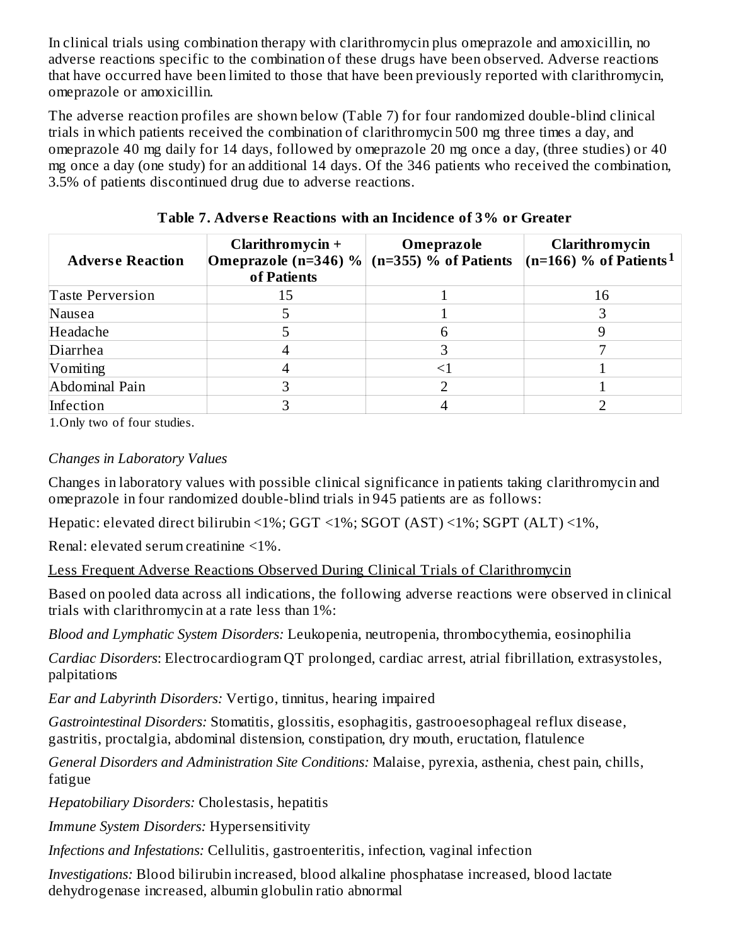In clinical trials using combination therapy with clarithromycin plus omeprazole and amoxicillin, no adverse reactions specific to the combination of these drugs have been observed. Adverse reactions that have occurred have been limited to those that have been previously reported with clarithromycin, omeprazole or amoxicillin.

The adverse reaction profiles are shown below (Table 7) for four randomized double-blind clinical trials in which patients received the combination of clarithromycin 500 mg three times a day, and omeprazole 40 mg daily for 14 days, followed by omeprazole 20 mg once a day, (three studies) or 40 mg once a day (one study) for an additional 14 days. Of the 346 patients who received the combination, 3.5% of patients discontinued drug due to adverse reactions.

| <b>Adverse Reaction</b> | Clarithromycin +<br>Omeprazole (n=346) % (n=355) % of Patients<br>of Patients | Omeprazole | Clarithromycin<br>$(n=166)$ % of Patients <sup>1</sup> |
|-------------------------|-------------------------------------------------------------------------------|------------|--------------------------------------------------------|
| <b>Taste Perversion</b> | 15                                                                            |            | 16                                                     |
| Nausea                  |                                                                               |            |                                                        |
| Headache                |                                                                               |            |                                                        |
| Diarrhea                |                                                                               |            |                                                        |
| Vomiting                |                                                                               |            |                                                        |
| Abdominal Pain          |                                                                               |            |                                                        |
| Infection               |                                                                               |            |                                                        |

**Table 7. Advers e Reactions with an Incidence of 3% or Greater**

1.Only two of four studies.

### *Changes in Laboratory Values*

Changes in laboratory values with possible clinical significance in patients taking clarithromycin and omeprazole in four randomized double-blind trials in 945 patients are as follows:

Hepatic: elevated direct bilirubin <1%; GGT <1%; SGOT (AST) <1%; SGPT (ALT) <1%,

Renal: elevated serum creatinine <1%.

Less Frequent Adverse Reactions Observed During Clinical Trials of Clarithromycin

Based on pooled data across all indications, the following adverse reactions were observed in clinical trials with clarithromycin at a rate less than 1%:

*Blood and Lymphatic System Disorders:* Leukopenia, neutropenia, thrombocythemia, eosinophilia

*Cardiac Disorders*: Electrocardiogram QT prolonged, cardiac arrest, atrial fibrillation, extrasystoles, palpitations

*Ear and Labyrinth Disorders:* Vertigo, tinnitus, hearing impaired

*Gastrointestinal Disorders:* Stomatitis, glossitis, esophagitis, gastrooesophageal reflux disease, gastritis, proctalgia, abdominal distension, constipation, dry mouth, eructation, flatulence

*General Disorders and Administration Site Conditions:* Malaise, pyrexia, asthenia, chest pain, chills, fatigue

*Hepatobiliary Disorders:* Cholestasis, hepatitis

*Immune System Disorders:* Hypersensitivity

*Infections and Infestations:* Cellulitis, gastroenteritis, infection, vaginal infection

*Investigations:* Blood bilirubin increased, blood alkaline phosphatase increased, blood lactate dehydrogenase increased, albumin globulin ratio abnormal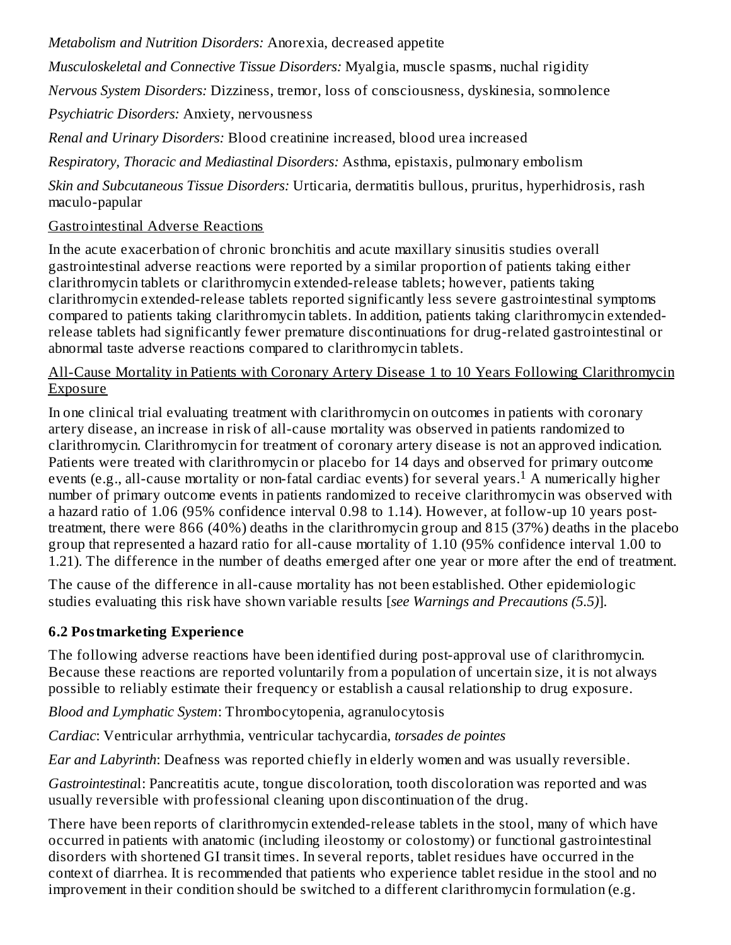*Metabolism and Nutrition Disorders:* Anorexia, decreased appetite

*Musculoskeletal and Connective Tissue Disorders:* Myalgia, muscle spasms, nuchal rigidity

*Nervous System Disorders:* Dizziness, tremor, loss of consciousness, dyskinesia, somnolence

*Psychiatric Disorders:* Anxiety, nervousness

*Renal and Urinary Disorders:* Blood creatinine increased, blood urea increased

*Respiratory, Thoracic and Mediastinal Disorders:* Asthma, epistaxis, pulmonary embolism

*Skin and Subcutaneous Tissue Disorders:* Urticaria, dermatitis bullous, pruritus, hyperhidrosis, rash maculo-papular

# Gastrointestinal Adverse Reactions

In the acute exacerbation of chronic bronchitis and acute maxillary sinusitis studies overall gastrointestinal adverse reactions were reported by a similar proportion of patients taking either clarithromycin tablets or clarithromycin extended-release tablets; however, patients taking clarithromycin extended-release tablets reported significantly less severe gastrointestinal symptoms compared to patients taking clarithromycin tablets. In addition, patients taking clarithromycin extendedrelease tablets had significantly fewer premature discontinuations for drug-related gastrointestinal or abnormal taste adverse reactions compared to clarithromycin tablets.

### All-Cause Mortality in Patients with Coronary Artery Disease 1 to 10 Years Following Clarithromycin Exposure

In one clinical trial evaluating treatment with clarithromycin on outcomes in patients with coronary artery disease, an increase in risk of all-cause mortality was observed in patients randomized to clarithromycin. Clarithromycin for treatment of coronary artery disease is not an approved indication. Patients were treated with clarithromycin or placebo for 14 days and observed for primary outcome events (e.g., all-cause mortality or non-fatal cardiac events) for several years.<sup>1</sup> A numerically higher number of primary outcome events in patients randomized to receive clarithromycin was observed with a hazard ratio of 1.06 (95% confidence interval 0.98 to 1.14). However, at follow-up 10 years posttreatment, there were 866 (40%) deaths in the clarithromycin group and 815 (37%) deaths in the placebo group that represented a hazard ratio for all-cause mortality of 1.10 (95% confidence interval 1.00 to 1.21). The difference in the number of deaths emerged after one year or more after the end of treatment.

The cause of the difference in all-cause mortality has not been established. Other epidemiologic studies evaluating this risk have shown variable results [*see Warnings and Precautions (5.5)*].

# **6.2 Postmarketing Experience**

The following adverse reactions have been identified during post-approval use of clarithromycin. Because these reactions are reported voluntarily from a population of uncertain size, it is not always possible to reliably estimate their frequency or establish a causal relationship to drug exposure.

*Blood and Lymphatic System*: Thrombocytopenia, agranulocytosis

*Cardiac*: Ventricular arrhythmia, ventricular tachycardia, *torsades de pointes*

*Ear and Labyrinth*: Deafness was reported chiefly in elderly women and was usually reversible.

*Gastrointestina*l: Pancreatitis acute, tongue discoloration, tooth discoloration was reported and was usually reversible with professional cleaning upon discontinuation of the drug.

There have been reports of clarithromycin extended-release tablets in the stool, many of which have occurred in patients with anatomic (including ileostomy or colostomy) or functional gastrointestinal disorders with shortened GI transit times. In several reports, tablet residues have occurred in the context of diarrhea. It is recommended that patients who experience tablet residue in the stool and no improvement in their condition should be switched to a different clarithromycin formulation (e.g.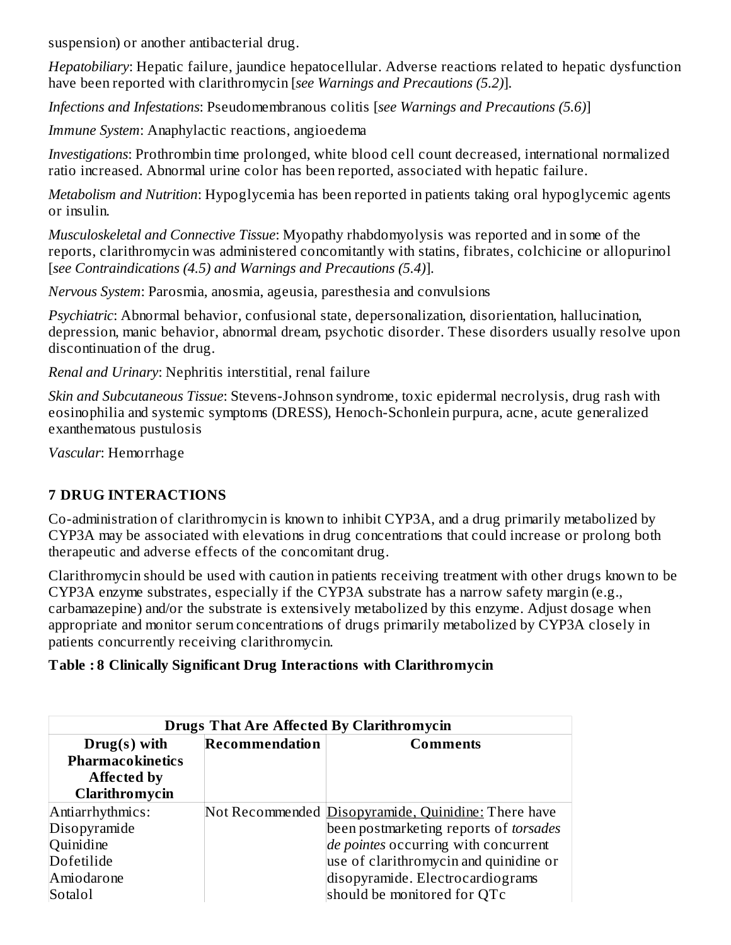suspension) or another antibacterial drug.

*Hepatobiliary*: Hepatic failure, jaundice hepatocellular. Adverse reactions related to hepatic dysfunction have been reported with clarithromycin [*see Warnings and Precautions (5.2)*].

*Infections and Infestations*: Pseudomembranous colitis [*see Warnings and Precautions (5.6)*]

*Immune System*: Anaphylactic reactions, angioedema

*Investigations*: Prothrombin time prolonged, white blood cell count decreased, international normalized ratio increased. Abnormal urine color has been reported, associated with hepatic failure.

*Metabolism and Nutrition*: Hypoglycemia has been reported in patients taking oral hypoglycemic agents or insulin.

*Musculoskeletal and Connective Tissue*: Myopathy rhabdomyolysis was reported and in some of the reports, clarithromycin was administered concomitantly with statins, fibrates, colchicine or allopurinol [*see Contraindications (4.5) and Warnings and Precautions (5.4)*].

*Nervous System*: Parosmia, anosmia, ageusia, paresthesia and convulsions

*Psychiatric*: Abnormal behavior, confusional state, depersonalization, disorientation, hallucination, depression, manic behavior, abnormal dream, psychotic disorder. These disorders usually resolve upon discontinuation of the drug.

*Renal and Urinary*: Nephritis interstitial, renal failure

*Skin and Subcutaneous Tissue*: Stevens-Johnson syndrome, toxic epidermal necrolysis, drug rash with eosinophilia and systemic symptoms (DRESS), Henoch-Schonlein purpura, acne, acute generalized exanthematous pustulosis

*Vascular*: Hemorrhage

## **7 DRUG INTERACTIONS**

Co-administration of clarithromycin is known to inhibit CYP3A, and a drug primarily metabolized by CYP3A may be associated with elevations in drug concentrations that could increase or prolong both therapeutic and adverse effects of the concomitant drug.

Clarithromycin should be used with caution in patients receiving treatment with other drugs known to be CYP3A enzyme substrates, especially if the CYP3A substrate has a narrow safety margin (e.g., carbamazepine) and/or the substrate is extensively metabolized by this enzyme. Adjust dosage when appropriate and monitor serum concentrations of drugs primarily metabolized by CYP3A closely in patients concurrently receiving clarithromycin.

#### **Table : 8 Clinically Significant Drug Interactions with Clarithromycin**

| <b>Drugs That Are Affected By Clarithromycin</b> |                |                                                     |  |
|--------------------------------------------------|----------------|-----------------------------------------------------|--|
| $Drug(s)$ with                                   | Recommendation | Comments                                            |  |
| Pharmacokinetics                                 |                |                                                     |  |
| <b>Affected by</b>                               |                |                                                     |  |
| <b>Clarithromycin</b>                            |                |                                                     |  |
| Antiarrhythmics:                                 |                | Not Recommended Disopyramide, Quinidine: There have |  |
| Disopyramide                                     |                | been postmarketing reports of torsades              |  |
| Quinidine                                        |                | de pointes occurring with concurrent                |  |
| Dofetilide                                       |                | use of clarithromycin and quinidine or              |  |
| Amiodarone                                       |                | disopyramide. Electrocardiograms                    |  |
| Sotalol                                          |                | should be monitored for QTc                         |  |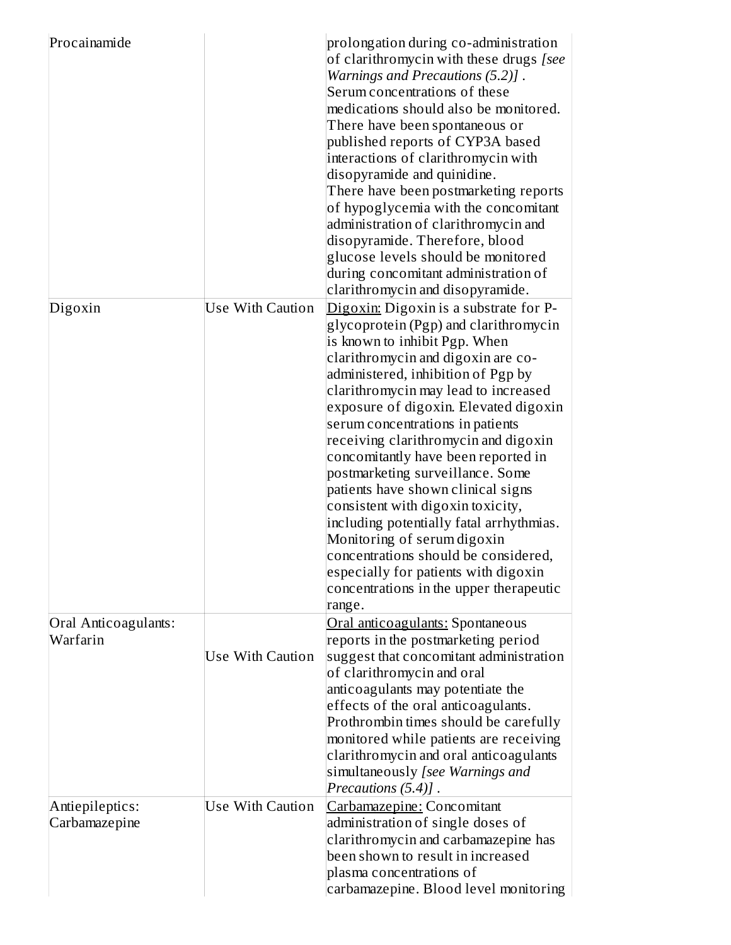| Procainamide                     |                         | prolongation during co-administration<br>of clarithromycin with these drugs [see<br>Warnings and Precautions (5.2)].<br>Serum concentrations of these<br>medications should also be monitored.<br>There have been spontaneous or<br>published reports of CYP3A based<br>interactions of clarithromycin with<br>disopyramide and quinidine.<br>There have been postmarketing reports<br>of hypoglycemia with the concomitant<br>administration of clarithromycin and<br>disopyramide. Therefore, blood<br>glucose levels should be monitored<br>during concomitant administration of<br>clarithromycin and disopyramide.                                                                                                         |
|----------------------------------|-------------------------|---------------------------------------------------------------------------------------------------------------------------------------------------------------------------------------------------------------------------------------------------------------------------------------------------------------------------------------------------------------------------------------------------------------------------------------------------------------------------------------------------------------------------------------------------------------------------------------------------------------------------------------------------------------------------------------------------------------------------------|
| Digoxin                          | <b>Use With Caution</b> | Digoxin: Digoxin is a substrate for P-<br>glycoprotein (Pgp) and clarithromycin<br>is known to inhibit Pgp. When<br>clarithromycin and digoxin are co-<br>administered, inhibition of Pgp by<br>clarithromycin may lead to increased<br>exposure of digoxin. Elevated digoxin<br>serum concentrations in patients<br>receiving clarithromycin and digoxin<br>concomitantly have been reported in<br>postmarketing surveillance. Some<br>patients have shown clinical signs<br>consistent with digoxin toxicity,<br>including potentially fatal arrhythmias.<br>Monitoring of serum digoxin<br>concentrations should be considered,<br>especially for patients with digoxin<br>concentrations in the upper therapeutic<br>range. |
| Oral Anticoagulants:<br>Warfarin | <b>Use With Caution</b> | Oral anticoagulants: Spontaneous<br>reports in the postmarketing period<br>suggest that concomitant administration<br>of clarithromycin and oral<br>anticoagulants may potentiate the<br>effects of the oral anticoagulants.<br>Prothrombin times should be carefully<br>monitored while patients are receiving<br>clarithromycin and oral anticoagulants<br>simultaneously [see Warnings and<br>Precautions (5.4)].                                                                                                                                                                                                                                                                                                            |
| Antiepileptics:<br>Carbamazepine | <b>Use With Caution</b> | Carbamazepine: Concomitant<br>administration of single doses of<br>clarithromycin and carbamazepine has<br>been shown to result in increased<br>plasma concentrations of<br>carbamazepine. Blood level monitoring                                                                                                                                                                                                                                                                                                                                                                                                                                                                                                               |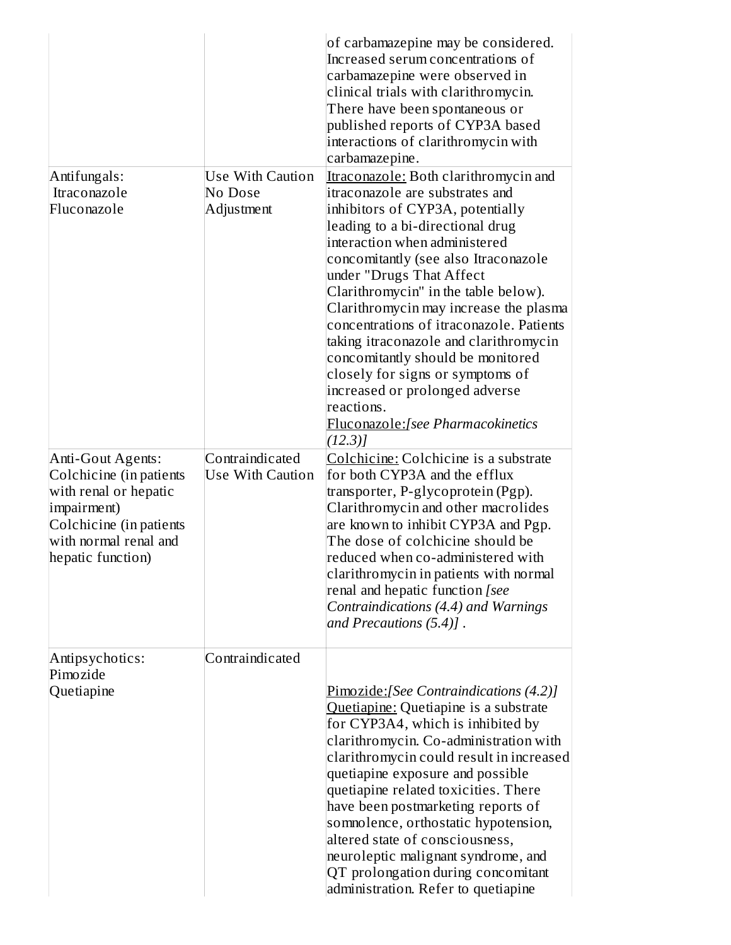| Antifungals:<br>Itraconazole<br>Fluconazole                                          | <b>Use With Caution</b><br>No Dose<br>Adjustment | of carbamazepine may be considered.<br>Increased serum concentrations of<br>carbamazepine were observed in<br>clinical trials with clarithromycin.<br>There have been spontaneous or<br>published reports of CYP3A based<br>interactions of clarithromycin with<br>carbamazepine.<br>Itraconazole: Both clarithromycin and<br>itraconazole are substrates and<br>inhibitors of CYP3A, potentially<br>leading to a bi-directional drug<br>interaction when administered<br>concomitantly (see also Itraconazole<br>under "Drugs That Affect<br>Clarithromycin" in the table below).<br>Clarithromycin may increase the plasma<br>concentrations of itraconazole. Patients<br>taking itraconazole and clarithromycin<br>concomitantly should be monitored<br>closely for signs or symptoms of<br>increased or prolonged adverse<br>reactions.<br><b>Fluconazole:</b> [see Pharmacokinetics]<br>(12.3) |
|--------------------------------------------------------------------------------------|--------------------------------------------------|-----------------------------------------------------------------------------------------------------------------------------------------------------------------------------------------------------------------------------------------------------------------------------------------------------------------------------------------------------------------------------------------------------------------------------------------------------------------------------------------------------------------------------------------------------------------------------------------------------------------------------------------------------------------------------------------------------------------------------------------------------------------------------------------------------------------------------------------------------------------------------------------------------|
| Anti-Gout Agents:<br>Colchicine (in patients<br>with renal or hepatic                | Contraindicated<br><b>Use With Caution</b>       | Colchicine: Colchicine is a substrate<br>for both CYP3A and the efflux<br>transporter, P-glycoprotein (Pgp).                                                                                                                                                                                                                                                                                                                                                                                                                                                                                                                                                                                                                                                                                                                                                                                        |
| impairment)<br>Colchicine (in patients<br>with normal renal and<br>hepatic function) |                                                  | Clarithromycin and other macrolides<br>are known to inhibit CYP3A and Pgp.<br>The dose of colchicine should be<br>reduced when co-administered with<br>clarithromycin in patients with normal                                                                                                                                                                                                                                                                                                                                                                                                                                                                                                                                                                                                                                                                                                       |
|                                                                                      |                                                  | renal and hepatic function [see<br>Contraindications (4.4) and Warnings<br>and Precautions $(5.4)$ .                                                                                                                                                                                                                                                                                                                                                                                                                                                                                                                                                                                                                                                                                                                                                                                                |
| Antipsychotics:<br>Pimozide                                                          | Contraindicated                                  |                                                                                                                                                                                                                                                                                                                                                                                                                                                                                                                                                                                                                                                                                                                                                                                                                                                                                                     |
| Quetiapine                                                                           |                                                  | <b>Pimozide:</b> [See Contraindications (4.2)]<br>Quetiapine: Quetiapine is a substrate<br>for CYP3A4, which is inhibited by<br>clarithromycin. Co-administration with                                                                                                                                                                                                                                                                                                                                                                                                                                                                                                                                                                                                                                                                                                                              |
|                                                                                      |                                                  | clarithromycin could result in increased<br>quetiapine exposure and possible<br>quetiapine related toxicities. There                                                                                                                                                                                                                                                                                                                                                                                                                                                                                                                                                                                                                                                                                                                                                                                |
|                                                                                      |                                                  | have been postmarketing reports of<br>somnolence, orthostatic hypotension,<br>altered state of consciousness,                                                                                                                                                                                                                                                                                                                                                                                                                                                                                                                                                                                                                                                                                                                                                                                       |
|                                                                                      |                                                  | neuroleptic malignant syndrome, and<br>QT prolongation during concomitant<br>administration. Refer to quetiapine                                                                                                                                                                                                                                                                                                                                                                                                                                                                                                                                                                                                                                                                                                                                                                                    |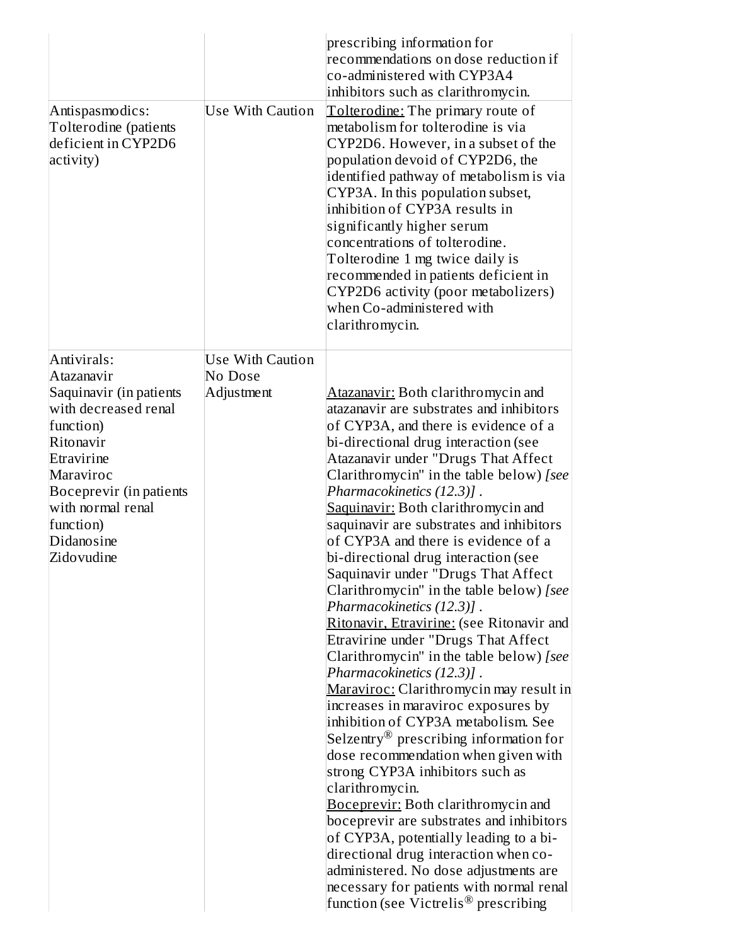| Antispasmodics:<br>Tolterodine (patients<br>deficient in CYP2D6<br>activity)                                                                                                                                               | <b>Use With Caution</b>                          | prescribing information for<br>recommendations on dose reduction if<br>co-administered with CYP3A4<br>inhibitors such as clarithromycin.<br>Tolterodine: The primary route of<br>metabolism for tolterodine is via<br>CYP2D6. However, in a subset of the<br>population devoid of CYP2D6, the<br>identified pathway of metabolism is via<br>CYP3A. In this population subset,<br>inhibition of CYP3A results in<br>significantly higher serum<br>concentrations of tolterodine.<br>Tolterodine 1 mg twice daily is<br>recommended in patients deficient in<br>CYP2D6 activity (poor metabolizers)<br>when Co-administered with<br>clarithromycin.                                                                                                                                                                                                                                                                                                                                                                                                                                                                                                                                                                                                                                                                                       |
|----------------------------------------------------------------------------------------------------------------------------------------------------------------------------------------------------------------------------|--------------------------------------------------|-----------------------------------------------------------------------------------------------------------------------------------------------------------------------------------------------------------------------------------------------------------------------------------------------------------------------------------------------------------------------------------------------------------------------------------------------------------------------------------------------------------------------------------------------------------------------------------------------------------------------------------------------------------------------------------------------------------------------------------------------------------------------------------------------------------------------------------------------------------------------------------------------------------------------------------------------------------------------------------------------------------------------------------------------------------------------------------------------------------------------------------------------------------------------------------------------------------------------------------------------------------------------------------------------------------------------------------------|
| Antivirals:<br>Atazanavir<br>Saquinavir (in patients<br>with decreased renal<br>function)<br>Ritonavir<br>Etravirine<br>Maraviroc<br>Boceprevir (in patients<br>with normal renal<br>function)<br>Didanosine<br>Zidovudine | <b>Use With Caution</b><br>No Dose<br>Adjustment | <b>Atazanavir:</b> Both clarithromycin and<br>atazanavir are substrates and inhibitors<br>of CYP3A, and there is evidence of a<br>bi-directional drug interaction (see<br>Atazanavir under "Drugs That Affect<br>Clarithromycin" in the table below) [see<br>Pharmacokinetics (12.3)].<br>Saquinavir: Both clarithromycin and<br>saquinavir are substrates and inhibitors<br>of CYP3A and there is evidence of a<br>bi-directional drug interaction (see<br>Saquinavir under "Drugs That Affect<br>Clarithromycin" in the table below) [see<br>Pharmacokinetics (12.3)].<br>Ritonavir, Etravirine: (see Ritonavir and<br>Etravirine under "Drugs That Affect<br>Clarithromycin" in the table below) [see<br>Pharmacokinetics (12.3)].<br>Maraviroc: Clarithromycin may result in<br>increases in maraviroc exposures by<br>inhibition of CYP3A metabolism. See<br>Selzentry <sup>®</sup> prescribing information for<br>dose recommendation when given with<br>strong CYP3A inhibitors such as<br>clarithromycin.<br><b>Boceprevir: Both clarithromycin and</b><br>boceprevir are substrates and inhibitors<br>of CYP3A, potentially leading to a bi-<br>directional drug interaction when co-<br>administered. No dose adjustments are<br>necessary for patients with normal renal<br>function (see Victrelis $^\circledR$ prescribing |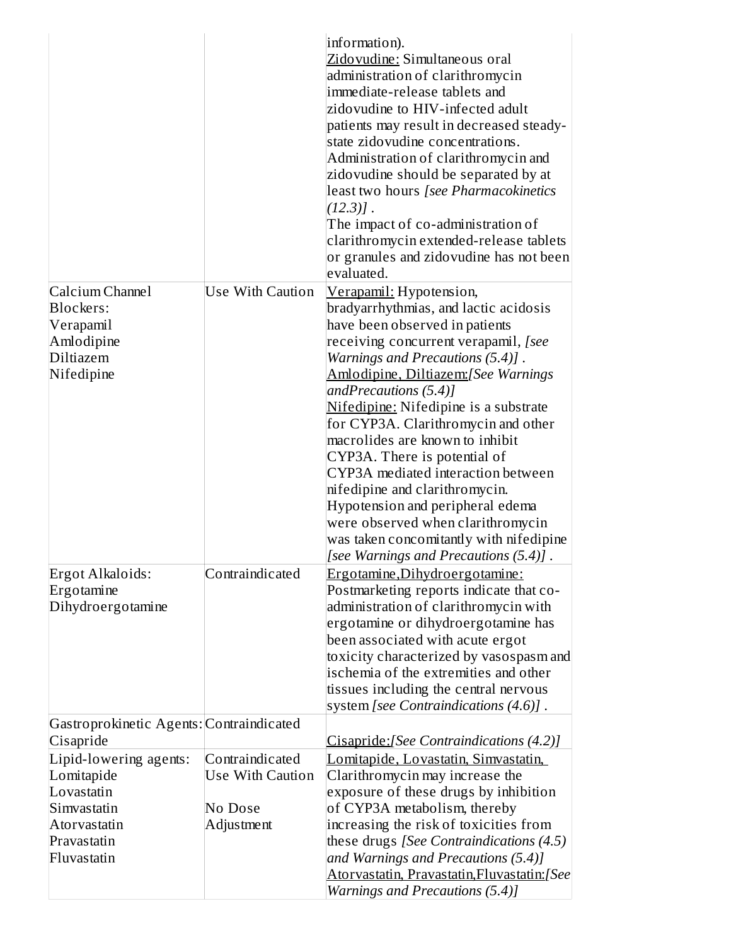|                                                                                                                 |                                                                     | information).<br>Zidovudine: Simultaneous oral<br>administration of clarithromycin<br>immediate-release tablets and<br>zidovudine to HIV-infected adult<br>patients may result in decreased steady-<br>state zidovudine concentrations.<br>Administration of clarithromycin and<br>zidovudine should be separated by at<br>least two hours [see Pharmacokinetics<br>$(12.3)$ ].<br>The impact of co-administration of<br>clarithromycin extended-release tablets<br>or granules and zidovudine has not been<br>evaluated.                                                                                                                          |
|-----------------------------------------------------------------------------------------------------------------|---------------------------------------------------------------------|----------------------------------------------------------------------------------------------------------------------------------------------------------------------------------------------------------------------------------------------------------------------------------------------------------------------------------------------------------------------------------------------------------------------------------------------------------------------------------------------------------------------------------------------------------------------------------------------------------------------------------------------------|
| Calcium Channel<br>Blockers:<br>Verapamil<br>Amlodipine<br><b>Diltiazem</b><br>Nifedipine                       | <b>Use With Caution</b>                                             | <u> Verapamil:</u> Hypotension,<br>bradyarrhythmias, and lactic acidosis<br>have been observed in patients<br>receiving concurrent verapamil, [see<br>Warnings and Precautions (5.4)].<br>Amlodipine, Diltiazem: [See Warnings<br>andPrecautions $(5.4)$ ]<br>Nifedipine: Nifedipine is a substrate<br>for CYP3A. Clarithromycin and other<br>macrolides are known to inhibit<br>CYP3A. There is potential of<br>CYP3A mediated interaction between<br>nifedipine and clarithromycin.<br>Hypotension and peripheral edema<br>were observed when clarithromycin<br>was taken concomitantly with nifedipine<br>[see Warnings and Precautions (5.4)]. |
| Ergot Alkaloids:<br>Ergotamine<br>Dihydroergotamine                                                             | Contraindicated                                                     | Ergotamine, Dihydroergotamine:<br>Postmarketing reports indicate that co-<br>administration of clarithromycin with<br>ergotamine or dihydroergotamine has<br>been associated with acute ergot<br>toxicity characterized by vasospasm and<br>ischemia of the extremities and other<br>tissues including the central nervous<br>system [see Contraindications (4.6)].                                                                                                                                                                                                                                                                                |
| Gastroprokinetic Agents: Contraindicated<br>Cisapride                                                           |                                                                     |                                                                                                                                                                                                                                                                                                                                                                                                                                                                                                                                                                                                                                                    |
| Lipid-lowering agents:<br>Lomitapide<br>Lovastatin<br>Simvastatin<br>Atorvastatin<br>Pravastatin<br>Fluvastatin | Contraindicated<br><b>Use With Caution</b><br>No Dose<br>Adjustment | Cisapride: [See Contraindications (4.2)]<br>Lomitapide, Lovastatin, Simvastatin,<br>Clarithromycin may increase the<br>exposure of these drugs by inhibition<br>of CYP3A metabolism, thereby<br>increasing the risk of toxicities from<br>these drugs [See Contraindications (4.5)<br>and Warnings and Precautions (5.4)]<br>Atorvastatin, Pravastatin, Fluvastatin: [See                                                                                                                                                                                                                                                                          |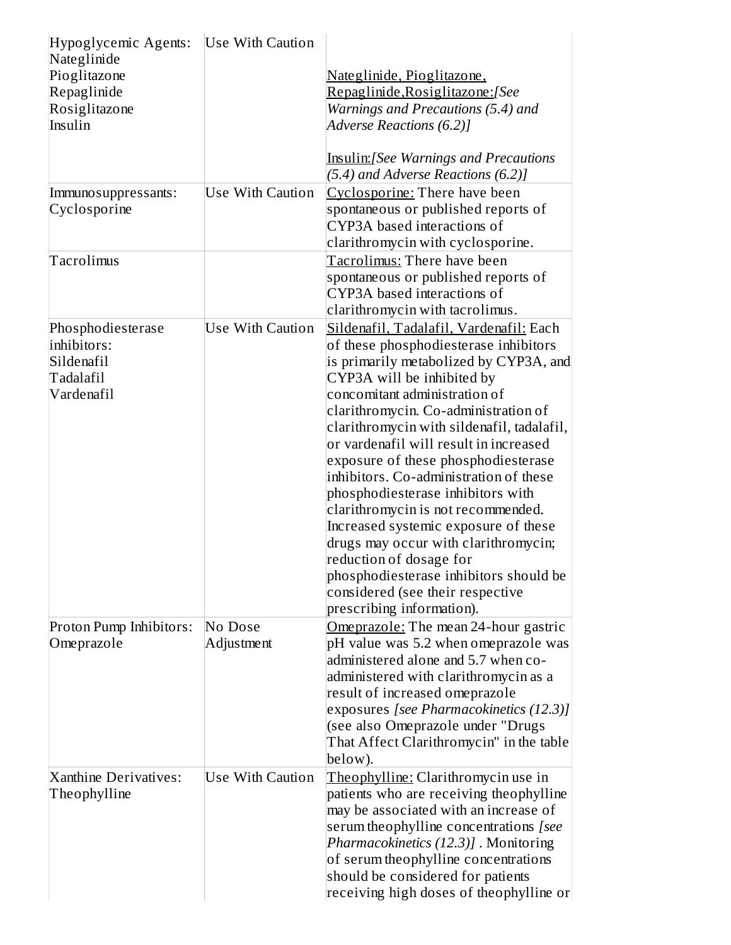| Hypoglycemic Agents:<br>Nateglinide<br>Pioglitazone<br>Repaglinide<br>Rosiglitazone<br>Insulin | <b>Use With Caution</b> | <u>Nateglinide, Pioglitazone,</u><br><u> Repaglinide, Rosiglitazone: [See</u><br>Warnings and Precautions (5.4) and<br>Adverse Reactions (6.2)]<br><b>Insulin:</b> [See Warnings and Precautions                                                                                                                                                                                                                                                                                                                                                                                                                                                                                                            |
|------------------------------------------------------------------------------------------------|-------------------------|-------------------------------------------------------------------------------------------------------------------------------------------------------------------------------------------------------------------------------------------------------------------------------------------------------------------------------------------------------------------------------------------------------------------------------------------------------------------------------------------------------------------------------------------------------------------------------------------------------------------------------------------------------------------------------------------------------------|
|                                                                                                |                         | (5.4) and Adverse Reactions (6.2)]                                                                                                                                                                                                                                                                                                                                                                                                                                                                                                                                                                                                                                                                          |
| Immuno suppressants:<br>Cyclosporine                                                           | Use With Caution        | Cyclosporine: There have been<br>spontaneous or published reports of<br>CYP3A based interactions of<br>clarithromycin with cyclosporine.                                                                                                                                                                                                                                                                                                                                                                                                                                                                                                                                                                    |
| Tacrolimus                                                                                     |                         | Tacrolimus: There have been<br>spontaneous or published reports of<br>CYP3A based interactions of<br>clarithromycin with tacrolimus.                                                                                                                                                                                                                                                                                                                                                                                                                                                                                                                                                                        |
| Phosphodiesterase<br>inhibitors:<br>Sildenafil<br>Tadalafil<br>Vardenafil                      | Use With Caution        | Sildenafil, Tadalafil, Vardenafil: Each<br>of these phosphodiesterase inhibitors<br>is primarily metabolized by CYP3A, and<br>CYP3A will be inhibited by<br>concomitant administration of<br>clarithromycin. Co-administration of<br>clarithromycin with sildenafil, tadalafil,<br>or vardenafil will result in increased<br>exposure of these phosphodiesterase<br>inhibitors. Co-administration of these<br>phosphodiesterase inhibitors with<br>clarithromycin is not recommended.<br>Increased systemic exposure of these<br>drugs may occur with clarithromycin;<br>reduction of dosage for<br>phosphodiesterase inhibitors should be<br>considered (see their respective<br>prescribing information). |
| Proton Pump Inhibitors:<br>Omeprazole                                                          | No Dose<br>Adjustment   | Omeprazole: The mean 24-hour gastric<br>pH value was 5.2 when omeprazole was<br>administered alone and 5.7 when co-<br>administered with clarithromycin as a<br>result of increased omeprazole<br>exposures [see Pharmacokinetics (12.3)]<br>(see also Omeprazole under "Drugs<br>That Affect Clarithromycin" in the table<br>below).                                                                                                                                                                                                                                                                                                                                                                       |
| Xanthine Derivatives:<br>Theophylline                                                          | <b>Use With Caution</b> | Theophylline: Clarithromycin use in<br>patients who are receiving theophylline<br>may be associated with an increase of<br>serum theophylline concentrations [see<br>Pharmacokinetics (12.3)] . Monitoring<br>of serum theophylline concentrations<br>should be considered for patients<br>receiving high doses of theophylline or                                                                                                                                                                                                                                                                                                                                                                          |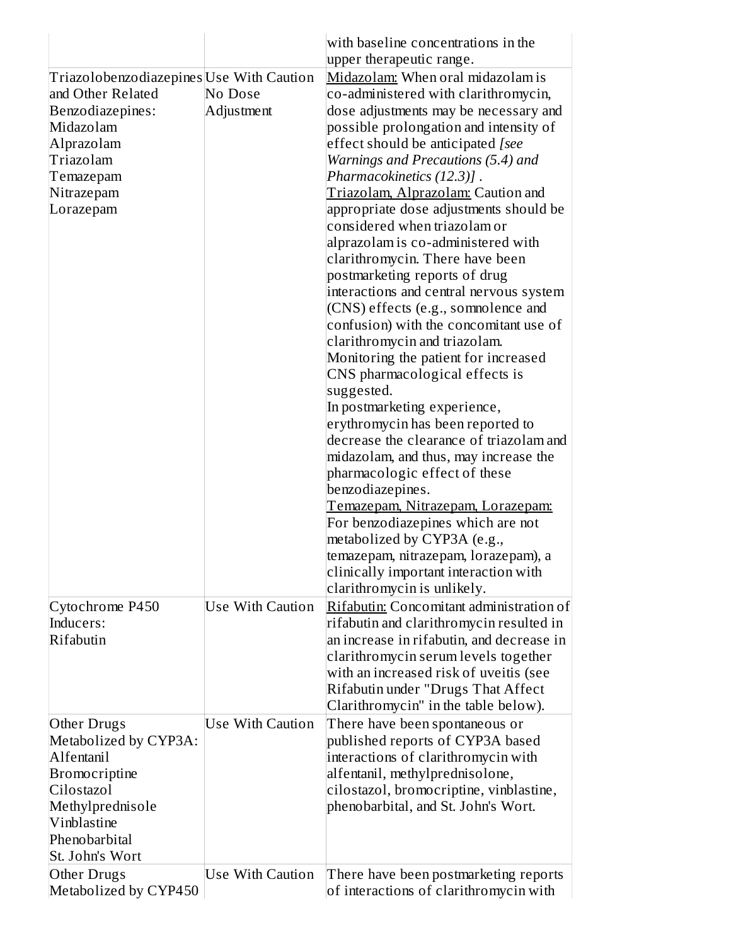| Triazolobenzodiazepines Use With Caution<br>and Other Related<br>Benzodiazepines:<br>Midazolam<br>Alprazolam<br>Triazolam<br>Temazepam<br>Nitrazepam<br>Lorazepam<br>Cytochrome P450<br>Inducers:<br>Rifabutin | No Dose<br>Adjustment<br><b>Use With Caution</b> | with baseline concentrations in the<br>upper therapeutic range.<br>Midazolam: When oral midazolam is<br>co-administered with clarithromycin,<br>dose adjustments may be necessary and<br>possible prolongation and intensity of<br>effect should be anticipated [see<br>Warnings and Precautions (5.4) and<br>Pharmacokinetics (12.3)].<br>Triazolam, Alprazolam: Caution and<br>appropriate dose adjustments should be<br>considered when triazolam or<br>alprazolam is co-administered with<br>clarithromycin. There have been<br>postmarketing reports of drug<br>interactions and central nervous system<br>(CNS) effects (e.g., sommolence and<br>confusion) with the concomitant use of<br>clarithromycin and triazolam.<br>Monitoring the patient for increased<br>CNS pharmacological effects is<br>suggested.<br>In postmarketing experience,<br>erythromycin has been reported to<br>decrease the clearance of triazolam and<br>midazolam, and thus, may increase the<br>pharmacologic effect of these<br>benzodiazepines.<br><u>Temazepam, Nitrazepam, Lorazepam:</u><br>For benzodiazepines which are not<br>metabolized by CYP3A (e.g.,<br>temazepam, nitrazepam, lorazepam), a<br>clinically important interaction with<br>clarithromycin is unlikely.<br>Rifabutin: Concomitant administration of<br>rifabutin and clarithromycin resulted in<br>an increase in rifabutin, and decrease in |
|----------------------------------------------------------------------------------------------------------------------------------------------------------------------------------------------------------------|--------------------------------------------------|-----------------------------------------------------------------------------------------------------------------------------------------------------------------------------------------------------------------------------------------------------------------------------------------------------------------------------------------------------------------------------------------------------------------------------------------------------------------------------------------------------------------------------------------------------------------------------------------------------------------------------------------------------------------------------------------------------------------------------------------------------------------------------------------------------------------------------------------------------------------------------------------------------------------------------------------------------------------------------------------------------------------------------------------------------------------------------------------------------------------------------------------------------------------------------------------------------------------------------------------------------------------------------------------------------------------------------------------------------------------------------------------------------------|
|                                                                                                                                                                                                                |                                                  | clarithromycin serum levels together<br>with an increased risk of uveitis (see<br>Rifabutin under "Drugs That Affect<br>Clarithromycin" in the table below).                                                                                                                                                                                                                                                                                                                                                                                                                                                                                                                                                                                                                                                                                                                                                                                                                                                                                                                                                                                                                                                                                                                                                                                                                                              |
| Other Drugs<br>Metabolized by CYP3A:<br>Alfentanil<br><b>Bromocriptine</b><br>Cilostazol<br>Methylprednisole<br>Vinblastine<br>Phenobarbital<br>St. John's Wort<br>Other Drugs                                 | Use With Caution<br><b>Use With Caution</b>      | There have been spontaneous or<br>published reports of CYP3A based<br>interactions of clarithromycin with<br>alfentanil, methylprednisolone,<br>cilostazol, bromocriptine, vinblastine,<br>phenobarbital, and St. John's Wort.<br>There have been postmarketing reports                                                                                                                                                                                                                                                                                                                                                                                                                                                                                                                                                                                                                                                                                                                                                                                                                                                                                                                                                                                                                                                                                                                                   |
| Metabolized by CYP450                                                                                                                                                                                          |                                                  | of interactions of clarithromycin with                                                                                                                                                                                                                                                                                                                                                                                                                                                                                                                                                                                                                                                                                                                                                                                                                                                                                                                                                                                                                                                                                                                                                                                                                                                                                                                                                                    |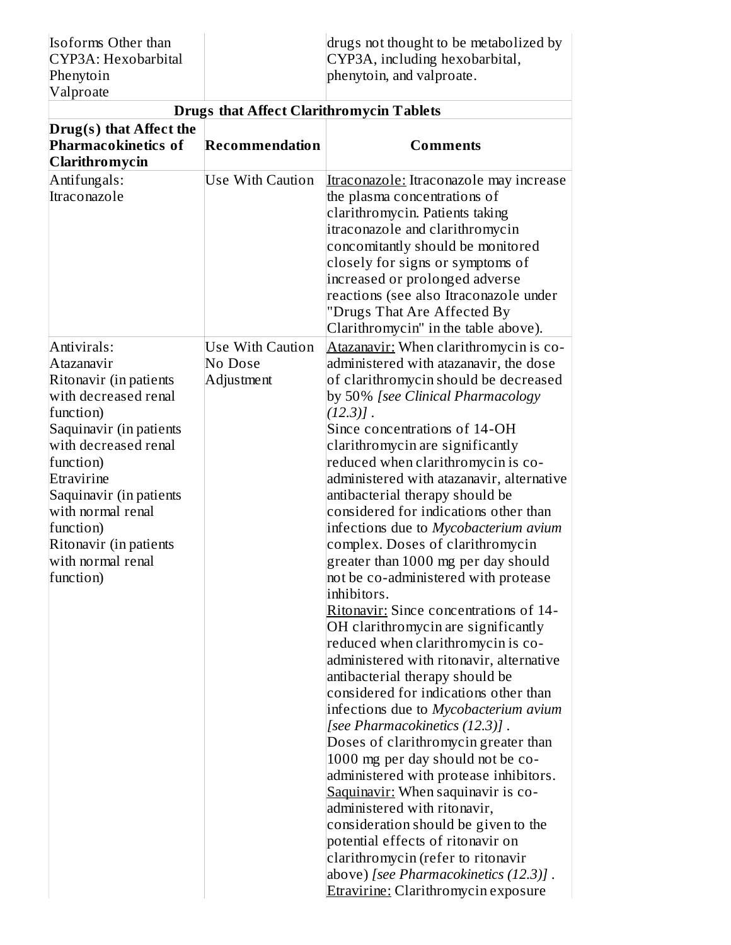| Isoforms Other than | drugs not thought to be metabolized by |
|---------------------|----------------------------------------|
| CYP3A: Hexobarbital | CYP3A, including hexobarbital,         |
| Phenytoin           | phenytoin, and valproate.              |
| Valproate           |                                        |

|                                                                                                                                                                                                                                                                                                 | <b>Drugs that Affect Clarithromycin Tablets</b>  |                                                                                                                                                                                                                                                                                                                                                                                                                                                                                                                                                                                                                                                                                                                                                                                                                                                                                                                                                                                                                                                                               |  |  |
|-------------------------------------------------------------------------------------------------------------------------------------------------------------------------------------------------------------------------------------------------------------------------------------------------|--------------------------------------------------|-------------------------------------------------------------------------------------------------------------------------------------------------------------------------------------------------------------------------------------------------------------------------------------------------------------------------------------------------------------------------------------------------------------------------------------------------------------------------------------------------------------------------------------------------------------------------------------------------------------------------------------------------------------------------------------------------------------------------------------------------------------------------------------------------------------------------------------------------------------------------------------------------------------------------------------------------------------------------------------------------------------------------------------------------------------------------------|--|--|
| Drug(s) that Affect the<br>Pharmacokinetics of<br><b>Clarithromycin</b>                                                                                                                                                                                                                         | Recommendation                                   | <b>Comments</b><br>Itraconazole: Itraconazole may increase<br>the plasma concentrations of<br>clarithromycin. Patients taking<br>itraconazole and clarithromycin<br>concomitantly should be monitored<br>closely for signs or symptoms of<br>increased or prolonged adverse<br>reactions (see also Itraconazole under<br>"Drugs That Are Affected By<br>Clarithromycin" in the table above).<br>Atazanavir: When clarithromycin is co-<br>administered with atazanavir, the dose<br>of clarithromycin should be decreased<br>by 50% [see Clinical Pharmacology<br>$(12.3)$ ].<br>Since concentrations of 14-OH<br>clarithromycin are significantly<br>reduced when clarithromycin is co-<br>administered with atazanavir, alternative<br>antibacterial therapy should be<br>considered for indications other than<br>infections due to Mycobacterium avium<br>complex. Doses of clarithromycin<br>greater than 1000 mg per day should<br>not be co-administered with protease<br>inhibitors.<br>Ritonavir: Since concentrations of 14-<br>OH clarithromycin are significantly |  |  |
| Antifungals:<br>Itraconazole                                                                                                                                                                                                                                                                    | <b>Use With Caution</b>                          |                                                                                                                                                                                                                                                                                                                                                                                                                                                                                                                                                                                                                                                                                                                                                                                                                                                                                                                                                                                                                                                                               |  |  |
| Antivirals:<br>Atazanavir<br>Ritonavir (in patients<br>with decreased renal<br>function)<br>Saquinavir (in patients<br>with decreased renal<br>function)<br>Etravirine<br>Saquinavir (in patients<br>with normal renal<br>function)<br>Ritonavir (in patients<br>with normal renal<br>function) | <b>Use With Caution</b><br>No Dose<br>Adjustment | reduced when clarithromycin is co-<br>administered with ritonavir, alternative<br>antibacterial therapy should be<br>considered for indications other than<br>infections due to Mycobacterium avium<br>[see Pharmacokinetics (12.3)].<br>Doses of clarithromycin greater than<br>1000 mg per day should not be co-<br>administered with protease inhibitors.<br>Saquinavir: When saquinavir is co-<br>administered with ritonavir,<br>consideration should be given to the<br>potential effects of ritonavir on<br>clarithromycin (refer to ritonavir<br>above) [see Pharmacokinetics (12.3)].                                                                                                                                                                                                                                                                                                                                                                                                                                                                                |  |  |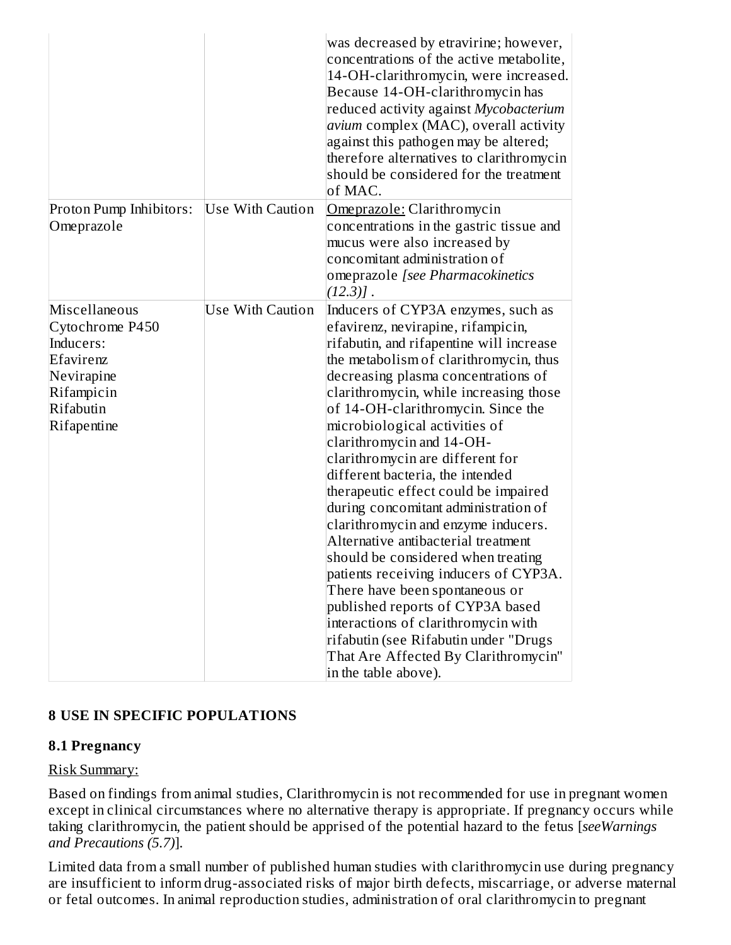|                                                                                                                    |                         | was decreased by etravirine; however,<br>concentrations of the active metabolite,<br>14-OH-clarithromycin, were increased.<br>Because 14-OH-clarithromycin has<br>reduced activity against Mycobacterium<br>avium complex (MAC), overall activity<br>against this pathogen may be altered;<br>therefore alternatives to clarithromycin<br>should be considered for the treatment<br>of MAC.                                                                                                                                                                                                                                                                                                                                                                                                                                                                                                    |
|--------------------------------------------------------------------------------------------------------------------|-------------------------|------------------------------------------------------------------------------------------------------------------------------------------------------------------------------------------------------------------------------------------------------------------------------------------------------------------------------------------------------------------------------------------------------------------------------------------------------------------------------------------------------------------------------------------------------------------------------------------------------------------------------------------------------------------------------------------------------------------------------------------------------------------------------------------------------------------------------------------------------------------------------------------------|
| Proton Pump Inhibitors:<br>Omeprazole                                                                              | <b>Use With Caution</b> | Omeprazole: Clarithromycin<br>concentrations in the gastric tissue and<br>mucus were also increased by<br>concomitant administration of<br>omeprazole [see Pharmacokinetics<br>$(12.3)$ ]                                                                                                                                                                                                                                                                                                                                                                                                                                                                                                                                                                                                                                                                                                      |
| Miscellaneous<br>Cytochrome P450<br>Inducers:<br>Efavirenz<br>Nevirapine<br>Rifampicin<br>Rifabutin<br>Rifapentine | <b>Use With Caution</b> | Inducers of CYP3A enzymes, such as<br>efavirenz, nevirapine, rifampicin,<br>rifabutin, and rifapentine will increase<br>the metabolism of clarithromycin, thus<br>decreasing plasma concentrations of<br>clarithromycin, while increasing those<br>of 14-OH-clarithromycin. Since the<br>microbiological activities of<br>clarithromycin and 14-OH-<br>clarithromycin are different for<br>different bacteria, the intended<br>therapeutic effect could be impaired<br>during concomitant administration of<br>clarithromycin and enzyme inducers.<br>Alternative antibacterial treatment<br>should be considered when treating<br>patients receiving inducers of CYP3A.<br>There have been spontaneous or<br>published reports of CYP3A based<br>interactions of clarithromycin with<br>rifabutin (see Rifabutin under "Drugs<br>That Are Affected By Clarithromycin"<br>in the table above). |

## **8 USE IN SPECIFIC POPULATIONS**

#### **8.1 Pregnancy**

### Risk Summary:

Based on findings from animal studies, Clarithromycin is not recommended for use in pregnant women except in clinical circumstances where no alternative therapy is appropriate. If pregnancy occurs while taking clarithromycin, the patient should be apprised of the potential hazard to the fetus [*seeWarnings and Precautions (5.7)*].

Limited data from a small number of published human studies with clarithromycin use during pregnancy are insufficient to inform drug-associated risks of major birth defects, miscarriage, or adverse maternal or fetal outcomes. In animal reproduction studies, administration of oral clarithromycin to pregnant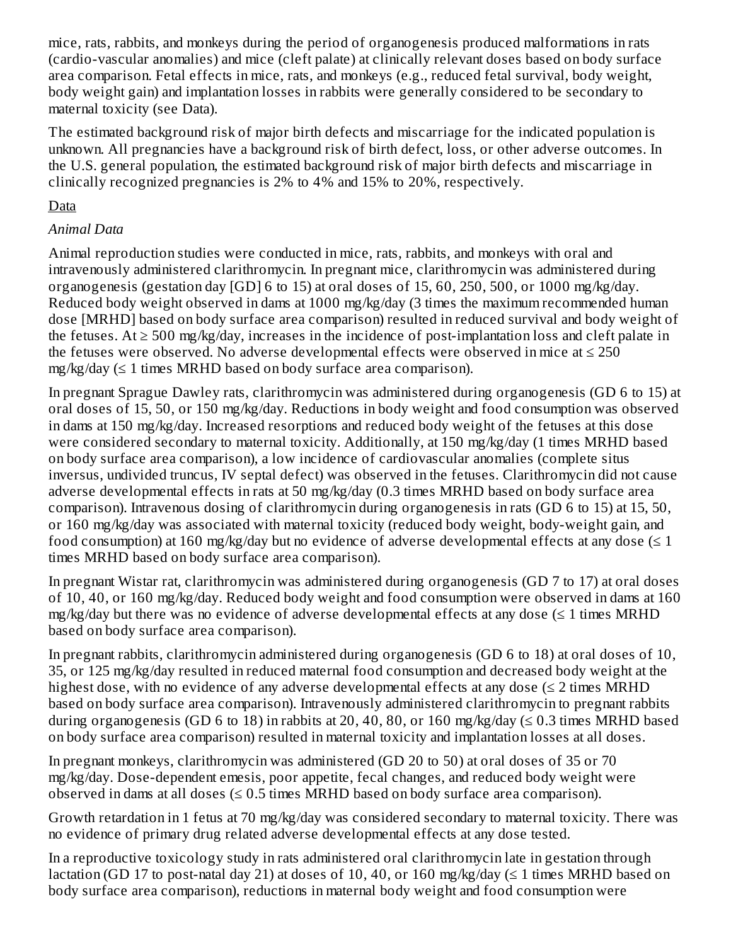mice, rats, rabbits, and monkeys during the period of organogenesis produced malformations in rats (cardio-vascular anomalies) and mice (cleft palate) at clinically relevant doses based on body surface area comparison. Fetal effects in mice, rats, and monkeys (e.g., reduced fetal survival, body weight, body weight gain) and implantation losses in rabbits were generally considered to be secondary to maternal toxicity (see Data).

The estimated background risk of major birth defects and miscarriage for the indicated population is unknown. All pregnancies have a background risk of birth defect, loss, or other adverse outcomes. In the U.S. general population, the estimated background risk of major birth defects and miscarriage in clinically recognized pregnancies is 2% to 4% and 15% to 20%, respectively.

## Data

## *Animal Data*

Animal reproduction studies were conducted in mice, rats, rabbits, and monkeys with oral and intravenously administered clarithromycin. In pregnant mice, clarithromycin was administered during organogenesis (gestation day [GD] 6 to 15) at oral doses of 15, 60, 250, 500, or 1000 mg/kg/day. Reduced body weight observed in dams at 1000 mg/kg/day (3 times the maximum recommended human dose [MRHD] based on body surface area comparison) resulted in reduced survival and body weight of the fetuses. At  $\geq 500$  mg/kg/day, increases in the incidence of post-implantation loss and cleft palate in the fetuses were observed. No adverse developmental effects were observed in mice at  $\leq 250$ mg/kg/day (≤ 1 times MRHD based on body surface area comparison).

In pregnant Sprague Dawley rats, clarithromycin was administered during organogenesis (GD 6 to 15) at oral doses of 15, 50, or 150 mg/kg/day. Reductions in body weight and food consumption was observed in dams at 150 mg/kg/day. Increased resorptions and reduced body weight of the fetuses at this dose were considered secondary to maternal toxicity. Additionally, at 150 mg/kg/day (1 times MRHD based on body surface area comparison), a low incidence of cardiovascular anomalies (complete situs inversus, undivided truncus, IV septal defect) was observed in the fetuses. Clarithromycin did not cause adverse developmental effects in rats at 50 mg/kg/day (0.3 times MRHD based on body surface area comparison). Intravenous dosing of clarithromycin during organogenesis in rats (GD 6 to 15) at 15, 50, or 160 mg/kg/day was associated with maternal toxicity (reduced body weight, body-weight gain, and food consumption) at 160 mg/kg/day but no evidence of adverse developmental effects at any dose  $(\leq 1)$ times MRHD based on body surface area comparison).

In pregnant Wistar rat, clarithromycin was administered during organogenesis (GD 7 to 17) at oral doses of 10, 40, or 160 mg/kg/day. Reduced body weight and food consumption were observed in dams at 160  $mg/kg$ /day but there was no evidence of adverse developmental effects at any dose ( $\leq 1$  times MRHD based on body surface area comparison).

In pregnant rabbits, clarithromycin administered during organogenesis (GD 6 to 18) at oral doses of 10, 35, or 125 mg/kg/day resulted in reduced maternal food consumption and decreased body weight at the highest dose, with no evidence of any adverse developmental effects at any dose  $(\leq 2 \text{ times } MRHD)$ based on body surface area comparison). Intravenously administered clarithromycin to pregnant rabbits during organogenesis (GD 6 to 18) in rabbits at 20, 40, 80, or 160 mg/kg/day ( $\leq 0.3$  times MRHD based on body surface area comparison) resulted in maternal toxicity and implantation losses at all doses.

In pregnant monkeys, clarithromycin was administered (GD 20 to 50) at oral doses of 35 or 70 mg/kg/day. Dose-dependent emesis, poor appetite, fecal changes, and reduced body weight were observed in dams at all doses  $(\leq 0.5$  times MRHD based on body surface area comparison).

Growth retardation in 1 fetus at 70 mg/kg/day was considered secondary to maternal toxicity. There was no evidence of primary drug related adverse developmental effects at any dose tested.

In a reproductive toxicology study in rats administered oral clarithromycin late in gestation through lactation (GD 17 to post-natal day 21) at doses of 10, 40, or 160 mg/kg/day ( $\leq$  1 times MRHD based on body surface area comparison), reductions in maternal body weight and food consumption were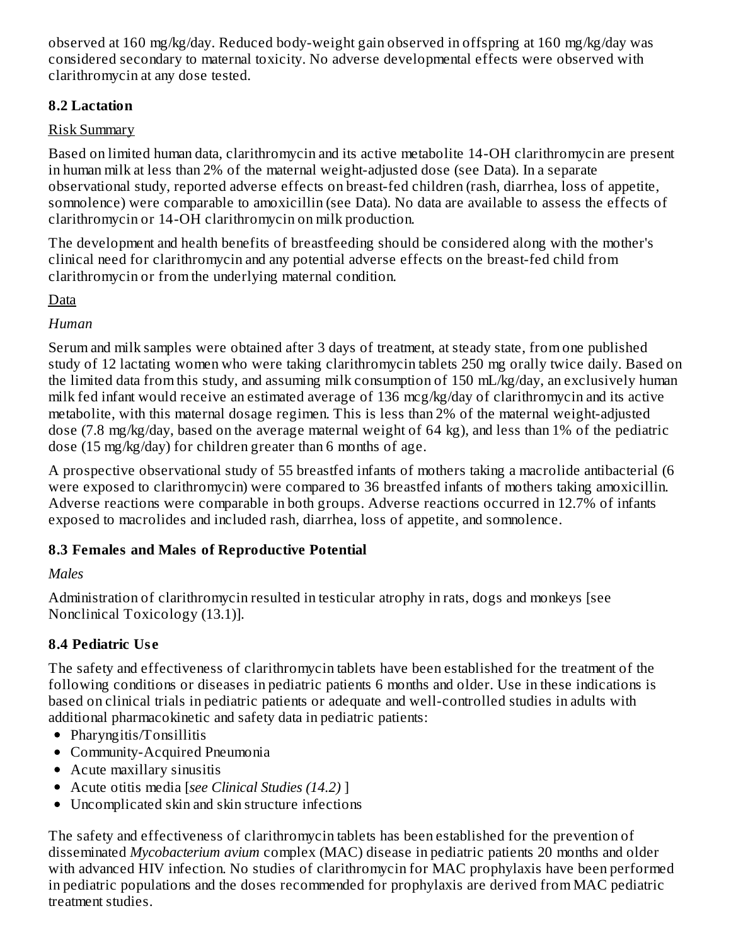observed at 160 mg/kg/day. Reduced body-weight gain observed in offspring at 160 mg/kg/day was considered secondary to maternal toxicity. No adverse developmental effects were observed with clarithromycin at any dose tested.

## **8.2 Lactation**

# Risk Summary

Based on limited human data, clarithromycin and its active metabolite 14-OH clarithromycin are present in human milk at less than 2% of the maternal weight-adjusted dose (see Data). In a separate observational study, reported adverse effects on breast-fed children (rash, diarrhea, loss of appetite, somnolence) were comparable to amoxicillin (see Data). No data are available to assess the effects of clarithromycin or 14-OH clarithromycin on milk production.

The development and health benefits of breastfeeding should be considered along with the mother's clinical need for clarithromycin and any potential adverse effects on the breast-fed child from clarithromycin or from the underlying maternal condition.

# **D**ata

# *Human*

Serum and milk samples were obtained after 3 days of treatment, at steady state, from one published study of 12 lactating women who were taking clarithromycin tablets 250 mg orally twice daily. Based on the limited data from this study, and assuming milk consumption of 150 mL/kg/day, an exclusively human milk fed infant would receive an estimated average of 136 mcg/kg/day of clarithromycin and its active metabolite, with this maternal dosage regimen. This is less than 2% of the maternal weight-adjusted dose (7.8 mg/kg/day, based on the average maternal weight of 64 kg), and less than 1% of the pediatric dose (15 mg/kg/day) for children greater than 6 months of age.

A prospective observational study of 55 breastfed infants of mothers taking a macrolide antibacterial (6 were exposed to clarithromycin) were compared to 36 breastfed infants of mothers taking amoxicillin. Adverse reactions were comparable in both groups. Adverse reactions occurred in 12.7% of infants exposed to macrolides and included rash, diarrhea, loss of appetite, and somnolence.

# **8.3 Females and Males of Reproductive Potential**

# *Males*

Administration of clarithromycin resulted in testicular atrophy in rats, dogs and monkeys [see Nonclinical Toxicology (13.1)].

# **8.4 Pediatric Us e**

The safety and effectiveness of clarithromycin tablets have been established for the treatment of the following conditions or diseases in pediatric patients 6 months and older. Use in these indications is based on clinical trials in pediatric patients or adequate and well-controlled studies in adults with additional pharmacokinetic and safety data in pediatric patients:

- Pharyngitis/Tonsillitis
- Community-Acquired Pneumonia
- Acute maxillary sinusitis
- Acute otitis media [*see Clinical Studies (14.2)* ]
- Uncomplicated skin and skin structure infections

The safety and effectiveness of clarithromycin tablets has been established for the prevention of disseminated *Mycobacterium avium* complex (MAC) disease in pediatric patients 20 months and older with advanced HIV infection. No studies of clarithromycin for MAC prophylaxis have been performed in pediatric populations and the doses recommended for prophylaxis are derived from MAC pediatric treatment studies.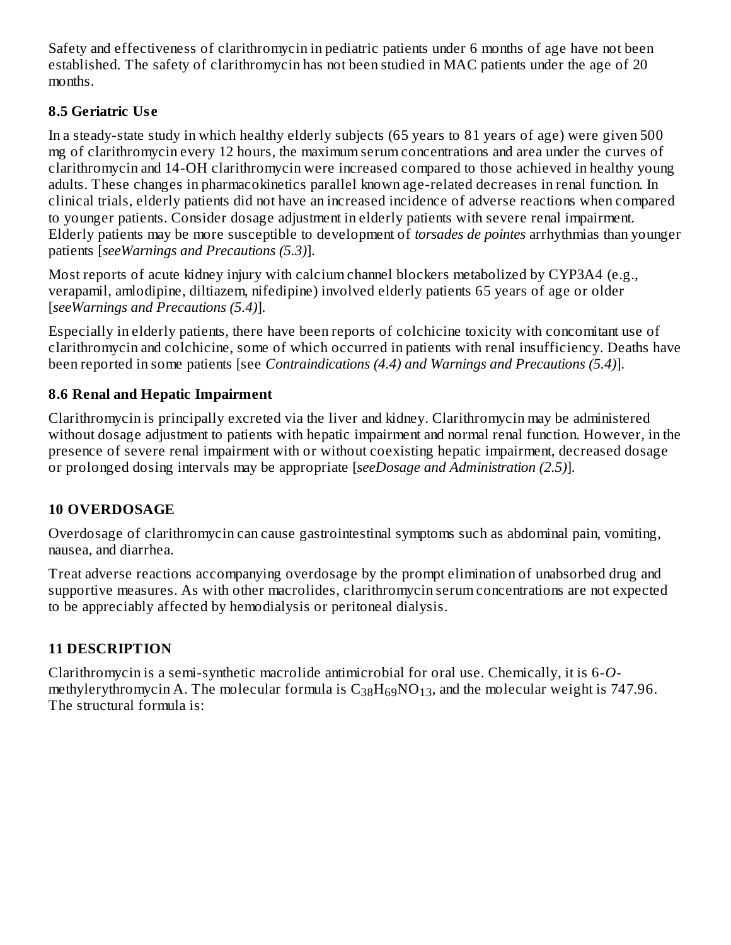Safety and effectiveness of clarithromycin in pediatric patients under 6 months of age have not been established. The safety of clarithromycin has not been studied in MAC patients under the age of 20 months.

# **8.5 Geriatric Us e**

In a steady-state study in which healthy elderly subjects (65 years to 81 years of age) were given 500 mg of clarithromycin every 12 hours, the maximum serum concentrations and area under the curves of clarithromycin and 14-OH clarithromycin were increased compared to those achieved in healthy young adults. These changes in pharmacokinetics parallel known age-related decreases in renal function. In clinical trials, elderly patients did not have an increased incidence of adverse reactions when compared to younger patients. Consider dosage adjustment in elderly patients with severe renal impairment. Elderly patients may be more susceptible to development of *torsades de pointes* arrhythmias than younger patients [*seeWarnings and Precautions (5.3)*].

Most reports of acute kidney injury with calcium channel blockers metabolized by CYP3A4 (e.g., verapamil, amlodipine, diltiazem, nifedipine) involved elderly patients 65 years of age or older [*seeWarnings and Precautions (5.4)*].

Especially in elderly patients, there have been reports of colchicine toxicity with concomitant use of clarithromycin and colchicine, some of which occurred in patients with renal insufficiency. Deaths have been reported in some patients [see *Contraindications (4.4) and Warnings and Precautions (5.4)*].

# **8.6 Renal and Hepatic Impairment**

Clarithromycin is principally excreted via the liver and kidney. Clarithromycin may be administered without dosage adjustment to patients with hepatic impairment and normal renal function. However, in the presence of severe renal impairment with or without coexisting hepatic impairment, decreased dosage or prolonged dosing intervals may be appropriate [*seeDosage and Administration (2.5)*].

## **10 OVERDOSAGE**

Overdosage of clarithromycin can cause gastrointestinal symptoms such as abdominal pain, vomiting, nausea, and diarrhea.

Treat adverse reactions accompanying overdosage by the prompt elimination of unabsorbed drug and supportive measures. As with other macrolides, clarithromycin serum concentrations are not expected to be appreciably affected by hemodialysis or peritoneal dialysis.

# **11 DESCRIPTION**

Clarithromycin is a semi-synthetic macrolide antimicrobial for oral use. Chemically, it is 6-*O*methylerythromycin A. The molecular formula is  $\rm{C_{38}H_{69}NO_{13}}$ , and the molecular weight is 747.96. The structural formula is: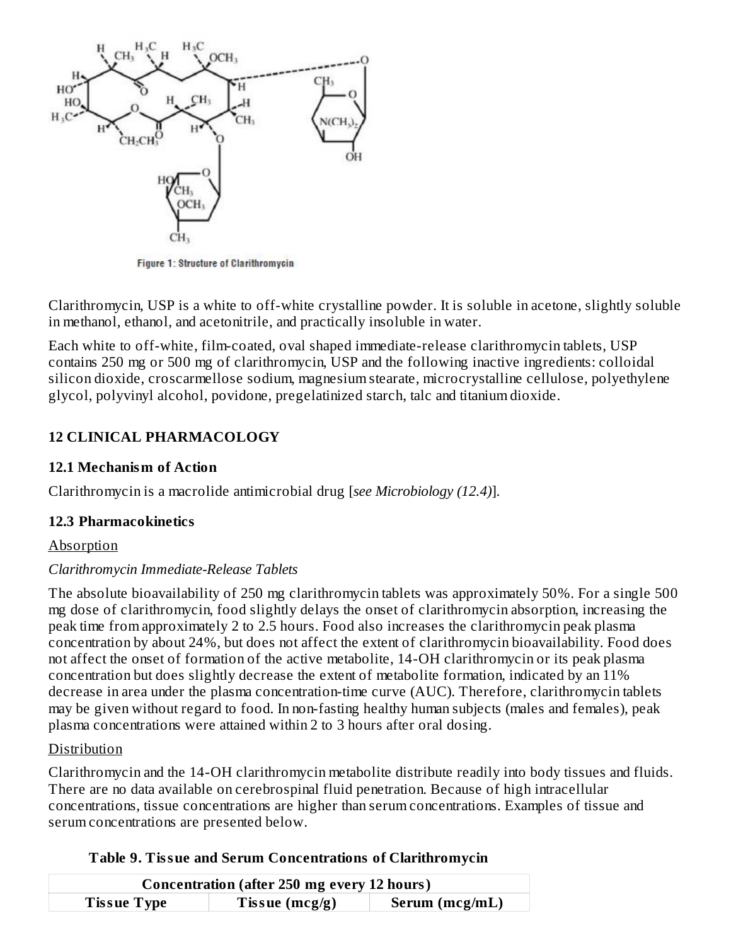

Figure 1: Structure of Clarithromycin

Clarithromycin, USP is a white to off-white crystalline powder. It is soluble in acetone, slightly soluble in methanol, ethanol, and acetonitrile, and practically insoluble in water.

Each white to off-white, film-coated, oval shaped immediate-release clarithromycin tablets, USP contains 250 mg or 500 mg of clarithromycin, USP and the following inactive ingredients: colloidal silicon dioxide, croscarmellose sodium, magnesium stearate, microcrystalline cellulose, polyethylene glycol, polyvinyl alcohol, povidone, pregelatinized starch, talc and titanium dioxide.

## **12 CLINICAL PHARMACOLOGY**

#### **12.1 Mechanism of Action**

Clarithromycin is a macrolide antimicrobial drug [*see Microbiology (12.4)*].

#### **12.3 Pharmacokinetics**

#### Absorption

#### *Clarithromycin Immediate-Release Tablets*

The absolute bioavailability of 250 mg clarithromycin tablets was approximately 50%. For a single 500 mg dose of clarithromycin, food slightly delays the onset of clarithromycin absorption, increasing the peak time from approximately 2 to 2.5 hours. Food also increases the clarithromycin peak plasma concentration by about 24%, but does not affect the extent of clarithromycin bioavailability. Food does not affect the onset of formation of the active metabolite, 14-OH clarithromycin or its peak plasma concentration but does slightly decrease the extent of metabolite formation, indicated by an 11% decrease in area under the plasma concentration-time curve (AUC). Therefore, clarithromycin tablets may be given without regard to food. In non-fasting healthy human subjects (males and females), peak plasma concentrations were attained within 2 to 3 hours after oral dosing.

#### Distribution

Clarithromycin and the 14-OH clarithromycin metabolite distribute readily into body tissues and fluids. There are no data available on cerebrospinal fluid penetration. Because of high intracellular concentrations, tissue concentrations are higher than serum concentrations. Examples of tissue and serum concentrations are presented below.

|                    | <b>Concentration (after 250 mg every 12 hours)</b> |                |
|--------------------|----------------------------------------------------|----------------|
| <b>Tissue Type</b> | Tissue $(mcg/g)$                                   | Serum (mcg/mL) |

#### **Table 9. Tissue and Serum Concentrations of Clarithromycin**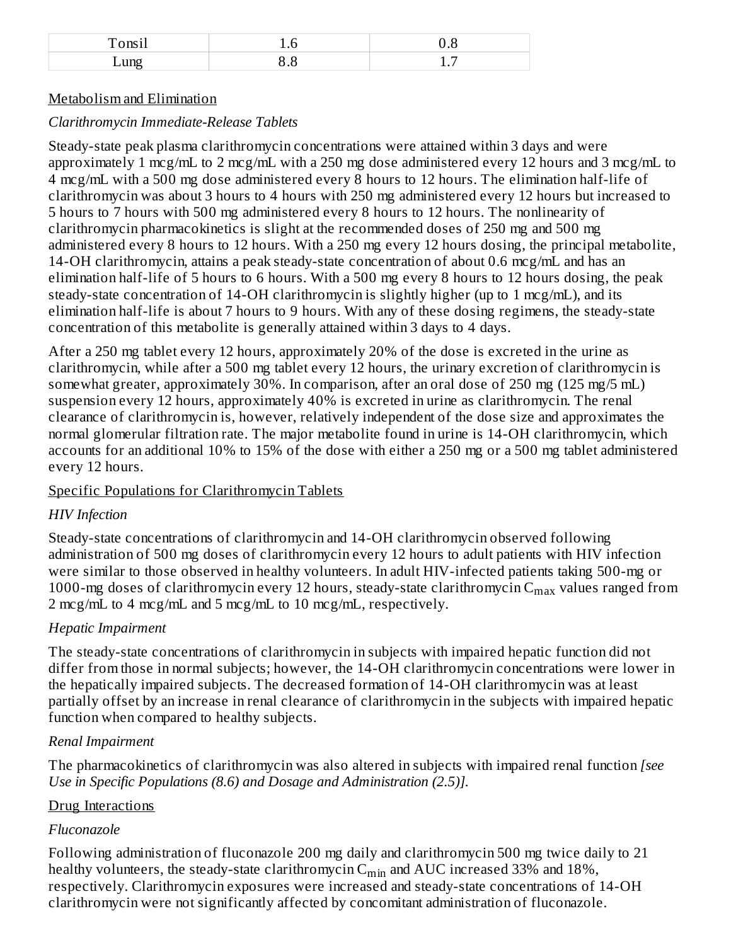| Tonsil              | ∽<br>⊥∙∪ | ∪.∪ |
|---------------------|----------|-----|
| $\mathbf{m}$<br>브니니 |          | ∸∙  |

#### Metabolism and Elimination

## *Clarithromycin Immediate-Release Tablets*

Steady-state peak plasma clarithromycin concentrations were attained within 3 days and were approximately 1 mcg/mL to 2 mcg/mL with a 250 mg dose administered every 12 hours and 3 mcg/mL to 4 mcg/mL with a 500 mg dose administered every 8 hours to 12 hours. The elimination half-life of clarithromycin was about 3 hours to 4 hours with 250 mg administered every 12 hours but increased to 5 hours to 7 hours with 500 mg administered every 8 hours to 12 hours. The nonlinearity of clarithromycin pharmacokinetics is slight at the recommended doses of 250 mg and 500 mg administered every 8 hours to 12 hours. With a 250 mg every 12 hours dosing, the principal metabolite, 14-OH clarithromycin, attains a peak steady-state concentration of about 0.6 mcg/mL and has an elimination half-life of 5 hours to 6 hours. With a 500 mg every 8 hours to 12 hours dosing, the peak steady-state concentration of 14-OH clarithromycin is slightly higher (up to 1 mcg/mL), and its elimination half-life is about 7 hours to 9 hours. With any of these dosing regimens, the steady-state concentration of this metabolite is generally attained within 3 days to 4 days.

After a 250 mg tablet every 12 hours, approximately 20% of the dose is excreted in the urine as clarithromycin, while after a 500 mg tablet every 12 hours, the urinary excretion of clarithromycin is somewhat greater, approximately 30%. In comparison, after an oral dose of 250 mg (125 mg/5 mL) suspension every 12 hours, approximately 40% is excreted in urine as clarithromycin. The renal clearance of clarithromycin is, however, relatively independent of the dose size and approximates the normal glomerular filtration rate. The major metabolite found in urine is 14-OH clarithromycin, which accounts for an additional 10% to 15% of the dose with either a 250 mg or a 500 mg tablet administered every 12 hours.

## Specific Populations for Clarithromycin Tablets

## *HIV Infection*

Steady-state concentrations of clarithromycin and 14-OH clarithromycin observed following administration of 500 mg doses of clarithromycin every 12 hours to adult patients with HIV infection were similar to those observed in healthy volunteers. In adult HIV-infected patients taking 500-mg or 1000-mg doses of clarithromycin every 12 hours, steady-state clarithromycin  $\rm{C_{max}}$  values ranged from 2 mcg/mL to 4 mcg/mL and 5 mcg/mL to 10 mcg/mL, respectively.

## *Hepatic Impairment*

The steady-state concentrations of clarithromycin in subjects with impaired hepatic function did not differ from those in normal subjects; however, the 14-OH clarithromycin concentrations were lower in the hepatically impaired subjects. The decreased formation of 14-OH clarithromycin was at least partially offset by an increase in renal clearance of clarithromycin in the subjects with impaired hepatic function when compared to healthy subjects.

## *Renal Impairment*

The pharmacokinetics of clarithromycin was also altered in subjects with impaired renal function *[see Use in Specific Populations (8.6) and Dosage and Administration (2.5)].*

## Drug Interactions

## *Fluconazole*

Following administration of fluconazole 200 mg daily and clarithromycin 500 mg twice daily to 21 healthy volunteers, the steady-state clarithromycin  $\mathsf{C}_{\min}$  and  $\mathrm{AUC}$  increased 33% and 18%, respectively. Clarithromycin exposures were increased and steady-state concentrations of 14-OH clarithromycin were not significantly affected by concomitant administration of fluconazole.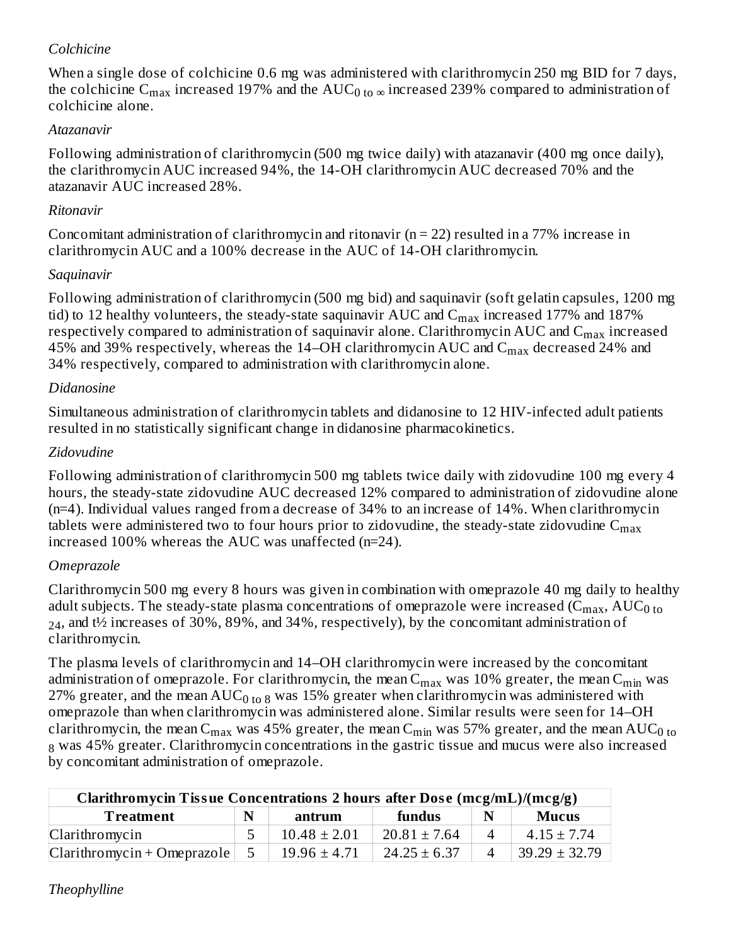#### *Colchicine*

When a single dose of colchicine 0.6 mg was administered with clarithromycin 250 mg BID for 7 days, the colchicine  $\rm{C_{max}}$  increased 197% and the  $\rm{AUC_{0\ to \infty}}$  increased 239% compared to administration of colchicine alone.

#### *Atazanavir*

Following administration of clarithromycin (500 mg twice daily) with atazanavir (400 mg once daily), the clarithromycin AUC increased 94%, the 14-OH clarithromycin AUC decreased 70% and the atazanavir AUC increased 28%.

#### *Ritonavir*

Concomitant administration of clarithromycin and ritonavir ( $n = 22$ ) resulted in a 77% increase in clarithromycin AUC and a 100% decrease in the AUC of 14-OH clarithromycin.

### *Saquinavir*

Following administration of clarithromycin (500 mg bid) and saquinavir (soft gelatin capsules, 1200 mg tid) to 12 healthy volunteers, the steady-state saquinavir AUC and  $\rm{C_{max}}$  increased 177% and 187% respectively compared to administration of saquinavir alone. Clarithromycin AUC and  $\mathsf{C}_{\max}$  increased 45% and 39% respectively, whereas the 14–OH clarithromycin AUC and  $\rm C_{max}$  decreased 24% and 34% respectively, compared to administration with clarithromycin alone.

## *Didanosine*

Simultaneous administration of clarithromycin tablets and didanosine to 12 HIV-infected adult patients resulted in no statistically significant change in didanosine pharmacokinetics.

## *Zidovudine*

Following administration of clarithromycin 500 mg tablets twice daily with zidovudine 100 mg every 4 hours, the steady-state zidovudine AUC decreased 12% compared to administration of zidovudine alone (n=4). Individual values ranged from a decrease of 34% to an increase of 14%. When clarithromycin tablets were administered two to four hours prior to zidovudine, the steady-state zidovudine  $\mathsf{C}_{\max}$ increased 100% whereas the AUC was unaffected (n=24).

## *Omeprazole*

Clarithromycin 500 mg every 8 hours was given in combination with omeprazole 40 mg daily to healthy adult subjects. The steady-state plasma concentrations of omeprazole were increased (C $_{\rm max}$ , AUC $_{\rm 0 \, to}$  $_{24}$ , and t½ increases of 30%, 89%, and 34%, respectively), by the concomitant administration of clarithromycin.

The plasma levels of clarithromycin and 14–OH clarithromycin were increased by the concomitant administration of omeprazole. For clarithromycin, the mean  $\rm{C_{max}}$  was  $10\%$  greater, the mean  $\rm{C_{min}}$  was 27% greater, and the mean AUC<sub>0 to 8</sub> was 15% greater when clarithromycin was administered with omeprazole than when clarithromycin was administered alone. Similar results were seen for 14–OH clarithromycin, the mean C<sub>max</sub> was 45% greater, the mean C<sub>min</sub> was 57% greater, and the mean AUC<sub>0 to</sub>  $_{8}$  was 45% greater. Clarithromycin concentrations in the gastric tissue and mucus were also increased by concomitant administration of omeprazole.

| Clarithromycin Tissue Concentrations 2 hours after Dose (mcg/mL)/(mcg/g)    |  |                  |                  |          |                   |  |  |
|-----------------------------------------------------------------------------|--|------------------|------------------|----------|-------------------|--|--|
| $\mathbf N$<br><b>Mucus</b><br>fundus<br>$\mathbf N$<br>Treatment<br>antrum |  |                  |                  |          |                   |  |  |
| Clarithromycin                                                              |  | $10.48 \pm 2.01$ | $20.81 \pm 7.64$ |          | $4.15 \pm 7.74$   |  |  |
| $Clarithromycin + Omeprazole$                                               |  | $19.96 \pm 4.71$ | $24.25 \pm 6.37$ | $\Delta$ | $39.29 \pm 32.79$ |  |  |

*Theophylline*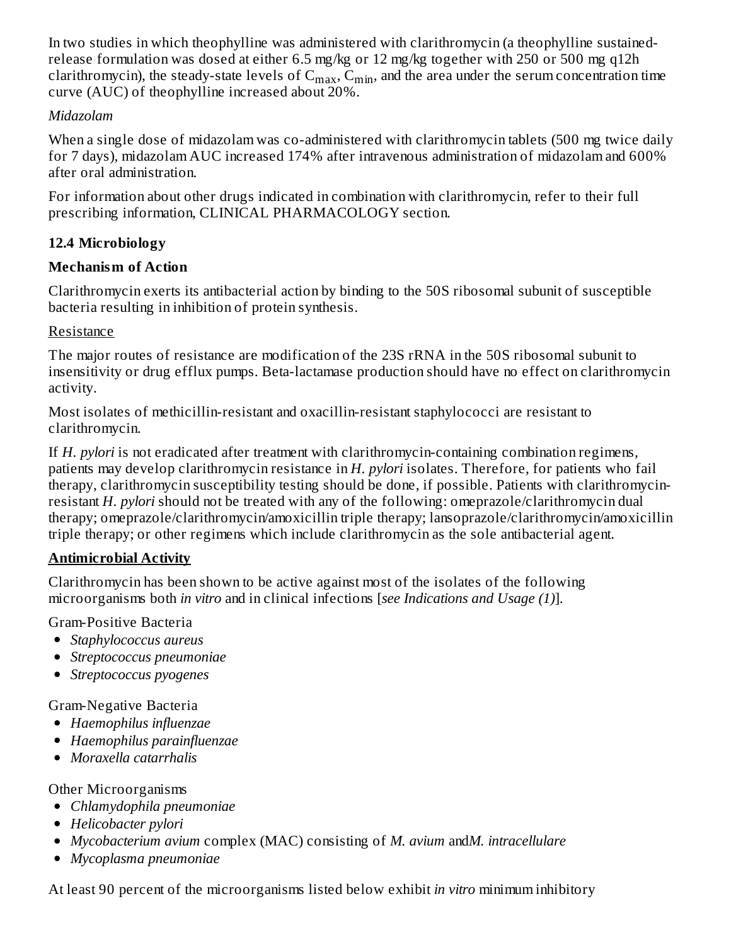In two studies in which theophylline was administered with clarithromycin (a theophylline sustainedrelease formulation was dosed at either 6.5 mg/kg or 12 mg/kg together with 250 or 500 mg q12h clarithromycin), the steady-state levels of  $C_{max}$ ,  $C_{min}$ , and the area under the serum concentration time curve (AUC) of theophylline increased about 20%.

### *Midazolam*

When a single dose of midazolam was co-administered with clarithromycin tablets (500 mg twice daily for 7 days), midazolam AUC increased 174% after intravenous administration of midazolam and 600% after oral administration.

For information about other drugs indicated in combination with clarithromycin, refer to their full prescribing information, CLINICAL PHARMACOLOGY section.

# **12.4 Microbiology**

## **Mechanism of Action**

Clarithromycin exerts its antibacterial action by binding to the 50S ribosomal subunit of susceptible bacteria resulting in inhibition of protein synthesis.

## Resistance

The major routes of resistance are modification of the 23S rRNA in the 50S ribosomal subunit to insensitivity or drug efflux pumps. Beta-lactamase production should have no effect on clarithromycin activity.

Most isolates of methicillin-resistant and oxacillin-resistant staphylococci are resistant to clarithromycin.

If *H. pylori* is not eradicated after treatment with clarithromycin-containing combination regimens, patients may develop clarithromycin resistance in *H. pylori* isolates. Therefore, for patients who fail therapy, clarithromycin susceptibility testing should be done, if possible. Patients with clarithromycinresistant *H. pylori* should not be treated with any of the following: omeprazole/clarithromycin dual therapy; omeprazole/clarithromycin/amoxicillin triple therapy; lansoprazole/clarithromycin/amoxicillin triple therapy; or other regimens which include clarithromycin as the sole antibacterial agent.

## **Antimicrobial Activity**

Clarithromycin has been shown to be active against most of the isolates of the following microorganisms both *in vitro* and in clinical infections [*see Indications and Usage (1)*].

Gram-Positive Bacteria

- *Staphylococcus aureus*
- *Streptococcus pneumoniae*
- *Streptococcus pyogenes*

Gram-Negative Bacteria

- *Haemophilus influenzae*
- *Haemophilus parainfluenzae*
- *Moraxella catarrhalis*

Other Microorganisms

- *Chlamydophila pneumoniae*
- *Helicobacter pylori*
- *Mycobacterium avium* complex (MAC) consisting of *M. avium* and*M. intracellulare*
- *Mycoplasma pneumoniae*

At least 90 percent of the microorganisms listed below exhibit *in vitro* minimum inhibitory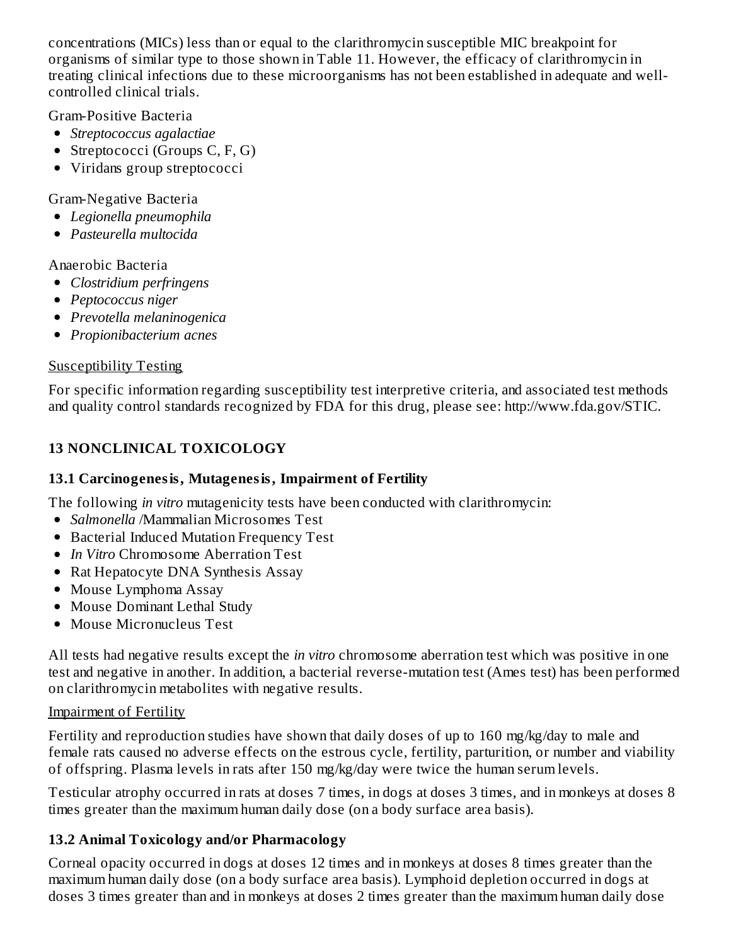concentrations (MICs) less than or equal to the clarithromycin susceptible MIC breakpoint for organisms of similar type to those shown in Table 11. However, the efficacy of clarithromycin in treating clinical infections due to these microorganisms has not been established in adequate and wellcontrolled clinical trials.

Gram-Positive Bacteria

- *Streptococcus agalactiae*
- Streptococci (Groups C, F, G)
- Viridans group streptococci

Gram-Negative Bacteria

- *Legionella pneumophila*
- *Pasteurella multocida*

Anaerobic Bacteria

- *Clostridium perfringens*
- *Peptococcus niger*
- *Prevotella melaninogenica*
- *Propionibacterium acnes*

### Susceptibility Testing

For specific information regarding susceptibility test interpretive criteria, and associated test methods and quality control standards recognized by FDA for this drug, please see: http://www.fda.gov/STIC.

## **13 NONCLINICAL TOXICOLOGY**

#### **13.1 Carcinogenesis, Mutagenesis, Impairment of Fertility**

The following *in vitro* mutagenicity tests have been conducted with clarithromycin:

- *Salmonella* /Mammalian Microsomes Test
- Bacterial Induced Mutation Frequency Test
- *In Vitro* Chromosome Aberration Test
- Rat Hepatocyte DNA Synthesis Assay
- Mouse Lymphoma Assay
- Mouse Dominant Lethal Study
- Mouse Micronucleus Test

All tests had negative results except the *in vitro* chromosome aberration test which was positive in one test and negative in another. In addition, a bacterial reverse-mutation test (Ames test) has been performed on clarithromycin metabolites with negative results.

#### Impairment of Fertility

Fertility and reproduction studies have shown that daily doses of up to 160 mg/kg/day to male and female rats caused no adverse effects on the estrous cycle, fertility, parturition, or number and viability of offspring. Plasma levels in rats after 150 mg/kg/day were twice the human serum levels.

Testicular atrophy occurred in rats at doses 7 times, in dogs at doses 3 times, and in monkeys at doses 8 times greater than the maximum human daily dose (on a body surface area basis).

## **13.2 Animal Toxicology and/or Pharmacology**

Corneal opacity occurred in dogs at doses 12 times and in monkeys at doses 8 times greater than the maximum human daily dose (on a body surface area basis). Lymphoid depletion occurred in dogs at doses 3 times greater than and in monkeys at doses 2 times greater than the maximum human daily dose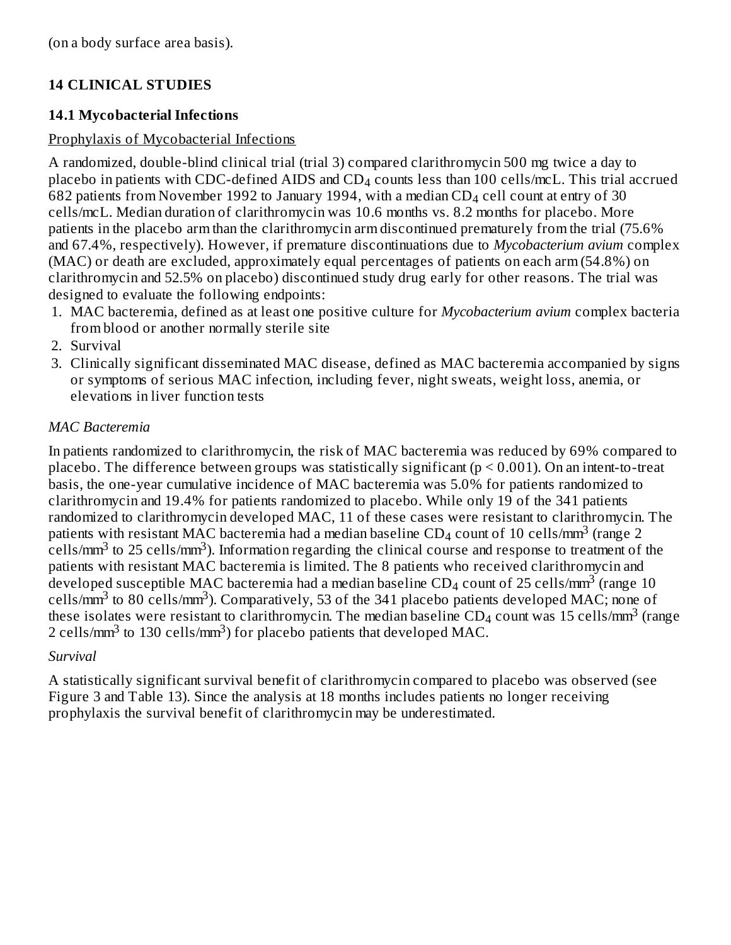(on a body surface area basis).

## **14 CLINICAL STUDIES**

#### **14.1 Mycobacterial Infections**

#### Prophylaxis of Mycobacterial Infections

A randomized, double-blind clinical trial (trial 3) compared clarithromycin 500 mg twice a day to placebo in patients with CDC-defined AIDS and  $CD_4$  counts less than 100 cells/mcL. This trial accrued 682 patients from November 1992 to January 1994, with a median CD $_4$  cell count at entry of 30 cells/mcL. Median duration of clarithromycin was 10.6 months vs. 8.2 months for placebo. More patients in the placebo arm than the clarithromycin arm discontinued prematurely from the trial (75.6% and 67.4%, respectively). However, if premature discontinuations due to *Mycobacterium avium* complex (MAC) or death are excluded, approximately equal percentages of patients on each arm (54.8%) on clarithromycin and 52.5% on placebo) discontinued study drug early for other reasons. The trial was designed to evaluate the following endpoints:

- 1. MAC bacteremia, defined as at least one positive culture for *Mycobacterium avium* complex bacteria from blood or another normally sterile site
- 2. Survival
- 3. Clinically significant disseminated MAC disease, defined as MAC bacteremia accompanied by signs or symptoms of serious MAC infection, including fever, night sweats, weight loss, anemia, or elevations in liver function tests

#### *MAC Bacteremia*

In patients randomized to clarithromycin, the risk of MAC bacteremia was reduced by 69% compared to placebo. The difference between groups was statistically significant ( $p \le 0.001$ ). On an intent-to-treat basis, the one-year cumulative incidence of MAC bacteremia was 5.0% for patients randomized to clarithromycin and 19.4% for patients randomized to placebo. While only 19 of the 341 patients randomized to clarithromycin developed MAC, 11 of these cases were resistant to clarithromycin. The patients with resistant MAC bacteremia had a median baseline CD<sub>4</sub> count of 10 cells/mm<sup>3</sup> (range 2  $\text{cells/mm}^3$  to 25 cells/mm $^3$ ). Information regarding the clinical course and response to treatment of the patients with resistant MAC bacteremia is limited. The 8 patients who received clarithromycin and developed susceptible MAC bacteremia had a median baseline CD<sub>4</sub> count of 25 cells/mm<sup>3</sup> (range 10 cells/mm<sup>3</sup> to 80 cells/mm<sup>3</sup>). Comparatively, 53 of the 341 placebo patients developed MAC; none of these isolates were resistant to clarithromycin. The median baseline CD<sub>4</sub> count was 15 cells/mm<sup>3</sup> (range 2 cells/mm<sup>3</sup> to 130 cells/mm<sup>3</sup>) for placebo patients that developed MAC.

#### *Survival*

A statistically significant survival benefit of clarithromycin compared to placebo was observed (see Figure 3 and Table 13). Since the analysis at 18 months includes patients no longer receiving prophylaxis the survival benefit of clarithromycin may be underestimated.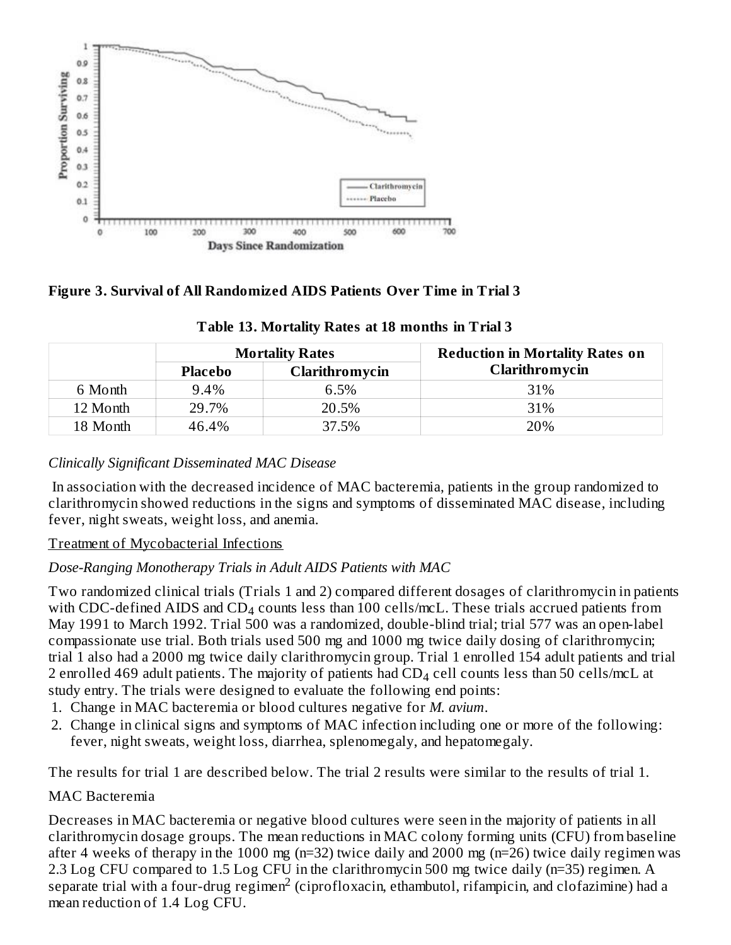

#### **Figure 3. Survival of All Randomized AIDS Patients Over Time in Trial 3**

|          | <b>Mortality Rates</b> |                | <b>Reduction in Mortality Rates on</b> |  |  |
|----------|------------------------|----------------|----------------------------------------|--|--|
|          | <b>Placebo</b>         | Clarithromycin | Clarithromycin                         |  |  |
| 6 Month  | 9.4%                   | 6.5%           | 31%                                    |  |  |
| 12 Month | 29.7%                  | 20.5%          | 31%                                    |  |  |
| 18 Month | 46.4%                  | 37.5%          | 20%                                    |  |  |

#### **Table 13. Mortality Rates at 18 months in Trial 3**

#### *Clinically Significant Disseminated MAC Disease*

In association with the decreased incidence of MAC bacteremia, patients in the group randomized to clarithromycin showed reductions in the signs and symptoms of disseminated MAC disease, including fever, night sweats, weight loss, and anemia.

#### Treatment of Mycobacterial Infections

#### *Dose-Ranging Monotherapy Trials in Adult AIDS Patients with MAC*

Two randomized clinical trials (Trials 1 and 2) compared different dosages of clarithromycin in patients with CDC-defined AIDS and  $CD_4$  counts less than 100 cells/mcL. These trials accrued patients from May 1991 to March 1992. Trial 500 was a randomized, double-blind trial; trial 577 was an open-label compassionate use trial. Both trials used 500 mg and 1000 mg twice daily dosing of clarithromycin; trial 1 also had a 2000 mg twice daily clarithromycin group. Trial 1 enrolled 154 adult patients and trial 2 enrolled 469 adult patients. The majority of patients had  $\text{\rm CD}_4$  cell counts less than 50 cells/mcL at study entry. The trials were designed to evaluate the following end points:

- 1. Change in MAC bacteremia or blood cultures negative for *M. avium*.
- 2. Change in clinical signs and symptoms of MAC infection including one or more of the following: fever, night sweats, weight loss, diarrhea, splenomegaly, and hepatomegaly.

The results for trial 1 are described below. The trial 2 results were similar to the results of trial 1.

#### MAC Bacteremia

Decreases in MAC bacteremia or negative blood cultures were seen in the majority of patients in all clarithromycin dosage groups. The mean reductions in MAC colony forming units (CFU) from baseline after 4 weeks of therapy in the 1000 mg (n=32) twice daily and 2000 mg (n=26) twice daily regimen was 2.3 Log CFU compared to 1.5 Log CFU in the clarithromycin 500 mg twice daily (n=35) regimen. A separate trial with a four-drug regimen<sup>2</sup> (ciprofloxacin, ethambutol, rifampicin, and clofazimine) had a mean reduction of 1.4 Log CFU.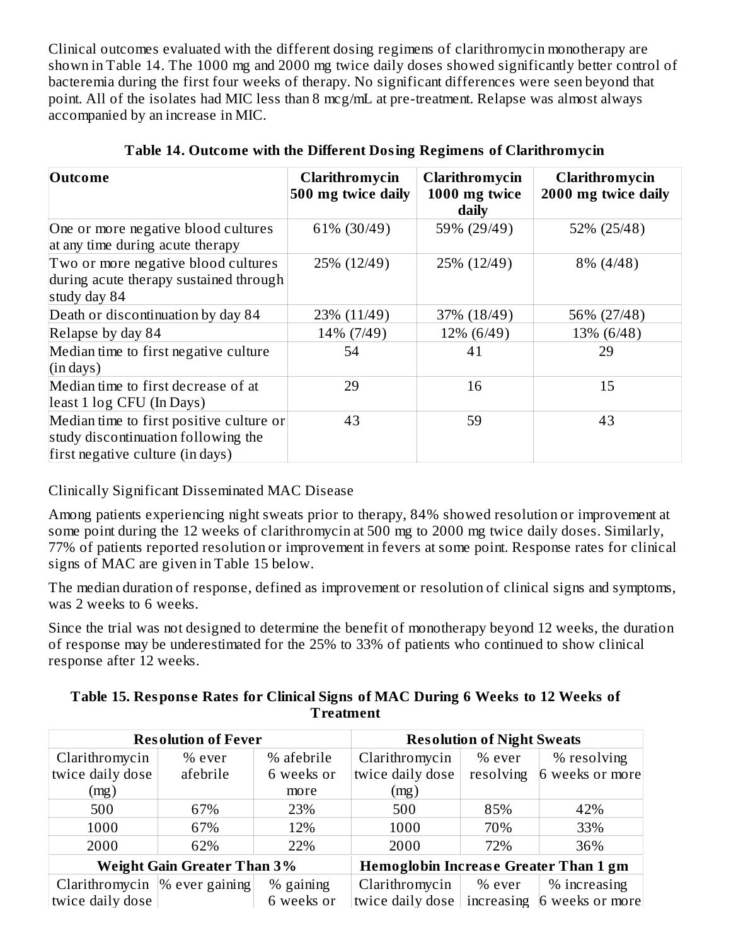Clinical outcomes evaluated with the different dosing regimens of clarithromycin monotherapy are shown in Table 14. The 1000 mg and 2000 mg twice daily doses showed significantly better control of bacteremia during the first four weeks of therapy. No significant differences were seen beyond that point. All of the isolates had MIC less than 8 mcg/mL at pre-treatment. Relapse was almost always accompanied by an increase in MIC.

| <b>Outcome</b>                                                                                                      | Clarithromycin<br>500 mg twice daily | Clarithromycin<br>1000 mg twice<br>daily | Clarithromycin<br>2000 mg twice daily |
|---------------------------------------------------------------------------------------------------------------------|--------------------------------------|------------------------------------------|---------------------------------------|
| One or more negative blood cultures<br>at any time during acute therapy                                             | 61% (30/49)                          | 59% (29/49)                              | 52% (25/48)                           |
| Two or more negative blood cultures<br>during acute therapy sustained through<br>study day 84                       | 25% (12/49)                          | 25% (12/49)                              | 8% (4/48)                             |
| Death or discontinuation by day 84                                                                                  | 23% (11/49)                          | 37% (18/49)                              | 56% (27/48)                           |
| Relapse by day 84                                                                                                   | 14% (7/49)                           | 12% (6/49)                               | 13% (6/48)                            |
| Median time to first negative culture<br>(in days)                                                                  | 54                                   | 41                                       | 29                                    |
| Median time to first decrease of at<br>least 1 log CFU (In Days)                                                    | 29                                   | 16                                       | 15                                    |
| Median time to first positive culture or<br>study discontinuation following the<br>first negative culture (in days) | 43                                   | 59                                       | 43                                    |

|  |  |  | Table 14. Outcome with the Different Dosing Regimens of Clarithromycin |  |
|--|--|--|------------------------------------------------------------------------|--|
|  |  |  |                                                                        |  |

## Clinically Significant Disseminated MAC Disease

Among patients experiencing night sweats prior to therapy, 84% showed resolution or improvement at some point during the 12 weeks of clarithromycin at 500 mg to 2000 mg twice daily doses. Similarly, 77% of patients reported resolution or improvement in fevers at some point. Response rates for clinical signs of MAC are given in Table 15 below.

The median duration of response, defined as improvement or resolution of clinical signs and symptoms, was 2 weeks to 6 weeks.

Since the trial was not designed to determine the benefit of monotherapy beyond 12 weeks, the duration of response may be underestimated for the 25% to 33% of patients who continued to show clinical response after 12 weeks.

**Table 15. Respons e Rates for Clinical Signs of MAC During 6 Weeks to 12 Weeks of Treatment**

| <b>Resolution of Fever</b>         |          | <b>Resolution of Night Sweats</b>            |                                             |           |                 |
|------------------------------------|----------|----------------------------------------------|---------------------------------------------|-----------|-----------------|
| Clarithromycin                     | $%$ ever | % afebrile                                   | Clarithromycin                              | % ever    | % resolving     |
| twice daily dose                   | afebrile | 6 weeks or                                   | twice daily dose                            | resolving | 6 weeks or more |
| (mg)                               |          | more                                         | (mg)                                        |           |                 |
| 500                                | 67%      | 23%                                          | 500                                         | 85%       | 42%             |
| 1000                               | 67%      | 12%                                          | 1000                                        | 70%       | 33%             |
| 2000                               | 62%      | 22%                                          | 2000                                        | 72%       | 36%             |
| <b>Weight Gain Greater Than 3%</b> |          | <b>Hemoglobin Increase Greater Than 1 gm</b> |                                             |           |                 |
| Clarithromycin $\%$ ever gaining   |          | % gaining                                    | Clarithromycin                              | % ever    | % increasing    |
| twice daily dose                   |          | 6 weeks or                                   | twice daily dose increasing 6 weeks or more |           |                 |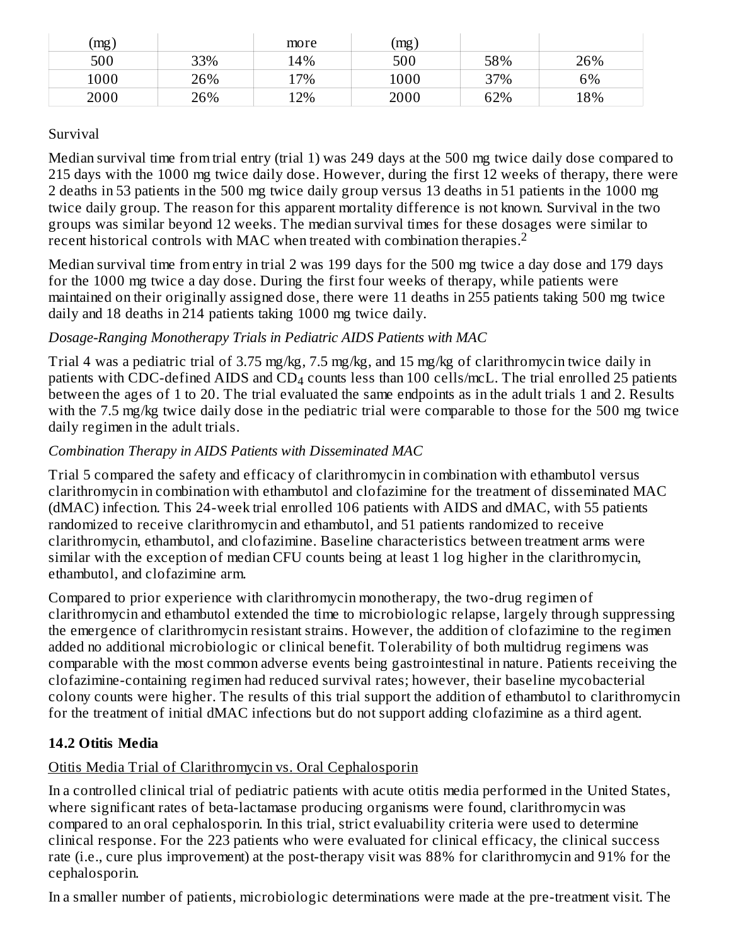| (mg) |     | more | $\left(\text{mg}\right)$ |     |     |
|------|-----|------|--------------------------|-----|-----|
| 500  | 33% | 14%  | 500                      | 58% | 26% |
| 1000 | 26% | 17%  | 1000                     | 37% | 6%  |
| 2000 | 26% | 12%  | 2000                     | 62% | 18% |

### Survival

Median survival time from trial entry (trial 1) was 249 days at the 500 mg twice daily dose compared to 215 days with the 1000 mg twice daily dose. However, during the first 12 weeks of therapy, there were 2 deaths in 53 patients in the 500 mg twice daily group versus 13 deaths in 51 patients in the 1000 mg twice daily group. The reason for this apparent mortality difference is not known. Survival in the two groups was similar beyond 12 weeks. The median survival times for these dosages were similar to recent historical controls with MAC when treated with combination therapies.<sup>2</sup>

Median survival time from entry in trial 2 was 199 days for the 500 mg twice a day dose and 179 days for the 1000 mg twice a day dose. During the first four weeks of therapy, while patients were maintained on their originally assigned dose, there were 11 deaths in 255 patients taking 500 mg twice daily and 18 deaths in 214 patients taking 1000 mg twice daily.

## *Dosage-Ranging Monotherapy Trials in Pediatric AIDS Patients with MAC*

Trial 4 was a pediatric trial of 3.75 mg/kg, 7.5 mg/kg, and 15 mg/kg of clarithromycin twice daily in patients with CDC-defined AIDS and  $CD_4$  counts less than 100 cells/mcL. The trial enrolled 25 patients between the ages of 1 to 20. The trial evaluated the same endpoints as in the adult trials 1 and 2. Results with the 7.5 mg/kg twice daily dose in the pediatric trial were comparable to those for the 500 mg twice daily regimen in the adult trials.

## *Combination Therapy in AIDS Patients with Disseminated MAC*

Trial 5 compared the safety and efficacy of clarithromycin in combination with ethambutol versus clarithromycin in combination with ethambutol and clofazimine for the treatment of disseminated MAC (dMAC) infection. This 24-week trial enrolled 106 patients with AIDS and dMAC, with 55 patients randomized to receive clarithromycin and ethambutol, and 51 patients randomized to receive clarithromycin, ethambutol, and clofazimine. Baseline characteristics between treatment arms were similar with the exception of median CFU counts being at least 1 log higher in the clarithromycin, ethambutol, and clofazimine arm.

Compared to prior experience with clarithromycin monotherapy, the two-drug regimen of clarithromycin and ethambutol extended the time to microbiologic relapse, largely through suppressing the emergence of clarithromycin resistant strains. However, the addition of clofazimine to the regimen added no additional microbiologic or clinical benefit. Tolerability of both multidrug regimens was comparable with the most common adverse events being gastrointestinal in nature. Patients receiving the clofazimine-containing regimen had reduced survival rates; however, their baseline mycobacterial colony counts were higher. The results of this trial support the addition of ethambutol to clarithromycin for the treatment of initial dMAC infections but do not support adding clofazimine as a third agent.

# **14.2 Otitis Media**

## Otitis Media Trial of Clarithromycin vs. Oral Cephalosporin

In a controlled clinical trial of pediatric patients with acute otitis media performed in the United States, where significant rates of beta-lactamase producing organisms were found, clarithromycin was compared to an oral cephalosporin. In this trial, strict evaluability criteria were used to determine clinical response. For the 223 patients who were evaluated for clinical efficacy, the clinical success rate (i.e., cure plus improvement) at the post-therapy visit was 88% for clarithromycin and 91% for the cephalosporin.

In a smaller number of patients, microbiologic determinations were made at the pre-treatment visit. The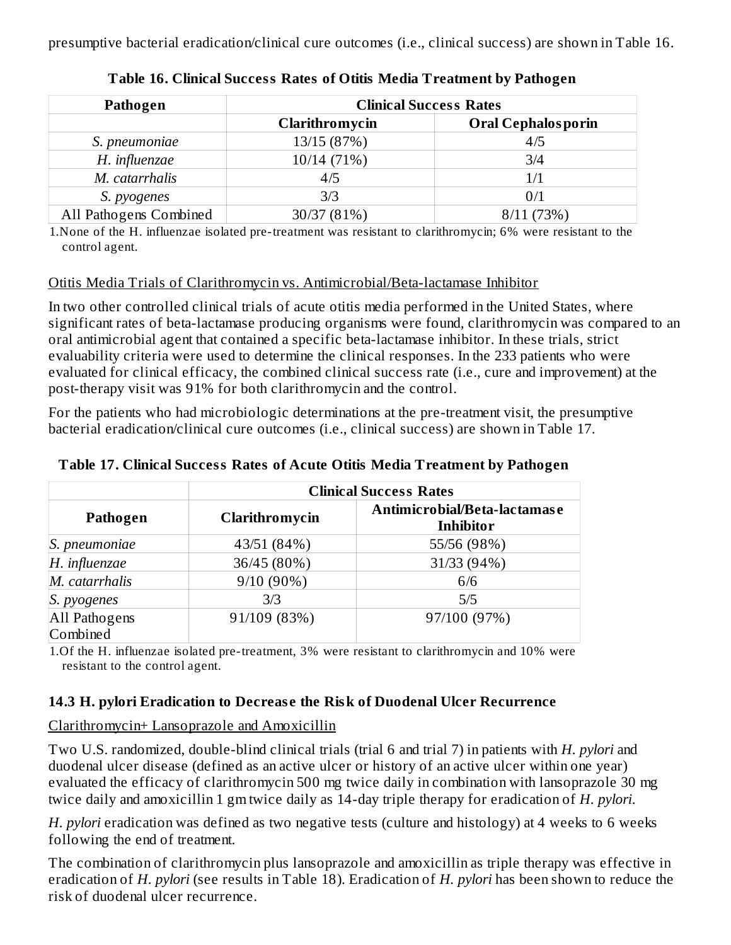presumptive bacterial eradication/clinical cure outcomes (i.e., clinical success) are shown in Table 16.

| Pathogen               | <b>Clinical Success Rates</b> |                           |
|------------------------|-------------------------------|---------------------------|
|                        | Clarithromycin                | <b>Oral Cephalosporin</b> |
| S. pneumoniae          | 13/15 (87%)                   | 4/5                       |
| H. influenzae          | 10/14 (71%)                   | 3/4                       |
| M. catarrhalis         | 4/5                           | 1/1                       |
| S. pyogenes            | 3/3                           | 0/1                       |
| All Pathogens Combined | 30/37 (81%)                   | 8/11(73%)                 |

**Table 16. Clinical Success Rates of Otitis Media Treatment by Pathogen**

1.None of the H. influenzae isolated pre-treatment was resistant to clarithromycin; 6% were resistant to the control agent.

#### Otitis Media Trials of Clarithromycin vs. Antimicrobial/Beta-lactamase Inhibitor

In two other controlled clinical trials of acute otitis media performed in the United States, where significant rates of beta-lactamase producing organisms were found, clarithromycin was compared to an oral antimicrobial agent that contained a specific beta-lactamase inhibitor. In these trials, strict evaluability criteria were used to determine the clinical responses. In the 233 patients who were evaluated for clinical efficacy, the combined clinical success rate (i.e., cure and improvement) at the post-therapy visit was 91% for both clarithromycin and the control.

For the patients who had microbiologic determinations at the pre-treatment visit, the presumptive bacterial eradication/clinical cure outcomes (i.e., clinical success) are shown in Table 17.

|                | <b>Clinical Success Rates</b> |                                                  |  |  |
|----------------|-------------------------------|--------------------------------------------------|--|--|
| Pathogen       | Clarithromycin                | Antimicrobial/Beta-lactamase<br><b>Inhibitor</b> |  |  |
| S. pneumoniae  | 43/51 (84%)                   | 55/56 (98%)                                      |  |  |
| H. influenzae  | 36/45 (80%)                   | 31/33 (94%)                                      |  |  |
| M. catarrhalis | $9/10(90\%)$                  | 6/6                                              |  |  |
| S. pyogenes    | 3/3                           | 5/5                                              |  |  |
| All Pathogens  | 91/109 (83%)                  | 97/100 (97%)                                     |  |  |
| Combined       |                               |                                                  |  |  |

#### **Table 17. Clinical Success Rates of Acute Otitis Media Treatment by Pathogen**

1.Of the H. influenzae isolated pre-treatment, 3% were resistant to clarithromycin and 10% were resistant to the control agent.

#### **14.3 H. pylori Eradication to Decreas e the Risk of Duodenal Ulcer Recurrence**

#### Clarithromycin+ Lansoprazole and Amoxicillin

Two U.S. randomized, double-blind clinical trials (trial 6 and trial 7) in patients with *H. pylori* and duodenal ulcer disease (defined as an active ulcer or history of an active ulcer within one year) evaluated the efficacy of clarithromycin 500 mg twice daily in combination with lansoprazole 30 mg twice daily and amoxicillin 1 gm twice daily as 14-day triple therapy for eradication of *H. pylori*.

*H. pylori* eradication was defined as two negative tests (culture and histology) at 4 weeks to 6 weeks following the end of treatment.

The combination of clarithromycin plus lansoprazole and amoxicillin as triple therapy was effective in eradication of *H. pylori* (see results in Table 18). Eradication of *H. pylori* has been shown to reduce the risk of duodenal ulcer recurrence.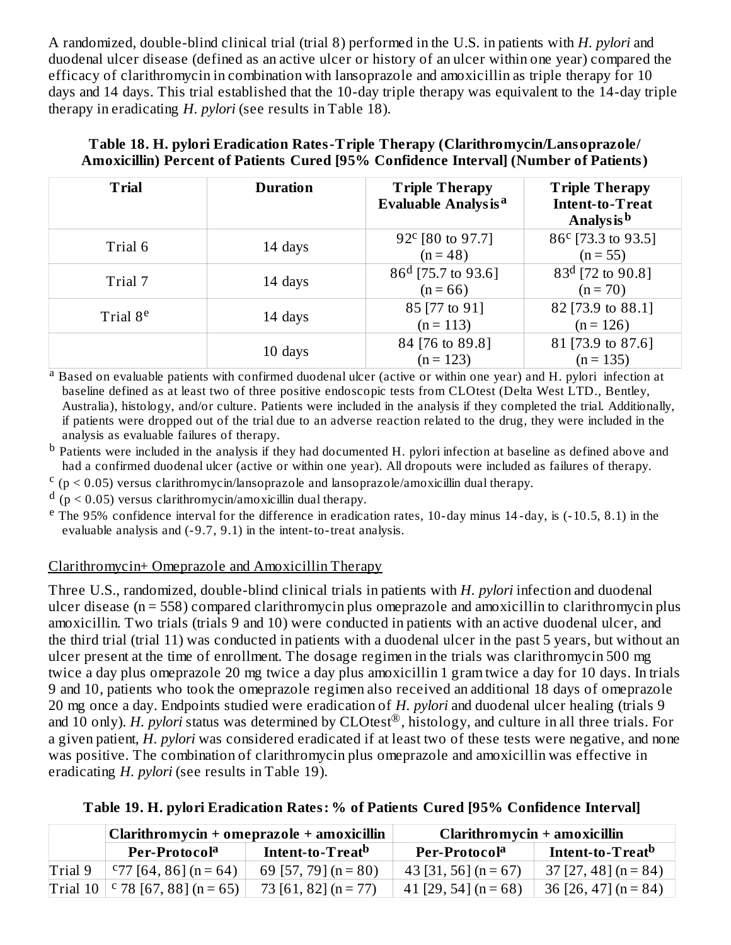A randomized, double-blind clinical trial (trial 8) performed in the U.S. in patients with *H. pylori* and duodenal ulcer disease (defined as an active ulcer or history of an ulcer within one year) compared the efficacy of clarithromycin in combination with lansoprazole and amoxicillin as triple therapy for 10 days and 14 days. This trial established that the 10-day triple therapy was equivalent to the 14-day triple therapy in eradicating *H. pylori* (see results in Table 18).

| <b>Trial</b>         | <b>Duration</b> | <b>Triple Therapy</b><br><b>Evaluable Analysis<sup>a</sup></b> | <b>Triple Therapy</b><br>Intent-to-Treat<br>Analys is b |
|----------------------|-----------------|----------------------------------------------------------------|---------------------------------------------------------|
| Trial 6              | 14 days         | 92° [80 to 97.7]<br>$(n = 48)$                                 | 86 <sup>c</sup> [73.3 to 93.5]<br>$(n = 55)$            |
| Trial 7              | 14 days         | $86^d$ [75.7 to 93.6]<br>$(n = 66)$                            | $83d$ [72 to 90.8]<br>$(n = 70)$                        |
| Trial 8 <sup>e</sup> | 14 days         | 85 [77 to 91]<br>$(n = 113)$                                   | 82 [73.9 to 88.1]<br>$(n = 126)$                        |
|                      | 10 days         | 84 [76 to 89.8]<br>$(n = 123)$                                 | 81 [73.9 to 87.6]<br>$(n = 135)$                        |

#### **Table 18. H. pylori Eradication Rates-Triple Therapy (Clarithromycin/Lansoprazole/ Amoxicillin) Percent of Patients Cured [95% Confidence Interval] (Number of Patients)**

<sup>a</sup> Based on evaluable patients with confirmed duodenal ulcer (active or within one year) and H. pylori infection at baseline defined as at least two of three positive endoscopic tests from CLOtest (Delta West LTD., Bentley, Australia), histology, and/or culture. Patients were included in the analysis if they completed the trial. Additionally, if patients were dropped out of the trial due to an adverse reaction related to the drug, they were included in the analysis as evaluable failures of therapy.

 $^{\rm b}$  Patients were included in the analysis if they had documented H. pylori infection at baseline as defined above and had a confirmed duodenal ulcer (active or within one year). All dropouts were included as failures of therapy.

 $\frac{c}{p}$  (p < 0.05) versus clarithromycin/lansoprazole and lansoprazole/amoxicillin dual therapy.

 $d$  (p < 0.05) versus clarithromycin/amoxicillin dual therapy.

<sup>e</sup> The 95% confidence interval for the difference in eradication rates, 10-day minus 14-day, is (-10.5, 8.1) in the evaluable analysis and (-9.7, 9.1) in the intent-to-treat analysis.

## Clarithromycin+ Omeprazole and Amoxicillin Therapy

Three U.S., randomized, double-blind clinical trials in patients with *H. pylori* infection and duodenal ulcer disease (n = 558) compared clarithromycin plus omeprazole and amoxicillin to clarithromycin plus amoxicillin. Two trials (trials 9 and 10) were conducted in patients with an active duodenal ulcer, and the third trial (trial 11) was conducted in patients with a duodenal ulcer in the past 5 years, but without an ulcer present at the time of enrollment. The dosage regimen in the trials was clarithromycin 500 mg twice a day plus omeprazole 20 mg twice a day plus amoxicillin 1 gram twice a day for 10 days. In trials 9 and 10, patients who took the omeprazole regimen also received an additional 18 days of omeprazole 20 mg once a day. Endpoints studied were eradication of *H. pylori* and duodenal ulcer healing (trials 9 and 10 only). *H. pylori* status was determined by CLOtest®, histology, and culture in all three trials. For a given patient, *H. pylori* was considered eradicated if at least two of these tests were negative, and none was positive. The combination of clarithromycin plus omeprazole and amoxicillin was effective in eradicating *H. pylori* (see results in Table 19).

| Table 19. H. pylori Eradication Rates: % of Patients Cured [95% Confidence Interval] |  |  |
|--------------------------------------------------------------------------------------|--|--|
|--------------------------------------------------------------------------------------|--|--|

|         | Clarithromycin + omeprazole + amoxicillin |                              | Clarithromycin + amoxicillin |                              |  |
|---------|-------------------------------------------|------------------------------|------------------------------|------------------------------|--|
|         | Per-Protocol <sup>a</sup>                 | Intent-to-Treat <sup>b</sup> | Per-Protocol <sup>a</sup>    | Intent-to-Treat <sup>b</sup> |  |
| Trial 9 | $C$ 77 [64, 86] (n = 64)                  | 69 [57, 79] $(n = 80)$       | $43$ [31, 56] (n = 67)       | $37$ [27, 48] (n = 84)       |  |
|         | Trial 10   $\sqrt{67}$ , 88   (n = 65)    | 73 [61, 82] $(n = 77)$       | 41 [29, 54] $(n = 68)$       | 36 [26, 47] (n = 84)         |  |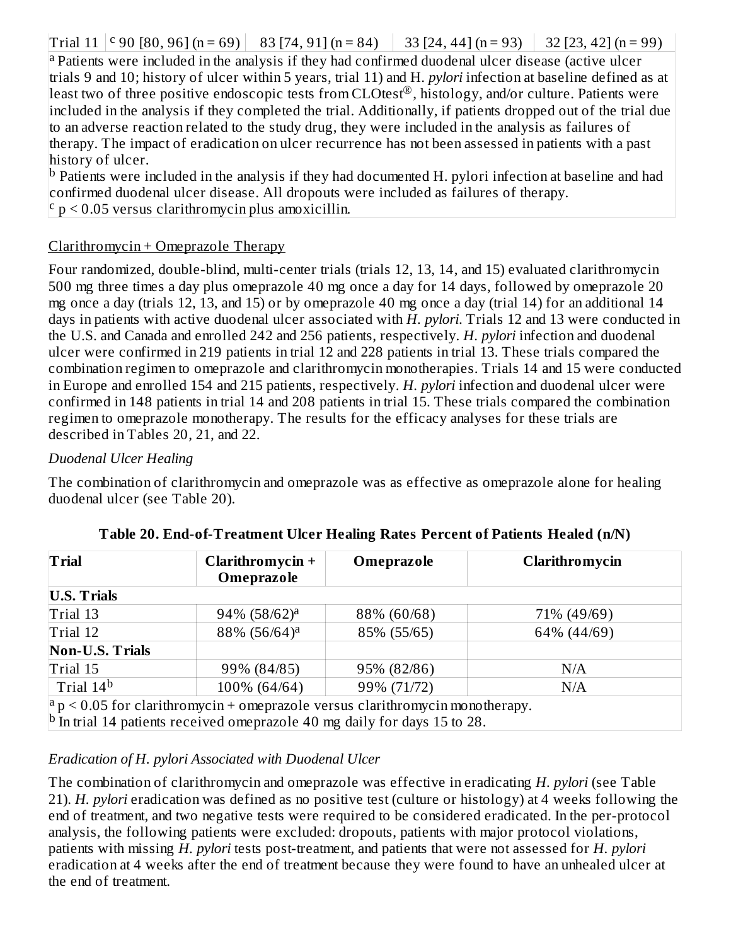Trial 11  $\vert$  <sup>c</sup> 90 [80, 96] (n = 69) | 83 [74, 91] (n = 84) | 33 [24, 44] (n = 93) | 32 [23, 42] (n = 99)

<sup>a</sup> Patients were included in the analysis if they had confirmed duodenal ulcer disease (active ulcer trials 9 and 10; history of ulcer within 5 years, trial 11) and H. *pylori* infection at baseline defined as at least two of three positive endoscopic tests from CLOtest®, histology, and/or culture. Patients were included in the analysis if they completed the trial. Additionally, if patients dropped out of the trial due to an adverse reaction related to the study drug, they were included in the analysis as failures of therapy. The impact of eradication on ulcer recurrence has not been assessed in patients with a past history of ulcer.

<sup>b</sup> Patients were included in the analysis if they had documented H. pylori infection at baseline and had confirmed duodenal ulcer disease. All dropouts were included as failures of therapy.  $\frac{c}{p}$   $> 0.05$  versus clarithromycin plus amoxicillin.

#### Clarithromycin + Omeprazole Therapy

Four randomized, double-blind, multi-center trials (trials 12, 13, 14, and 15) evaluated clarithromycin 500 mg three times a day plus omeprazole 40 mg once a day for 14 days, followed by omeprazole 20 mg once a day (trials 12, 13, and 15) or by omeprazole 40 mg once a day (trial 14) for an additional 14 days in patients with active duodenal ulcer associated with *H. pylori*. Trials 12 and 13 were conducted in the U.S. and Canada and enrolled 242 and 256 patients, respectively. *H. pylori* infection and duodenal ulcer were confirmed in 219 patients in trial 12 and 228 patients in trial 13. These trials compared the combination regimen to omeprazole and clarithromycin monotherapies. Trials 14 and 15 were conducted in Europe and enrolled 154 and 215 patients, respectively. *H. pylori* infection and duodenal ulcer were confirmed in 148 patients in trial 14 and 208 patients in trial 15. These trials compared the combination regimen to omeprazole monotherapy. The results for the efficacy analyses for these trials are described in Tables 20, 21, and 22.

#### *Duodenal Ulcer Healing*

The combination of clarithromycin and omeprazole was as effective as omeprazole alone for healing duodenal ulcer (see Table 20).

| <b>Trial</b>           | Clarithromycin +<br>Omeprazole                                                               | Omeprazole  | Clarithromycin |
|------------------------|----------------------------------------------------------------------------------------------|-------------|----------------|
| <b>U.S. Trials</b>     |                                                                                              |             |                |
| Trial 13               | $94\%$ $(58/62)^a$                                                                           | 88% (60/68) | 71% (49/69)    |
| Trial 12               | 88% (56/64) <sup>a</sup>                                                                     | 85% (55/65) | 64% (44/69)    |
| <b>Non-U.S. Trials</b> |                                                                                              |             |                |
| Trial 15               | 99% (84/85)                                                                                  | 95% (82/86) | N/A            |
| Trial 14 <sup>b</sup>  | 100% (64/64)                                                                                 | 99% (71/72) | N/A            |
|                        | $ a p  < 0.05$ for clarithromycin + omeprazole versus clarithromycin monotherapy.            |             |                |
|                        | $\vert$ <sup>b</sup> In trial 14 patients received omeprazole 40 mg daily for days 15 to 28. |             |                |

#### *Eradication of H. pylori Associated with Duodenal Ulcer*

The combination of clarithromycin and omeprazole was effective in eradicating *H. pylori* (see Table 21). *H. pylori* eradication was defined as no positive test (culture or histology) at 4 weeks following the end of treatment, and two negative tests were required to be considered eradicated. In the per-protocol analysis, the following patients were excluded: dropouts, patients with major protocol violations, patients with missing *H. pylori* tests post-treatment, and patients that were not assessed for *H. pylori* eradication at 4 weeks after the end of treatment because they were found to have an unhealed ulcer at the end of treatment.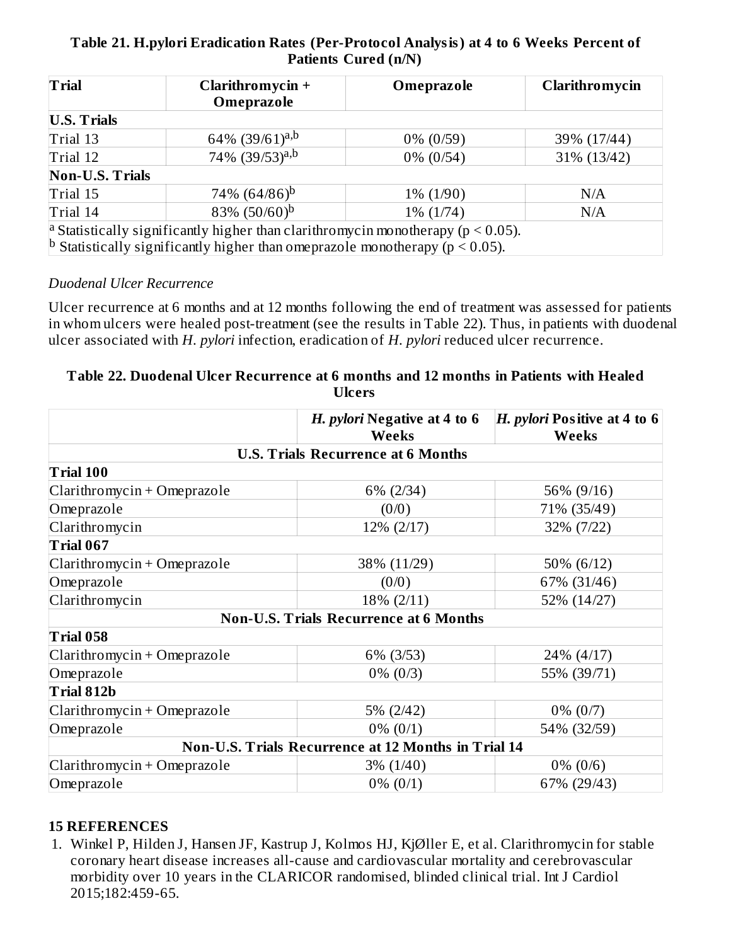#### **Table 21. H.pylori Eradication Rates (Per-Protocol Analysis) at 4 to 6 Weeks Percent of Patients Cured (n/N)**

| <b>Trial</b>           | Clarithromycin +<br>Omeprazole                                                                  | Omeprazole   | Clarithromycin |
|------------------------|-------------------------------------------------------------------------------------------------|--------------|----------------|
| <b>U.S. Trials</b>     |                                                                                                 |              |                |
| Trial 13               | 64% (39/61) <sup>a,b</sup>                                                                      | $0\% (0/59)$ | 39% (17/44)    |
| Trial 12               | 74% (39/53) <sup>a,b</sup>                                                                      | $0\%$ (0/54) | 31% (13/42)    |
| <b>Non-U.S. Trials</b> |                                                                                                 |              |                |
| Trial 15               | 74\% $(64/86)^b$                                                                                | $1\% (1/90)$ | N/A            |
| Trial 14               | 83% $(50/60)^b$                                                                                 | $1\%$ (1/74) | N/A            |
|                        | <sup>a</sup> Statistically significantly higher than clarithromycin monotherapy ( $p < 0.05$ ). |              |                |
|                        | <sup>b</sup> Statistically significantly higher than omeprazole monotherapy ( $p < 0.05$ ).     |              |                |

#### *Duodenal Ulcer Recurrence*

Ulcer recurrence at 6 months and at 12 months following the end of treatment was assessed for patients in whom ulcers were healed post-treatment (see the results in Table 22). Thus, in patients with duodenal ulcer associated with *H. pylori* infection, eradication of *H. pylori* reduced ulcer recurrence.

#### **Table 22. Duodenal Ulcer Recurrence at 6 months and 12 months in Patients with Healed Ulcers**

|                                           | H. pylori Negative at 4 to 6<br><b>Weeks</b>        | H. pylori Positive at 4 to 6<br><b>Weeks</b> |  |  |  |
|-------------------------------------------|-----------------------------------------------------|----------------------------------------------|--|--|--|
| <b>U.S. Trials Recurrence at 6 Months</b> |                                                     |                                              |  |  |  |
| Trial 100                                 |                                                     |                                              |  |  |  |
| Clarithromycin + Omeprazole               | 6% (2/34)                                           | 56% (9/16)                                   |  |  |  |
| Omeprazole                                | (0/0)                                               | 71% (35/49)                                  |  |  |  |
| Clarithromycin                            | 12% (2/17)                                          | 32% (7/22)                                   |  |  |  |
| Trial 067                                 |                                                     |                                              |  |  |  |
| $Clarithromycin + Omeprazole$             | 38% (11/29)                                         | 50% (6/12)                                   |  |  |  |
| Omeprazole                                | (0/0)                                               | 67% (31/46)                                  |  |  |  |
| Clarithromycin                            | 18% (2/11)                                          | 52% (14/27)                                  |  |  |  |
|                                           | <b>Non-U.S. Trials Recurrence at 6 Months</b>       |                                              |  |  |  |
| Trial 058                                 |                                                     |                                              |  |  |  |
| $Clarithromycin + Omeprazole$             | 6% (3/53)                                           | 24% (4/17)                                   |  |  |  |
| Omeprazole                                | $0\% (0/3)$                                         | 55% (39/71)                                  |  |  |  |
| Trial 812b                                |                                                     |                                              |  |  |  |
| Clarithromycin + Omeprazole               | 5% (2/42)                                           | $0\%$ (0/7)                                  |  |  |  |
| Omeprazole                                | $0\% (0/1)$                                         | 54% (32/59)                                  |  |  |  |
|                                           | Non-U.S. Trials Recurrence at 12 Months in Trial 14 |                                              |  |  |  |
| Clarithromycin + Omeprazole               | $3\% (1/40)$                                        | $0\% (0/6)$                                  |  |  |  |
| Omeprazole                                | $0\% (0/1)$                                         | 67% (29/43)                                  |  |  |  |

#### **15 REFERENCES**

1. Winkel P, Hilden J, Hansen JF, Kastrup J, Kolmos HJ, KjØller E, et al. Clarithromycin for stable coronary heart disease increases all-cause and cardiovascular mortality and cerebrovascular morbidity over 10 years in the CLARICOR randomised, blinded clinical trial. Int J Cardiol 2015;182:459-65.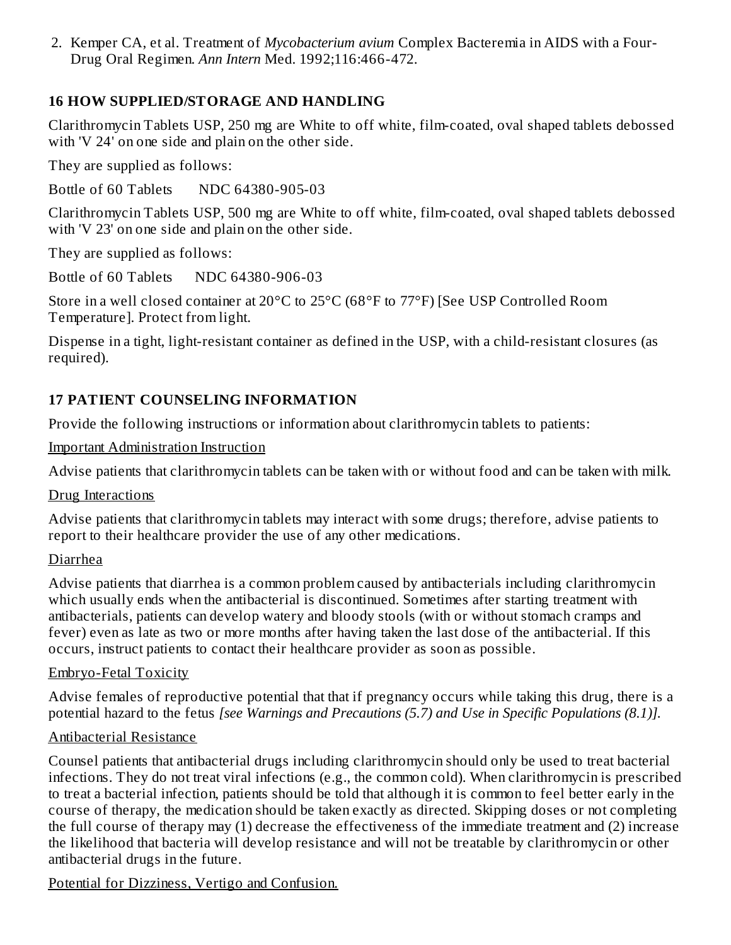2. Kemper CA, et al. Treatment of *Mycobacterium avium* Complex Bacteremia in AIDS with a Four-Drug Oral Regimen. *Ann Intern* Med. 1992;116:466-472.

### **16 HOW SUPPLIED/STORAGE AND HANDLING**

Clarithromycin Tablets USP, 250 mg are White to off white, film-coated, oval shaped tablets debossed with 'V 24' on one side and plain on the other side.

They are supplied as follows:

Bottle of 60 Tablets NDC 64380-905-03

Clarithromycin Tablets USP, 500 mg are White to off white, film-coated, oval shaped tablets debossed with 'V 23' on one side and plain on the other side.

They are supplied as follows:

Bottle of 60 Tablets NDC 64380-906-03

Store in a well closed container at 20°C to 25°C (68°F to 77°F) [See USP Controlled Room Temperature]. Protect from light.

Dispense in a tight, light-resistant container as defined in the USP, with a child-resistant closures (as required).

# **17 PATIENT COUNSELING INFORMATION**

Provide the following instructions or information about clarithromycin tablets to patients:

Important Administration Instruction

Advise patients that clarithromycin tablets can be taken with or without food and can be taken with milk.

Drug Interactions

Advise patients that clarithromycin tablets may interact with some drugs; therefore, advise patients to report to their healthcare provider the use of any other medications.

#### Diarrhea

Advise patients that diarrhea is a common problem caused by antibacterials including clarithromycin which usually ends when the antibacterial is discontinued. Sometimes after starting treatment with antibacterials, patients can develop watery and bloody stools (with or without stomach cramps and fever) even as late as two or more months after having taken the last dose of the antibacterial. If this occurs, instruct patients to contact their healthcare provider as soon as possible.

#### Embryo-Fetal Toxicity

Advise females of reproductive potential that that if pregnancy occurs while taking this drug, there is a potential hazard to the fetus *[see Warnings and Precautions (5.7) and Use in Specific Populations (8.1)].*

## Antibacterial Resistance

Counsel patients that antibacterial drugs including clarithromycin should only be used to treat bacterial infections. They do not treat viral infections (e.g., the common cold). When clarithromycin is prescribed to treat a bacterial infection, patients should be told that although it is common to feel better early in the course of therapy, the medication should be taken exactly as directed. Skipping doses or not completing the full course of therapy may (1) decrease the effectiveness of the immediate treatment and (2) increase the likelihood that bacteria will develop resistance and will not be treatable by clarithromycin or other antibacterial drugs in the future.

Potential for Dizziness, Vertigo and Confusion.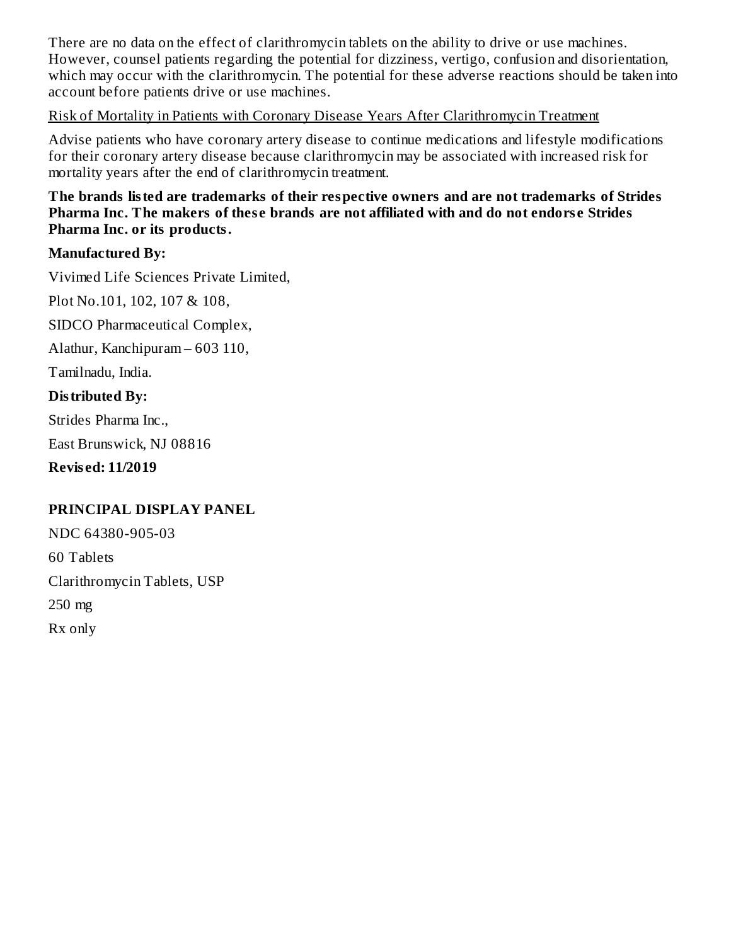There are no data on the effect of clarithromycin tablets on the ability to drive or use machines. However, counsel patients regarding the potential for dizziness, vertigo, confusion and disorientation, which may occur with the clarithromycin. The potential for these adverse reactions should be taken into account before patients drive or use machines.

#### Risk of Mortality in Patients with Coronary Disease Years After Clarithromycin Treatment

Advise patients who have coronary artery disease to continue medications and lifestyle modifications for their coronary artery disease because clarithromycin may be associated with increased risk for mortality years after the end of clarithromycin treatment.

#### **The brands listed are trademarks of their respective owners and are not trademarks of Strides Pharma Inc. The makers of thes e brands are not affiliated with and do not endors e Strides Pharma Inc. or its products.**

#### **Manufactured By:**

Vivimed Life Sciences Private Limited,

Plot No.101, 102, 107 & 108,

SIDCO Pharmaceutical Complex,

Alathur, Kanchipuram – 603 110,

Tamilnadu, India.

#### **Distributed By:**

Strides Pharma Inc., East Brunswick, NJ 08816

**Revis ed: 11/2019**

#### **PRINCIPAL DISPLAY PANEL**

NDC 64380-905-03 60 Tablets Clarithromycin Tablets, USP 250 mg Rx only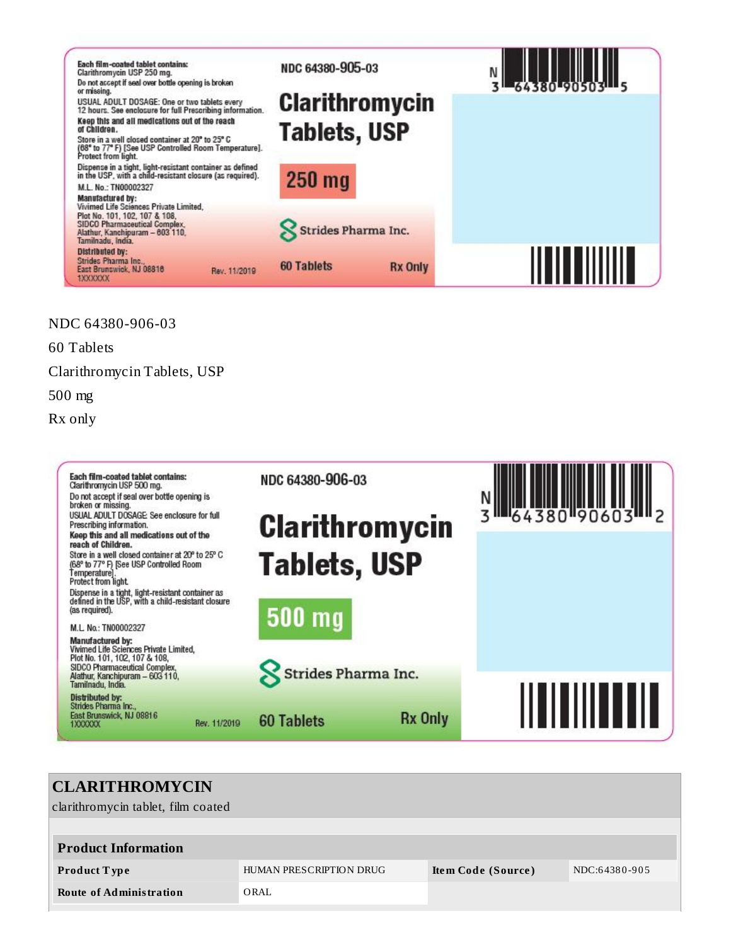

NDC 64380-906-03

60 Tablets

Clarithromycin Tablets, USP

500 mg

Rx only



| <b>CLARITHROMYCIN</b>              |                         |                    |               |
|------------------------------------|-------------------------|--------------------|---------------|
| clarithromycin tablet, film coated |                         |                    |               |
|                                    |                         |                    |               |
| <b>Product Information</b>         |                         |                    |               |
| <b>Product Type</b>                | HUMAN PRESCRIPTION DRUG | Item Code (Source) | NDC:64380-905 |
| <b>Route of Administration</b>     | ORAL                    |                    |               |
|                                    |                         |                    |               |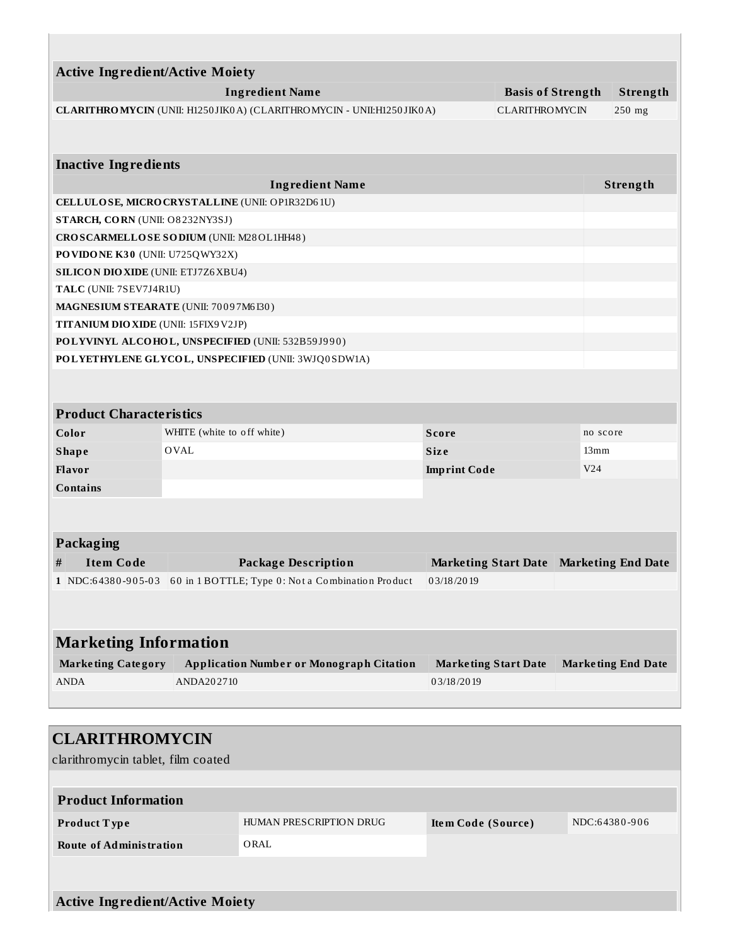| <b>Active Ingredient/Active Moiety</b><br><b>Ingredient Name</b> |                                                                      |                                                                      |                             |                                                   |                           |                    |  |  |  |
|------------------------------------------------------------------|----------------------------------------------------------------------|----------------------------------------------------------------------|-----------------------------|---------------------------------------------------|---------------------------|--------------------|--|--|--|
|                                                                  |                                                                      | CLARITHROMYCIN (UNII: H1250JIK0A) (CLARITHROMYCIN - UNII:H1250JIK0A) |                             | <b>Basis of Strength</b><br><b>CLARITHROMYCIN</b> |                           | Strength<br>250 mg |  |  |  |
|                                                                  |                                                                      |                                                                      |                             |                                                   |                           |                    |  |  |  |
| <b>Inactive Ingredients</b>                                      |                                                                      |                                                                      |                             |                                                   |                           |                    |  |  |  |
|                                                                  |                                                                      | <b>Ingredient Name</b>                                               |                             |                                                   |                           | Strength           |  |  |  |
| CELLULOSE, MICRO CRYSTALLINE (UNII: OP1R32D61U)                  |                                                                      |                                                                      |                             |                                                   |                           |                    |  |  |  |
| STARCH, CORN (UNII: O8232NY3SJ)                                  |                                                                      |                                                                      |                             |                                                   |                           |                    |  |  |  |
| CROSCARMELLOSE SODIUM (UNII: M28OL1HH48)                         |                                                                      |                                                                      |                             |                                                   |                           |                    |  |  |  |
| PO VIDO NE K30 (UNII: U725QWY32X)                                |                                                                      |                                                                      |                             |                                                   |                           |                    |  |  |  |
| <b>SILICON DIO XIDE (UNII: ETJ7Z6 XBU4)</b>                      |                                                                      |                                                                      |                             |                                                   |                           |                    |  |  |  |
| TALC (UNII: 7SEV7J4R1U)                                          |                                                                      |                                                                      |                             |                                                   |                           |                    |  |  |  |
| MAGNESIUM STEARATE (UNII: 70097M6I30)                            |                                                                      |                                                                      |                             |                                                   |                           |                    |  |  |  |
| TITANIUM DIO XIDE (UNII: 15FIX9V2JP)                             |                                                                      |                                                                      |                             |                                                   |                           |                    |  |  |  |
| POLYVINYL ALCOHOL, UNSPECIFIED (UNII: 532B59J990)                |                                                                      |                                                                      |                             |                                                   |                           |                    |  |  |  |
| POLYETHYLENE GLYCOL, UNSPECIFIED (UNII: 3WJQ0SDW1A)              |                                                                      |                                                                      |                             |                                                   |                           |                    |  |  |  |
|                                                                  |                                                                      |                                                                      |                             |                                                   |                           |                    |  |  |  |
| <b>Product Characteristics</b>                                   |                                                                      |                                                                      |                             |                                                   |                           |                    |  |  |  |
| Color                                                            | WHITE (white to off white)                                           |                                                                      | <b>Score</b>                |                                                   | no score                  |                    |  |  |  |
| <b>Shape</b>                                                     | <b>OVAL</b>                                                          |                                                                      | <b>Size</b>                 |                                                   | 13mm                      |                    |  |  |  |
| <b>Flavor</b>                                                    |                                                                      |                                                                      | <b>Imprint Code</b>         |                                                   | V <sub>24</sub>           |                    |  |  |  |
| <b>Contains</b>                                                  |                                                                      |                                                                      |                             |                                                   |                           |                    |  |  |  |
|                                                                  |                                                                      |                                                                      |                             |                                                   |                           |                    |  |  |  |
| Packaging                                                        |                                                                      |                                                                      |                             |                                                   |                           |                    |  |  |  |
| <b>Item Code</b><br>#                                            |                                                                      | <b>Package Description</b>                                           | <b>Marketing Start Date</b> |                                                   | <b>Marketing End Date</b> |                    |  |  |  |
|                                                                  | 1 NDC:64380-905-03 60 in 1 BOTTLE; Type 0: Not a Combination Product |                                                                      | 03/18/2019                  |                                                   |                           |                    |  |  |  |
|                                                                  |                                                                      |                                                                      |                             |                                                   |                           |                    |  |  |  |
|                                                                  |                                                                      |                                                                      |                             |                                                   |                           |                    |  |  |  |
| <b>Marketing Information</b>                                     |                                                                      |                                                                      |                             |                                                   |                           |                    |  |  |  |
| <b>Marketing Category</b>                                        | <b>Application Number or Monograph Citation</b>                      |                                                                      | <b>Marketing Start Date</b> |                                                   | <b>Marketing End Date</b> |                    |  |  |  |
| <b>ANDA</b>                                                      | ANDA202710                                                           |                                                                      | 03/18/2019                  |                                                   |                           |                    |  |  |  |
|                                                                  |                                                                      |                                                                      |                             |                                                   |                           |                    |  |  |  |
|                                                                  |                                                                      |                                                                      |                             |                                                   |                           |                    |  |  |  |
| <b>CLARITHROMYCIN</b>                                            |                                                                      |                                                                      |                             |                                                   |                           |                    |  |  |  |
| clarithromycin tablet, film coated                               |                                                                      |                                                                      |                             |                                                   |                           |                    |  |  |  |
|                                                                  |                                                                      |                                                                      |                             |                                                   |                           |                    |  |  |  |
| <b>Product Information</b>                                       |                                                                      |                                                                      |                             |                                                   |                           |                    |  |  |  |
| Product Type                                                     | HUMAN PRESCRIPTION DRUG                                              |                                                                      |                             | Item Code (Source)                                |                           | NDC:64380-906      |  |  |  |
|                                                                  |                                                                      |                                                                      |                             |                                                   |                           |                    |  |  |  |
| <b>Route of Administration</b>                                   |                                                                      | ORAL                                                                 |                             |                                                   |                           |                    |  |  |  |

**Active Ingredient/Active Moiety**